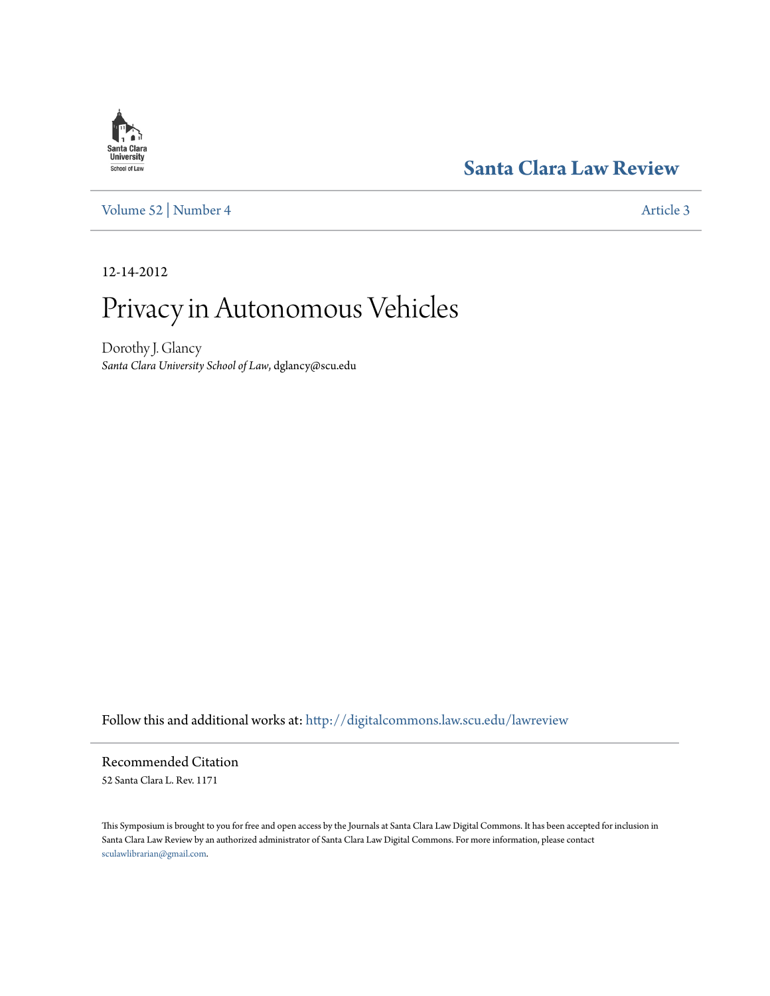# **[Santa Clara Law Review](http://digitalcommons.law.scu.edu/lawreview?utm_source=digitalcommons.law.scu.edu%2Flawreview%2Fvol52%2Fiss4%2F3&utm_medium=PDF&utm_campaign=PDFCoverPages)**

[Volume 52](http://digitalcommons.law.scu.edu/lawreview/vol52?utm_source=digitalcommons.law.scu.edu%2Flawreview%2Fvol52%2Fiss4%2F3&utm_medium=PDF&utm_campaign=PDFCoverPages) | [Number 4](http://digitalcommons.law.scu.edu/lawreview/vol52/iss4?utm_source=digitalcommons.law.scu.edu%2Flawreview%2Fvol52%2Fiss4%2F3&utm_medium=PDF&utm_campaign=PDFCoverPages) [Article 3](http://digitalcommons.law.scu.edu/lawreview/vol52/iss4/3?utm_source=digitalcommons.law.scu.edu%2Flawreview%2Fvol52%2Fiss4%2F3&utm_medium=PDF&utm_campaign=PDFCoverPages)

12-14-2012

# Privacy in Autonomous Vehicles

Dorothy J. Glancy *Santa Clara University School of Law*, dglancy@scu.edu

Follow this and additional works at: [http://digitalcommons.law.scu.edu/lawreview](http://digitalcommons.law.scu.edu/lawreview?utm_source=digitalcommons.law.scu.edu%2Flawreview%2Fvol52%2Fiss4%2F3&utm_medium=PDF&utm_campaign=PDFCoverPages)

Recommended Citation 52 Santa Clara L. Rev. 1171

This Symposium is brought to you for free and open access by the Journals at Santa Clara Law Digital Commons. It has been accepted for inclusion in Santa Clara Law Review by an authorized administrator of Santa Clara Law Digital Commons. For more information, please contact [sculawlibrarian@gmail.com](mailto:sculawlibrarian@gmail.com).

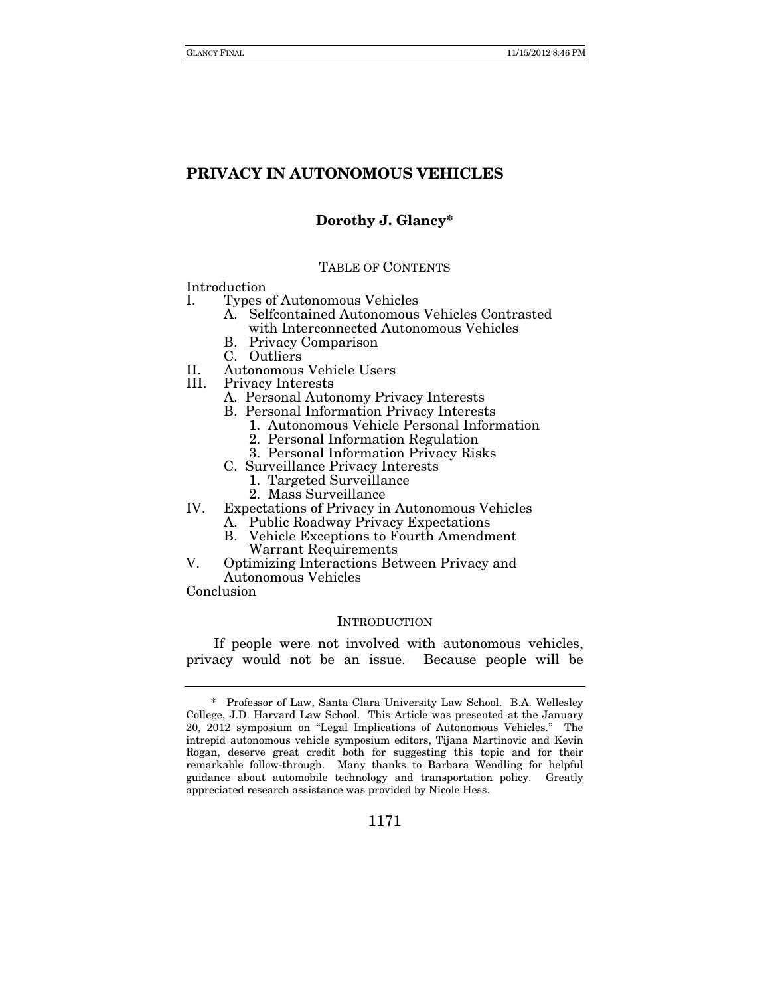# **Dorothy J. Glancy\***

#### TABLE OF CONTENTS

Introduction

- I. Types of Autonomous Vehicles
	- A. Selfcontained Autonomous Vehicles Contrasted with Interconnected Autonomous Vehicles
		- B. Privacy Comparison
	- C. Outliers
- II. Autonomous Vehicle Users
- Privacy Interests
	- A. Personal Autonomy Privacy Interests
	- B. Personal Information Privacy Interests
		- 1. Autonomous Vehicle Personal Information
			- 2. Personal Information Regulation
		- 3. Personal Information Privacy Risks
	- C. Surveillance Privacy Interests
		- 1. Targeted Surveillance
	- 2. Mass Surveillance
- IV. Expectations of Privacy in Autonomous Vehicles
	- A. Public Roadway Privacy Expectations
	- B. Vehicle Exceptions to Fourth Amendment Warrant Requirements
- V. Optimizing Interactions Between Privacy and Autonomous Vehicles

Conclusion

#### INTRODUCTION

If people were not involved with autonomous vehicles, privacy would not be an issue. Because people will be

 <sup>\*</sup> Professor of Law, Santa Clara University Law School. B.A. Wellesley College, J.D. Harvard Law School. This Article was presented at the January 20, 2012 symposium on "Legal Implications of Autonomous Vehicles." The intrepid autonomous vehicle symposium editors, Tijana Martinovic and Kevin Rogan, deserve great credit both for suggesting this topic and for their remarkable follow-through. Many thanks to Barbara Wendling for helpful guidance about automobile technology and transportation policy. Greatly appreciated research assistance was provided by Nicole Hess.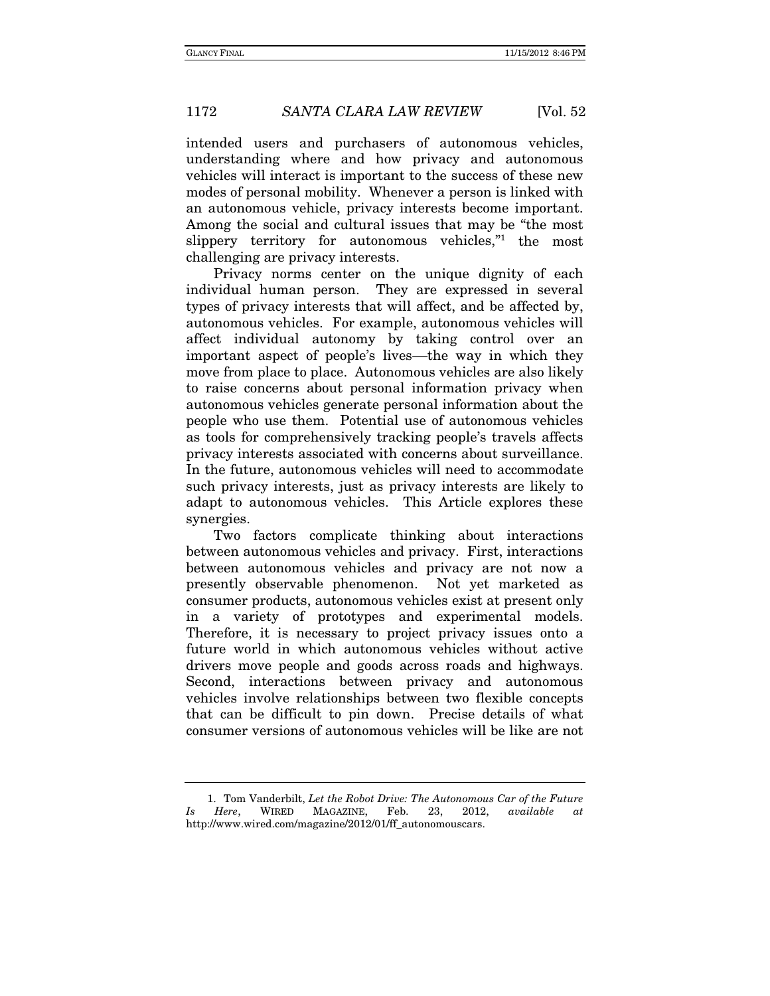intended users and purchasers of autonomous vehicles, understanding where and how privacy and autonomous vehicles will interact is important to the success of these new modes of personal mobility. Whenever a person is linked with an autonomous vehicle, privacy interests become important. Among the social and cultural issues that may be "the most slippery territory for autonomous vehicles,"<sup>1</sup> the most challenging are privacy interests.

 Privacy norms center on the unique dignity of each individual human person. They are expressed in several types of privacy interests that will affect, and be affected by, autonomous vehicles. For example, autonomous vehicles will affect individual autonomy by taking control over an important aspect of people's lives—the way in which they move from place to place. Autonomous vehicles are also likely to raise concerns about personal information privacy when autonomous vehicles generate personal information about the people who use them. Potential use of autonomous vehicles as tools for comprehensively tracking people's travels affects privacy interests associated with concerns about surveillance. In the future, autonomous vehicles will need to accommodate such privacy interests, just as privacy interests are likely to adapt to autonomous vehicles. This Article explores these synergies.

 Two factors complicate thinking about interactions between autonomous vehicles and privacy. First, interactions between autonomous vehicles and privacy are not now a presently observable phenomenon. Not yet marketed as consumer products, autonomous vehicles exist at present only in a variety of prototypes and experimental models. Therefore, it is necessary to project privacy issues onto a future world in which autonomous vehicles without active drivers move people and goods across roads and highways. Second, interactions between privacy and autonomous vehicles involve relationships between two flexible concepts that can be difficult to pin down. Precise details of what consumer versions of autonomous vehicles will be like are not

 <sup>1.</sup> Tom Vanderbilt, Let the Robot Drive: The Autonomous Car of the Future Is Here, WIRED MAGAZINE, Feb. 23, 2012, available at http://www.wired.com/magazine/2012/01/ff\_autonomouscars.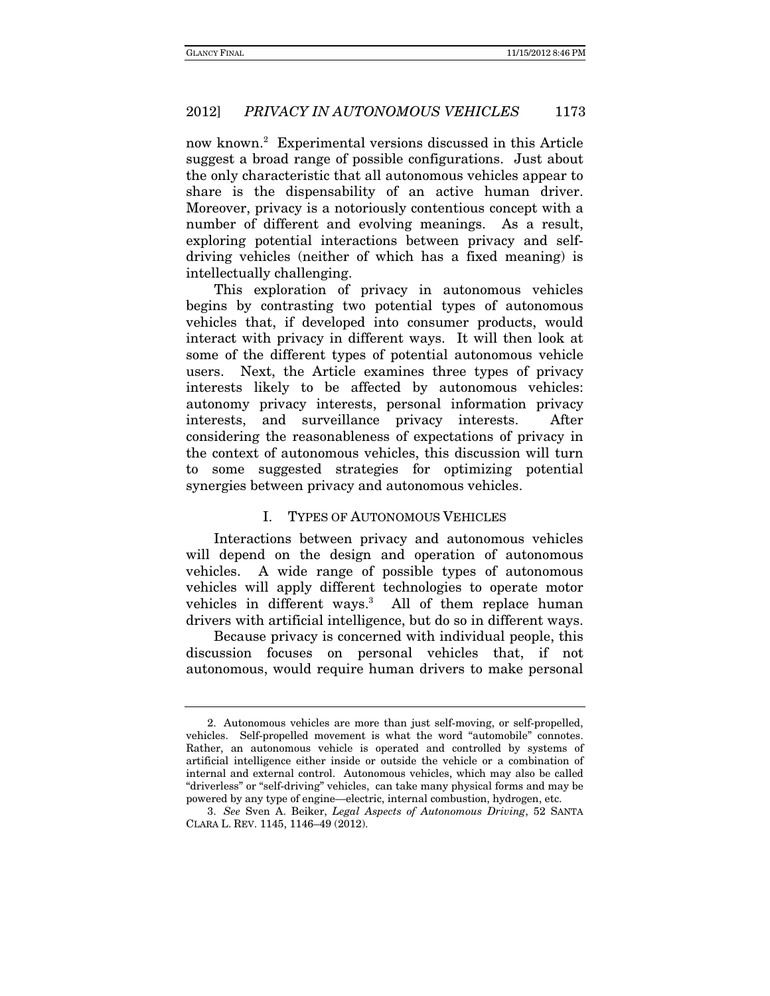now known.2 Experimental versions discussed in this Article suggest a broad range of possible configurations. Just about the only characteristic that all autonomous vehicles appear to share is the dispensability of an active human driver. Moreover, privacy is a notoriously contentious concept with a number of different and evolving meanings. As a result, exploring potential interactions between privacy and selfdriving vehicles (neither of which has a fixed meaning) is intellectually challenging.

This exploration of privacy in autonomous vehicles begins by contrasting two potential types of autonomous vehicles that, if developed into consumer products, would interact with privacy in different ways. It will then look at some of the different types of potential autonomous vehicle users. Next, the Article examines three types of privacy interests likely to be affected by autonomous vehicles: autonomy privacy interests, personal information privacy interests, and surveillance privacy interests. After considering the reasonableness of expectations of privacy in the context of autonomous vehicles, this discussion will turn to some suggested strategies for optimizing potential synergies between privacy and autonomous vehicles.

#### I. TYPES OF AUTONOMOUS VEHICLES

Interactions between privacy and autonomous vehicles will depend on the design and operation of autonomous vehicles. A wide range of possible types of autonomous vehicles will apply different technologies to operate motor vehicles in different ways.<sup>3</sup> All of them replace human drivers with artificial intelligence, but do so in different ways.

 Because privacy is concerned with individual people, this discussion focuses on personal vehicles that, if not autonomous, would require human drivers to make personal

 <sup>2.</sup> Autonomous vehicles are more than just self-moving, or self-propelled, vehicles. Self-propelled movement is what the word "automobile" connotes. Rather, an autonomous vehicle is operated and controlled by systems of artificial intelligence either inside or outside the vehicle or a combination of internal and external control. Autonomous vehicles, which may also be called "driverless" or "self-driving" vehicles, can take many physical forms and may be powered by any type of engine—electric, internal combustion, hydrogen, etc.

 <sup>3.</sup> See Sven A. Beiker, Legal Aspects of Autonomous Driving, 52 SANTA CLARA L. REV. 1145, 1146–49 (2012).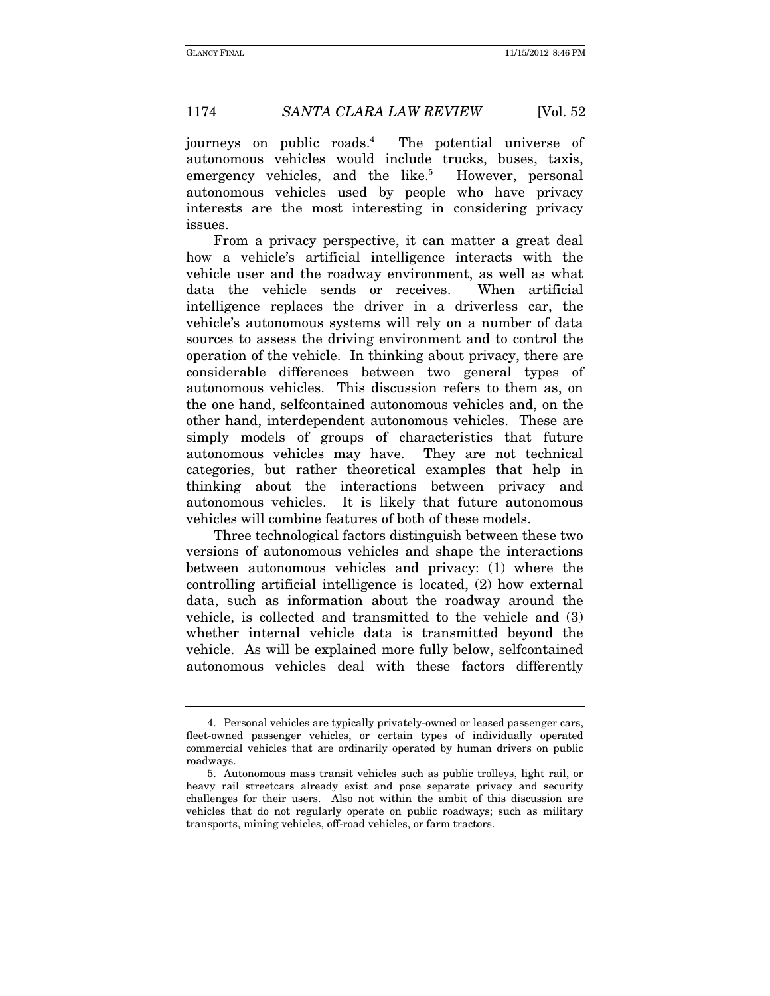journeys on public roads.4 The potential universe of autonomous vehicles would include trucks, buses, taxis, emergency vehicles, and the like.<sup>5</sup> However, personal autonomous vehicles used by people who have privacy interests are the most interesting in considering privacy issues.

From a privacy perspective, it can matter a great deal how a vehicle's artificial intelligence interacts with the vehicle user and the roadway environment, as well as what data the vehicle sends or receives. When artificial intelligence replaces the driver in a driverless car, the vehicle's autonomous systems will rely on a number of data sources to assess the driving environment and to control the operation of the vehicle. In thinking about privacy, there are considerable differences between two general types of autonomous vehicles. This discussion refers to them as, on the one hand, selfcontained autonomous vehicles and, on the other hand, interdependent autonomous vehicles. These are simply models of groups of characteristics that future autonomous vehicles may have. They are not technical categories, but rather theoretical examples that help in thinking about the interactions between privacy and autonomous vehicles. It is likely that future autonomous vehicles will combine features of both of these models.

Three technological factors distinguish between these two versions of autonomous vehicles and shape the interactions between autonomous vehicles and privacy: (1) where the controlling artificial intelligence is located, (2) how external data, such as information about the roadway around the vehicle, is collected and transmitted to the vehicle and (3) whether internal vehicle data is transmitted beyond the vehicle. As will be explained more fully below, selfcontained autonomous vehicles deal with these factors differently

 <sup>4.</sup> Personal vehicles are typically privately-owned or leased passenger cars, fleet-owned passenger vehicles, or certain types of individually operated commercial vehicles that are ordinarily operated by human drivers on public roadways.

 <sup>5.</sup> Autonomous mass transit vehicles such as public trolleys, light rail, or heavy rail streetcars already exist and pose separate privacy and security challenges for their users. Also not within the ambit of this discussion are vehicles that do not regularly operate on public roadways; such as military transports, mining vehicles, off-road vehicles, or farm tractors.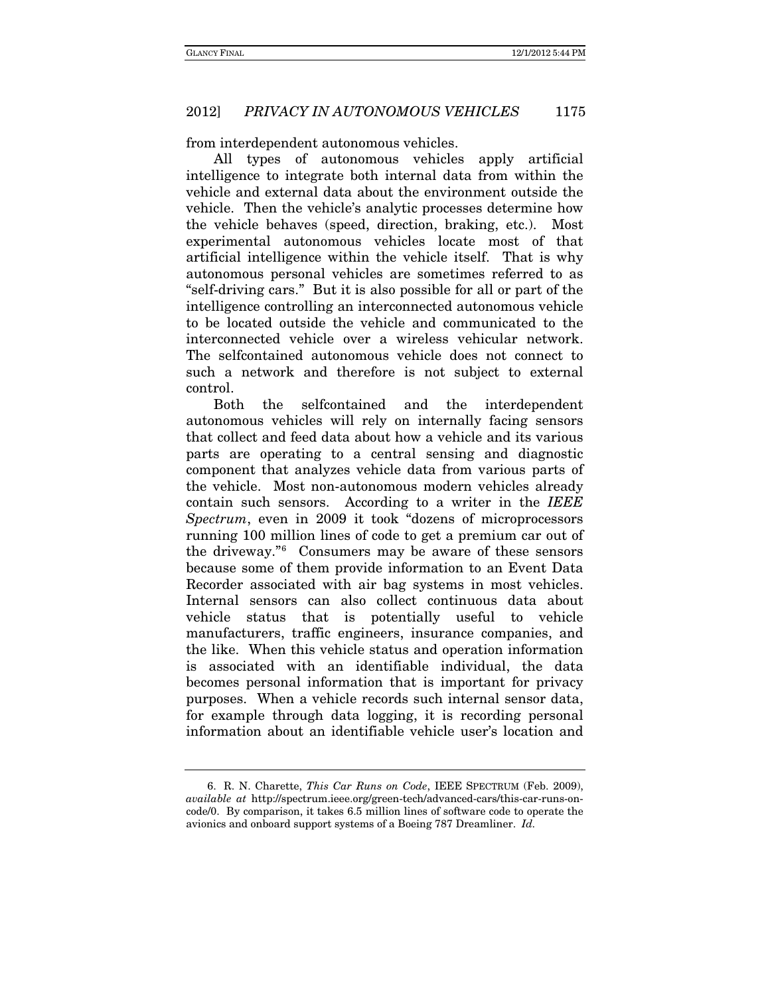from interdependent autonomous vehicles.

All types of autonomous vehicles apply artificial intelligence to integrate both internal data from within the vehicle and external data about the environment outside the vehicle. Then the vehicle's analytic processes determine how the vehicle behaves (speed, direction, braking, etc.). Most experimental autonomous vehicles locate most of that artificial intelligence within the vehicle itself. That is why autonomous personal vehicles are sometimes referred to as "self-driving cars." But it is also possible for all or part of the intelligence controlling an interconnected autonomous vehicle to be located outside the vehicle and communicated to the interconnected vehicle over a wireless vehicular network. The selfcontained autonomous vehicle does not connect to such a network and therefore is not subject to external control.

Both the selfcontained and the interdependent autonomous vehicles will rely on internally facing sensors that collect and feed data about how a vehicle and its various parts are operating to a central sensing and diagnostic component that analyzes vehicle data from various parts of the vehicle. Most non-autonomous modern vehicles already contain such sensors. According to a writer in the *IEEE Spectrum*, even in 2009 it took "dozens of microprocessors running 100 million lines of code to get a premium car out of the driveway."[6](#page-5-0) Consumers may be aware of these sensors because some of them provide information to an Event Data Recorder associated with air bag systems in most vehicles. Internal sensors can also collect continuous data about vehicle status that is potentially useful to vehicle manufacturers, traffic engineers, insurance companies, and the like. When this vehicle status and operation information is associated with an identifiable individual, the data becomes personal information that is important for privacy purposes. When a vehicle records such internal sensor data, for example through data logging, it is recording personal information about an identifiable vehicle user's location and

<span id="page-5-0"></span><sup>6.</sup> R. N. Charette, *This Car Runs on Code*, IEEE SPECTRUM (Feb. 2009), *available at* http://spectrum.ieee.org/green-tech/advanced-cars/this-car-runs-oncode/0. By comparison, it takes 6.5 million lines of software code to operate the avionics and onboard support systems of a Boeing 787 Dreamliner. *Id.*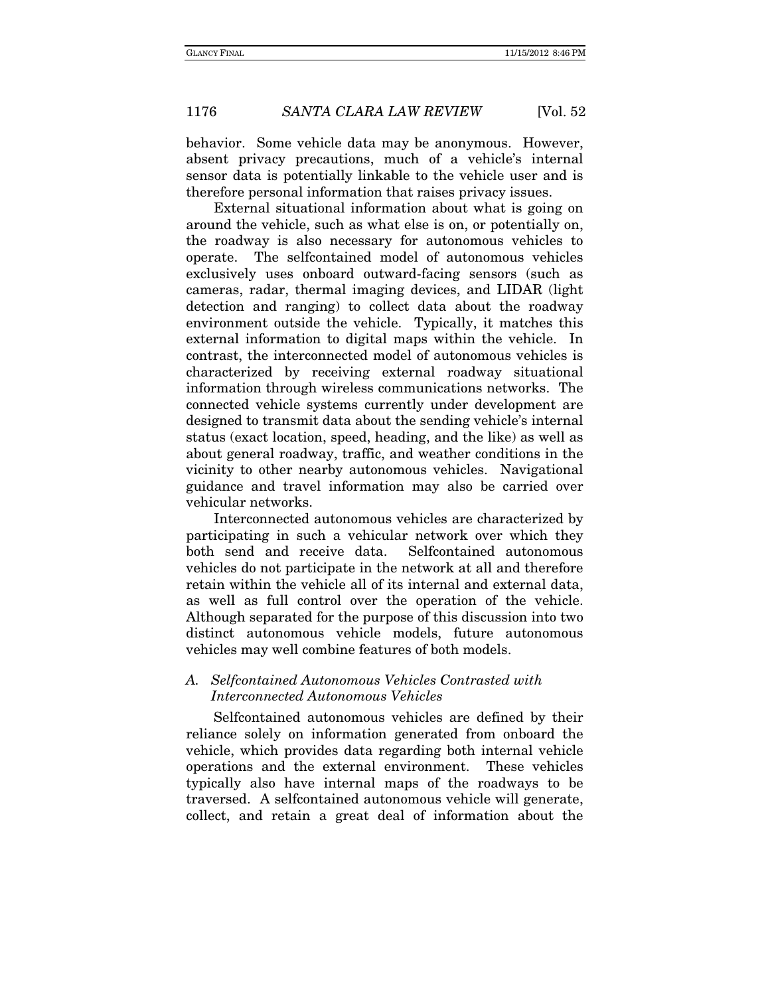behavior. Some vehicle data may be anonymous. However, absent privacy precautions, much of a vehicle's internal sensor data is potentially linkable to the vehicle user and is therefore personal information that raises privacy issues.

External situational information about what is going on around the vehicle, such as what else is on, or potentially on, the roadway is also necessary for autonomous vehicles to operate. The selfcontained model of autonomous vehicles exclusively uses onboard outward-facing sensors (such as cameras, radar, thermal imaging devices, and LIDAR (light detection and ranging) to collect data about the roadway environment outside the vehicle. Typically, it matches this external information to digital maps within the vehicle. In contrast, the interconnected model of autonomous vehicles is characterized by receiving external roadway situational information through wireless communications networks. The connected vehicle systems currently under development are designed to transmit data about the sending vehicle's internal status (exact location, speed, heading, and the like) as well as about general roadway, traffic, and weather conditions in the vicinity to other nearby autonomous vehicles. Navigational guidance and travel information may also be carried over vehicular networks.

Interconnected autonomous vehicles are characterized by participating in such a vehicular network over which they both send and receive data. Selfcontained autonomous vehicles do not participate in the network at all and therefore retain within the vehicle all of its internal and external data, as well as full control over the operation of the vehicle. Although separated for the purpose of this discussion into two distinct autonomous vehicle models, future autonomous vehicles may well combine features of both models.

# A. Selfcontained Autonomous Vehicles Contrasted with Interconnected Autonomous Vehicles

Selfcontained autonomous vehicles are defined by their reliance solely on information generated from onboard the vehicle, which provides data regarding both internal vehicle operations and the external environment. These vehicles typically also have internal maps of the roadways to be traversed. A selfcontained autonomous vehicle will generate, collect, and retain a great deal of information about the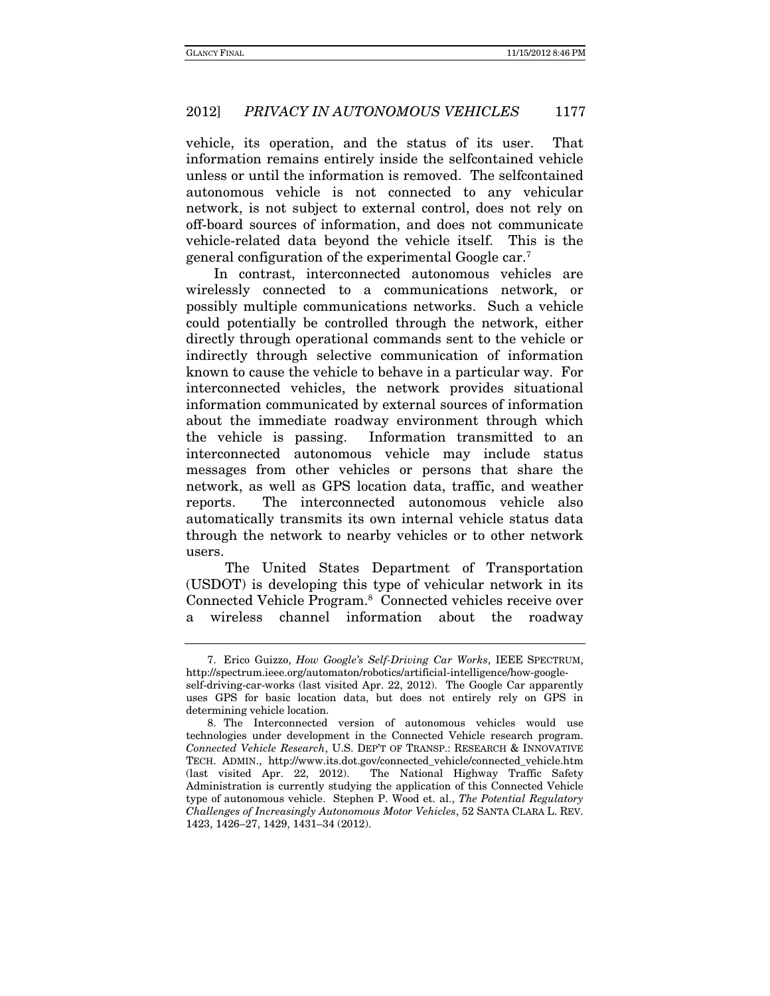vehicle, its operation, and the status of its user. That information remains entirely inside the selfcontained vehicle unless or until the information is removed. The selfcontained autonomous vehicle is not connected to any vehicular network, is not subject to external control, does not rely on off-board sources of information, and does not communicate vehicle-related data beyond the vehicle itself. This is the general configuration of the experimental Google car.7

In contrast, interconnected autonomous vehicles are wirelessly connected to a communications network, or possibly multiple communications networks. Such a vehicle could potentially be controlled through the network, either directly through operational commands sent to the vehicle or indirectly through selective communication of information known to cause the vehicle to behave in a particular way. For interconnected vehicles, the network provides situational information communicated by external sources of information about the immediate roadway environment through which the vehicle is passing. Information transmitted to an interconnected autonomous vehicle may include status messages from other vehicles or persons that share the network, as well as GPS location data, traffic, and weather reports. The interconnected autonomous vehicle also automatically transmits its own internal vehicle status data through the network to nearby vehicles or to other network users.

 The United States Department of Transportation (USDOT) is developing this type of vehicular network in its Connected Vehicle Program.8 Connected vehicles receive over a wireless channel information about the roadway

 <sup>7.</sup> Erico Guizzo, How Google's Self-Driving Car Works, IEEE SPECTRUM, http://spectrum.ieee.org/automaton/robotics/artificial-intelligence/how-googleself-driving-car-works (last visited Apr. 22, 2012). The Google Car apparently uses GPS for basic location data, but does not entirely rely on GPS in determining vehicle location.

 <sup>8.</sup> The Interconnected version of autonomous vehicles would use technologies under development in the Connected Vehicle research program. Connected Vehicle Research, U.S. DEP'T OF TRANSP.: RESEARCH & INNOVATIVE TECH. ADMIN., http://www.its.dot.gov/connected\_vehicle/connected\_vehicle.htm (last visited Apr. 22, 2012). The National Highway Traffic Safety Administration is currently studying the application of this Connected Vehicle type of autonomous vehicle. Stephen P. Wood et. al., The Potential Regulatory Challenges of Increasingly Autonomous Motor Vehicles, 52 SANTA CLARA L. REV. 1423, 1426–27, 1429, 1431–34 (2012).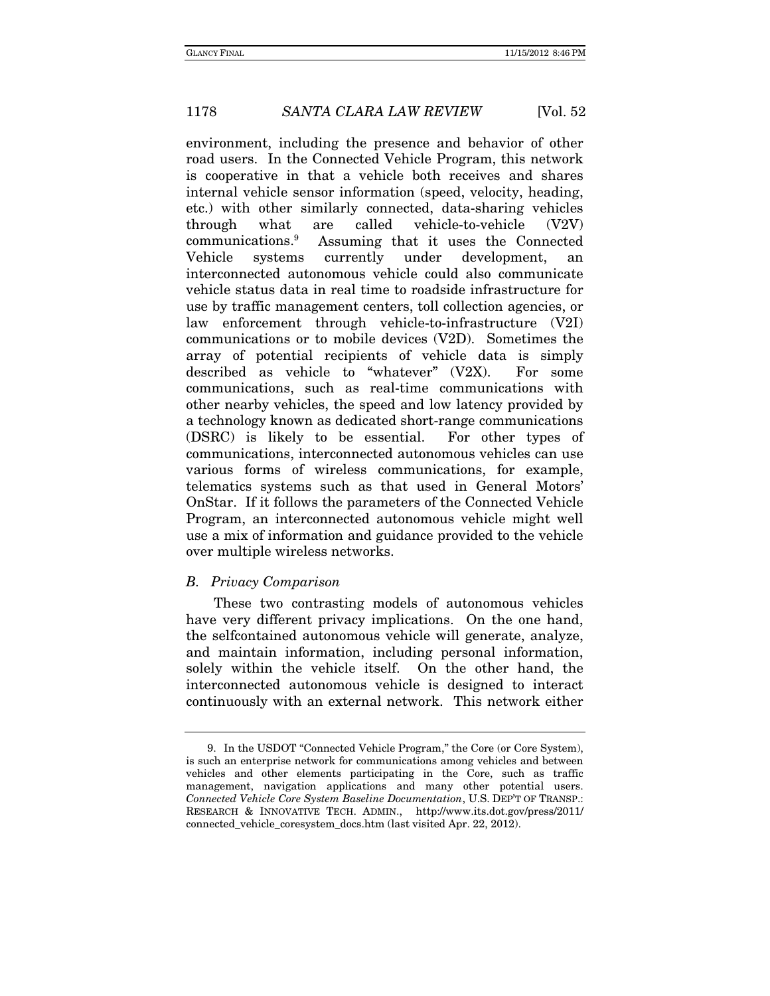environment, including the presence and behavior of other road users. In the Connected Vehicle Program, this network is cooperative in that a vehicle both receives and shares internal vehicle sensor information (speed, velocity, heading, etc.) with other similarly connected, data-sharing vehicles through what are called vehicle-to-vehicle (V2V) communications.<sup>9</sup> Assuming that it uses the Connected Vehicle systems currently under development, an interconnected autonomous vehicle could also communicate vehicle status data in real time to roadside infrastructure for use by traffic management centers, toll collection agencies, or law enforcement through vehicle-to-infrastructure (V2I) communications or to mobile devices (V2D). Sometimes the array of potential recipients of vehicle data is simply described as vehicle to "whatever" (V2X). For some communications, such as real-time communications with other nearby vehicles, the speed and low latency provided by a technology known as dedicated short-range communications (DSRC) is likely to be essential. For other types of communications, interconnected autonomous vehicles can use various forms of wireless communications, for example, telematics systems such as that used in General Motors' OnStar. If it follows the parameters of the Connected Vehicle Program, an interconnected autonomous vehicle might well use a mix of information and guidance provided to the vehicle over multiple wireless networks.

#### B. Privacy Comparison

These two contrasting models of autonomous vehicles have very different privacy implications. On the one hand, the selfcontained autonomous vehicle will generate, analyze, and maintain information, including personal information, solely within the vehicle itself. On the other hand, the interconnected autonomous vehicle is designed to interact continuously with an external network. This network either

 <sup>9.</sup> In the USDOT "Connected Vehicle Program," the Core (or Core System), is such an enterprise network for communications among vehicles and between vehicles and other elements participating in the Core, such as traffic management, navigation applications and many other potential users. Connected Vehicle Core System Baseline Documentation, U.S. DEP'T OF TRANSP.: RESEARCH & INNOVATIVE TECH. ADMIN., http://www.its.dot.gov/press/2011/ connected\_vehicle\_coresystem\_docs.htm (last visited Apr. 22, 2012).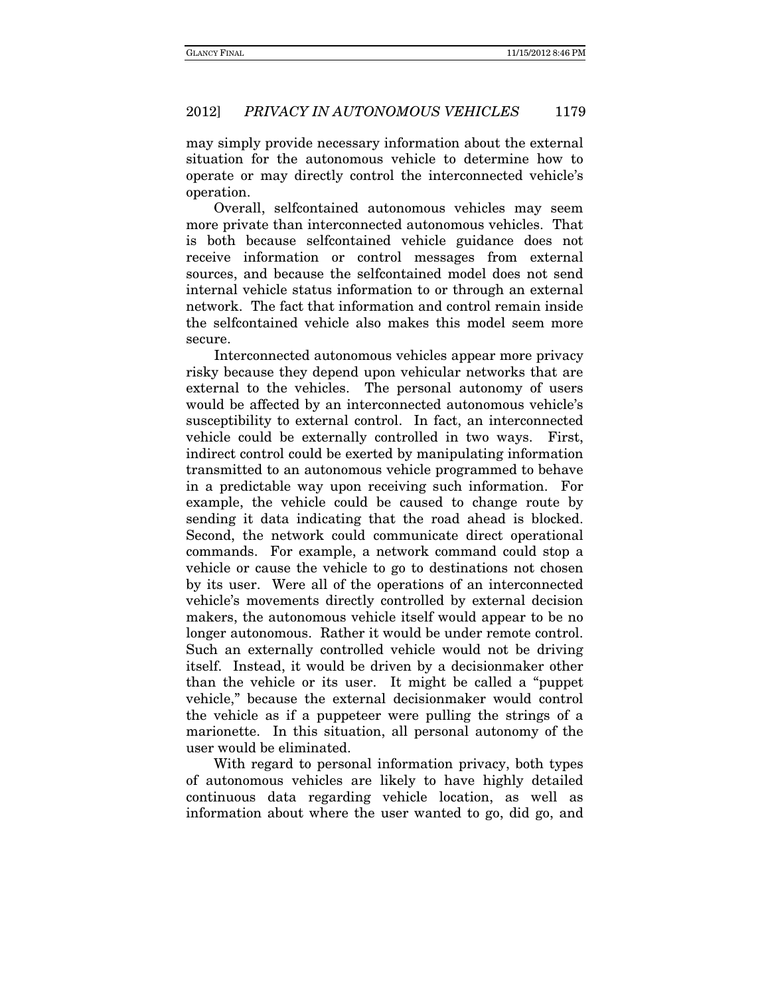may simply provide necessary information about the external situation for the autonomous vehicle to determine how to operate or may directly control the interconnected vehicle's operation.

Overall, selfcontained autonomous vehicles may seem more private than interconnected autonomous vehicles. That is both because selfcontained vehicle guidance does not receive information or control messages from external sources, and because the selfcontained model does not send internal vehicle status information to or through an external network. The fact that information and control remain inside the selfcontained vehicle also makes this model seem more secure.

Interconnected autonomous vehicles appear more privacy risky because they depend upon vehicular networks that are external to the vehicles. The personal autonomy of users would be affected by an interconnected autonomous vehicle's susceptibility to external control. In fact, an interconnected vehicle could be externally controlled in two ways. First, indirect control could be exerted by manipulating information transmitted to an autonomous vehicle programmed to behave in a predictable way upon receiving such information. For example, the vehicle could be caused to change route by sending it data indicating that the road ahead is blocked. Second, the network could communicate direct operational commands. For example, a network command could stop a vehicle or cause the vehicle to go to destinations not chosen by its user. Were all of the operations of an interconnected vehicle's movements directly controlled by external decision makers, the autonomous vehicle itself would appear to be no longer autonomous. Rather it would be under remote control. Such an externally controlled vehicle would not be driving itself. Instead, it would be driven by a decisionmaker other than the vehicle or its user. It might be called a "puppet vehicle," because the external decisionmaker would control the vehicle as if a puppeteer were pulling the strings of a marionette. In this situation, all personal autonomy of the user would be eliminated.

With regard to personal information privacy, both types of autonomous vehicles are likely to have highly detailed continuous data regarding vehicle location, as well as information about where the user wanted to go, did go, and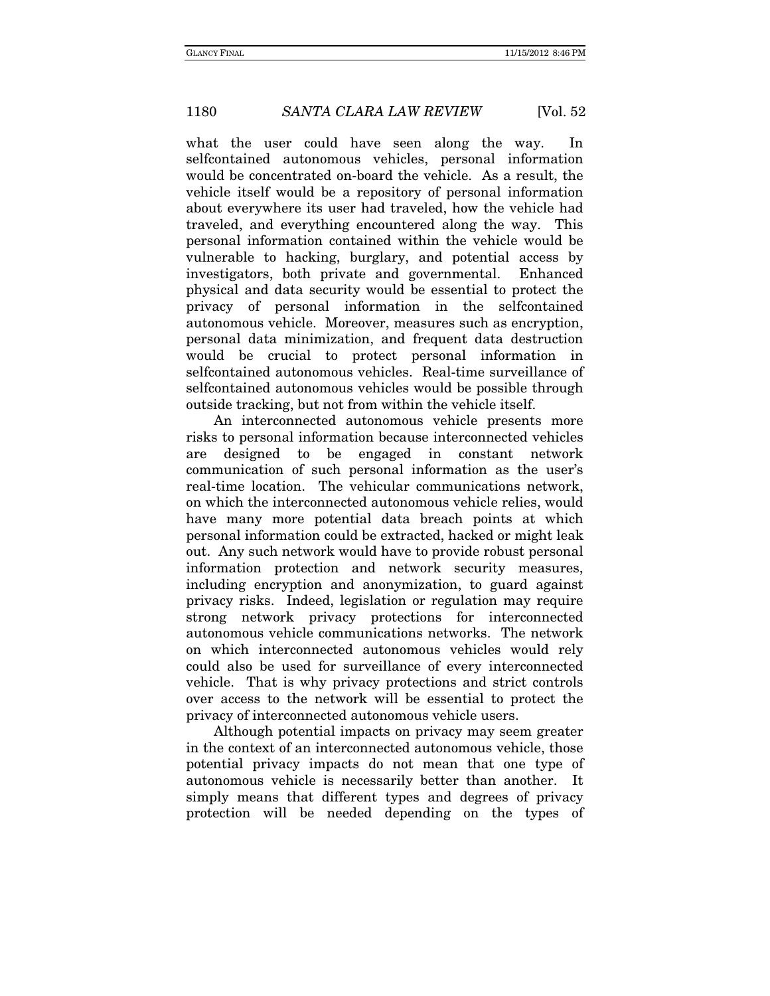what the user could have seen along the way. In selfcontained autonomous vehicles, personal information would be concentrated on-board the vehicle. As a result, the vehicle itself would be a repository of personal information about everywhere its user had traveled, how the vehicle had traveled, and everything encountered along the way. This personal information contained within the vehicle would be vulnerable to hacking, burglary, and potential access by investigators, both private and governmental. Enhanced physical and data security would be essential to protect the privacy of personal information in the selfcontained autonomous vehicle. Moreover, measures such as encryption, personal data minimization, and frequent data destruction would be crucial to protect personal information in selfcontained autonomous vehicles. Real-time surveillance of selfcontained autonomous vehicles would be possible through outside tracking, but not from within the vehicle itself.

An interconnected autonomous vehicle presents more risks to personal information because interconnected vehicles are designed to be engaged in constant network communication of such personal information as the user's real-time location. The vehicular communications network, on which the interconnected autonomous vehicle relies, would have many more potential data breach points at which personal information could be extracted, hacked or might leak out. Any such network would have to provide robust personal information protection and network security measures, including encryption and anonymization, to guard against privacy risks. Indeed, legislation or regulation may require strong network privacy protections for interconnected autonomous vehicle communications networks. The network on which interconnected autonomous vehicles would rely could also be used for surveillance of every interconnected vehicle. That is why privacy protections and strict controls over access to the network will be essential to protect the privacy of interconnected autonomous vehicle users.

Although potential impacts on privacy may seem greater in the context of an interconnected autonomous vehicle, those potential privacy impacts do not mean that one type of autonomous vehicle is necessarily better than another. It simply means that different types and degrees of privacy protection will be needed depending on the types of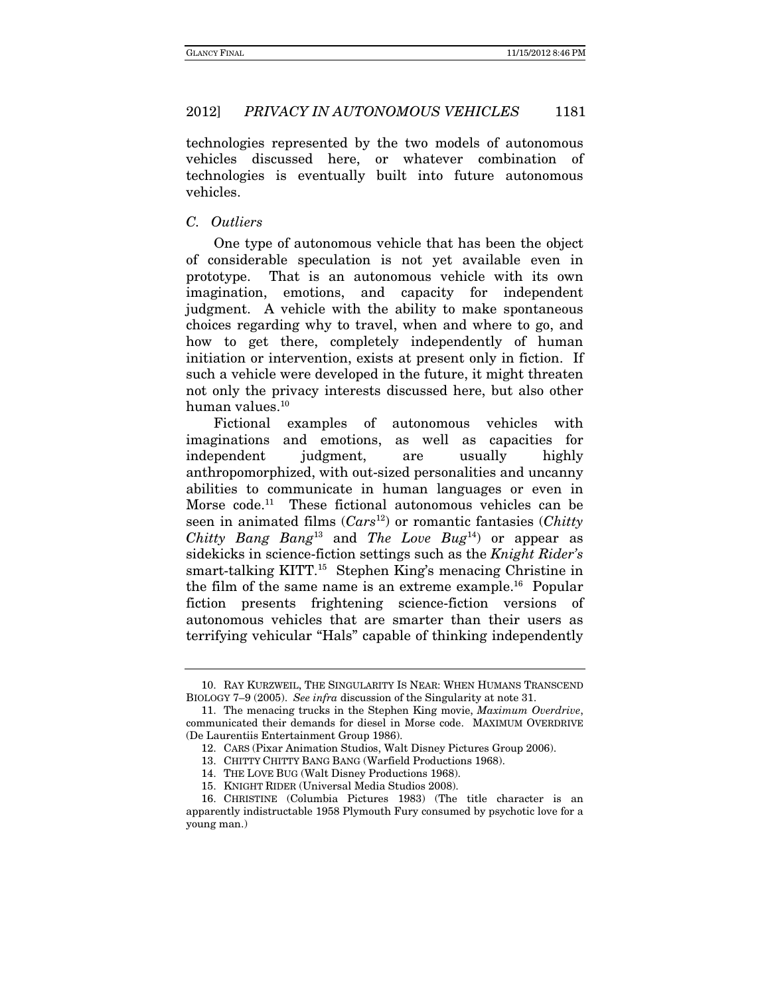technologies represented by the two models of autonomous vehicles discussed here, or whatever combination of technologies is eventually built into future autonomous vehicles.

#### C. Outliers

One type of autonomous vehicle that has been the object of considerable speculation is not yet available even in prototype. That is an autonomous vehicle with its own imagination, emotions, and capacity for independent judgment. A vehicle with the ability to make spontaneous choices regarding why to travel, when and where to go, and how to get there, completely independently of human initiation or intervention, exists at present only in fiction. If such a vehicle were developed in the future, it might threaten not only the privacy interests discussed here, but also other human values.<sup>10</sup>

Fictional examples of autonomous vehicles with imaginations and emotions, as well as capacities for independent judgment, are usually highly anthropomorphized, with out-sized personalities and uncanny abilities to communicate in human languages or even in Morse code.<sup>11</sup> These fictional autonomous vehicles can be seen in animated films  $(Cars^{12})$  or romantic fantasies  $(Chittv)$ Chitty Bang Bang<sup>13</sup> and The Love Bug<sup>14</sup>) or appear as sidekicks in science-fiction settings such as the Knight Rider's smart-talking KITT.<sup>15</sup> Stephen King's menacing Christine in the film of the same name is an extreme example.16 Popular fiction presents frightening science-fiction versions of autonomous vehicles that are smarter than their users as terrifying vehicular "Hals" capable of thinking independently

 <sup>10.</sup> RAY KURZWEIL, THE SINGULARITY IS NEAR: WHEN HUMANS TRANSCEND BIOLOGY 7–9 (2005). See infra discussion of the Singularity at note 31.

 <sup>11.</sup> The menacing trucks in the Stephen King movie, Maximum Overdrive, communicated their demands for diesel in Morse code. MAXIMUM OVERDRIVE (De Laurentiis Entertainment Group 1986).

 <sup>12.</sup> CARS (Pixar Animation Studios, Walt Disney Pictures Group 2006).

 <sup>13.</sup> CHITTY CHITTY BANG BANG (Warfield Productions 1968).

 <sup>14.</sup> THE LOVE BUG (Walt Disney Productions 1968).

 <sup>15.</sup> KNIGHT RIDER (Universal Media Studios 2008).

 <sup>16.</sup> CHRISTINE (Columbia Pictures 1983) (The title character is an apparently indistructable 1958 Plymouth Fury consumed by psychotic love for a young man.)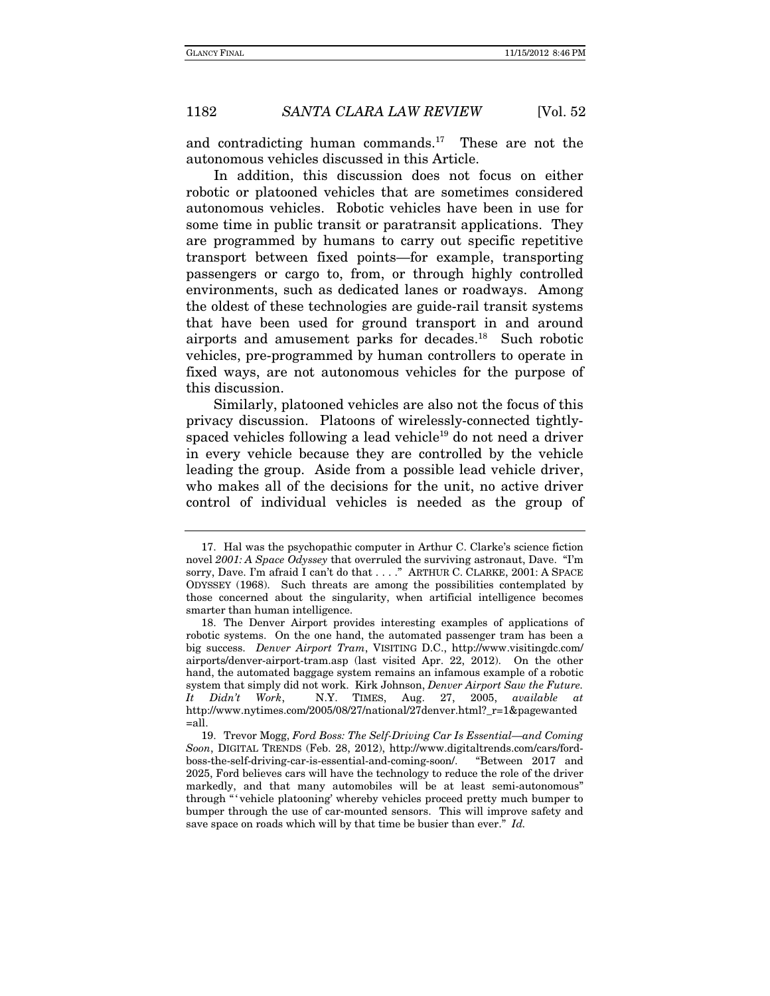and contradicting human commands.17 These are not the autonomous vehicles discussed in this Article.

In addition, this discussion does not focus on either robotic or platooned vehicles that are sometimes considered autonomous vehicles. Robotic vehicles have been in use for some time in public transit or paratransit applications. They are programmed by humans to carry out specific repetitive transport between fixed points—for example, transporting passengers or cargo to, from, or through highly controlled environments, such as dedicated lanes or roadways. Among the oldest of these technologies are guide-rail transit systems that have been used for ground transport in and around airports and amusement parks for decades.18 Such robotic vehicles, pre-programmed by human controllers to operate in fixed ways, are not autonomous vehicles for the purpose of this discussion.

Similarly, platooned vehicles are also not the focus of this privacy discussion. Platoons of wirelessly-connected tightlyspaced vehicles following a lead vehicle<sup>19</sup> do not need a driver in every vehicle because they are controlled by the vehicle leading the group. Aside from a possible lead vehicle driver, who makes all of the decisions for the unit, no active driver control of individual vehicles is needed as the group of

 <sup>17.</sup> Hal was the psychopathic computer in Arthur C. Clarke's science fiction novel 2001: A Space Odyssey that overruled the surviving astronaut, Dave. "I'm sorry, Dave. I'm afraid I can't do that . . . ." ARTHUR C. CLARKE, 2001: A SPACE ODYSSEY (1968). Such threats are among the possibilities contemplated by those concerned about the singularity, when artificial intelligence becomes smarter than human intelligence.

 <sup>18.</sup> The Denver Airport provides interesting examples of applications of robotic systems. On the one hand, the automated passenger tram has been a big success. Denver Airport Tram, VISITING D.C., http://www.visitingdc.com/ airports/denver-airport-tram.asp (last visited Apr. 22, 2012). On the other hand, the automated baggage system remains an infamous example of a robotic system that simply did not work. Kirk Johnson, Denver Airport Saw the Future. It Didn't Work, N.Y. TIMES, Aug. 27, 2005, available at http://www.nytimes.com/2005/08/27/national/27denver.html?\_r=1&pagewanted =all.

 <sup>19.</sup> Trevor Mogg, Ford Boss: The Self-Driving Car Is Essential—and Coming Soon, DIGITAL TRENDS (Feb. 28, 2012), http://www.digitaltrends.com/cars/fordboss-the-self-driving-car-is-essential-and-coming-soon/. "Between 2017 and 2025, Ford believes cars will have the technology to reduce the role of the driver markedly, and that many automobiles will be at least semi-autonomous" through "'vehicle platooning' whereby vehicles proceed pretty much bumper to bumper through the use of car-mounted sensors. This will improve safety and save space on roads which will by that time be busier than ever." Id.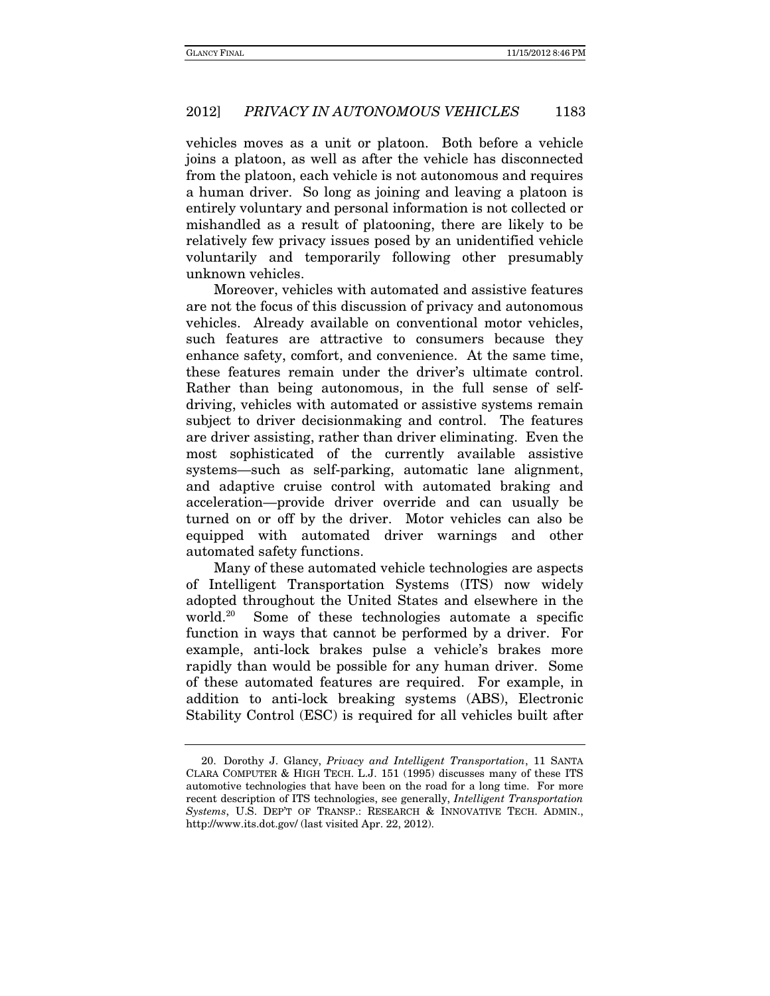vehicles moves as a unit or platoon. Both before a vehicle joins a platoon, as well as after the vehicle has disconnected from the platoon, each vehicle is not autonomous and requires a human driver. So long as joining and leaving a platoon is entirely voluntary and personal information is not collected or mishandled as a result of platooning, there are likely to be relatively few privacy issues posed by an unidentified vehicle voluntarily and temporarily following other presumably unknown vehicles.

Moreover, vehicles with automated and assistive features are not the focus of this discussion of privacy and autonomous vehicles. Already available on conventional motor vehicles, such features are attractive to consumers because they enhance safety, comfort, and convenience. At the same time, these features remain under the driver's ultimate control. Rather than being autonomous, in the full sense of selfdriving, vehicles with automated or assistive systems remain subject to driver decisionmaking and control. The features are driver assisting, rather than driver eliminating. Even the most sophisticated of the currently available assistive systems—such as self-parking, automatic lane alignment, and adaptive cruise control with automated braking and acceleration—provide driver override and can usually be turned on or off by the driver. Motor vehicles can also be equipped with automated driver warnings and other automated safety functions.

Many of these automated vehicle technologies are aspects of Intelligent Transportation Systems (ITS) now widely adopted throughout the United States and elsewhere in the world.20 Some of these technologies automate a specific function in ways that cannot be performed by a driver. For example, anti-lock brakes pulse a vehicle's brakes more rapidly than would be possible for any human driver. Some of these automated features are required. For example, in addition to anti-lock breaking systems (ABS), Electronic Stability Control (ESC) is required for all vehicles built after

 <sup>20.</sup> Dorothy J. Glancy, Privacy and Intelligent Transportation, 11 SANTA CLARA COMPUTER & HIGH TECH. L.J. 151 (1995) discusses many of these ITS automotive technologies that have been on the road for a long time. For more recent description of ITS technologies, see generally, Intelligent Transportation Systems, U.S. DEP'T OF TRANSP.: RESEARCH & INNOVATIVE TECH. ADMIN., http://www.its.dot.gov/ (last visited Apr. 22, 2012).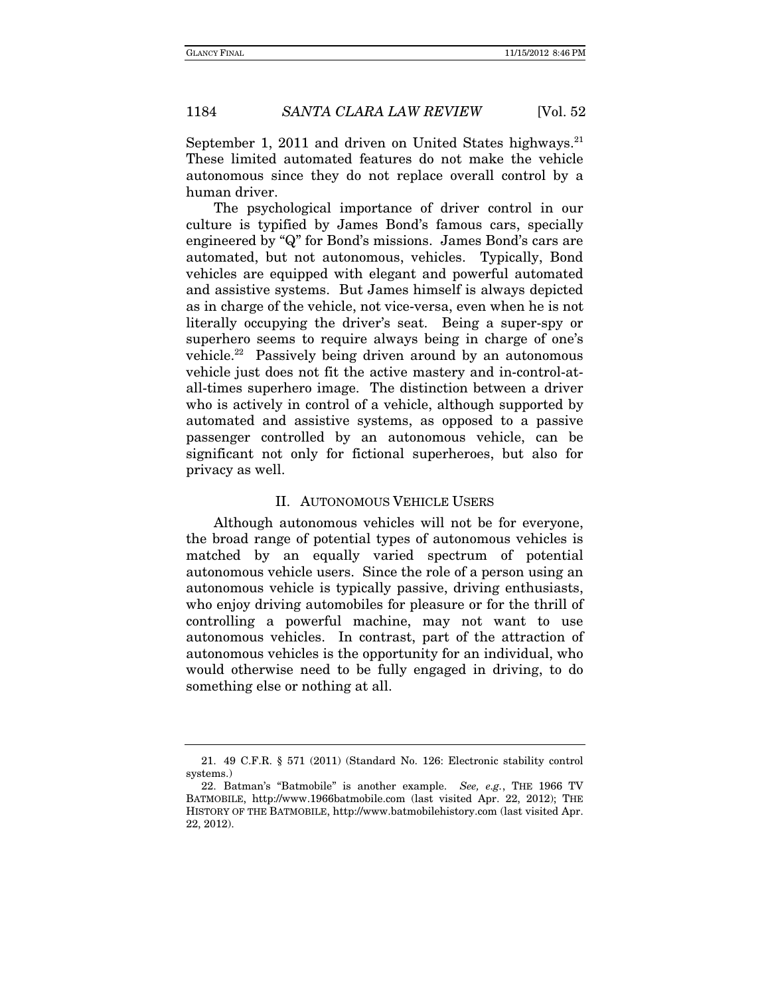September 1, 2011 and driven on United States highways.<sup>21</sup> These limited automated features do not make the vehicle autonomous since they do not replace overall control by a human driver.

The psychological importance of driver control in our culture is typified by James Bond's famous cars, specially engineered by "Q" for Bond's missions. James Bond's cars are automated, but not autonomous, vehicles. Typically, Bond vehicles are equipped with elegant and powerful automated and assistive systems. But James himself is always depicted as in charge of the vehicle, not vice-versa, even when he is not literally occupying the driver's seat. Being a super-spy or superhero seems to require always being in charge of one's vehicle.<sup>22</sup> Passively being driven around by an autonomous vehicle just does not fit the active mastery and in-control-atall-times superhero image. The distinction between a driver who is actively in control of a vehicle, although supported by automated and assistive systems, as opposed to a passive passenger controlled by an autonomous vehicle, can be significant not only for fictional superheroes, but also for privacy as well.

#### II. AUTONOMOUS VEHICLE USERS

Although autonomous vehicles will not be for everyone, the broad range of potential types of autonomous vehicles is matched by an equally varied spectrum of potential autonomous vehicle users. Since the role of a person using an autonomous vehicle is typically passive, driving enthusiasts, who enjoy driving automobiles for pleasure or for the thrill of controlling a powerful machine, may not want to use autonomous vehicles. In contrast, part of the attraction of autonomous vehicles is the opportunity for an individual, who would otherwise need to be fully engaged in driving, to do something else or nothing at all.

 <sup>21. 49</sup> C.F.R. § 571 (2011) (Standard No. 126: Electronic stability control systems.)

<sup>22.</sup> Batman's "Batmobile" is another example. See, e.g., THE 1966 TV BATMOBILE, http://www.1966batmobile.com (last visited Apr. 22, 2012); THE HISTORY OF THE BATMOBILE, http://www.batmobilehistory.com (last visited Apr. 22, 2012).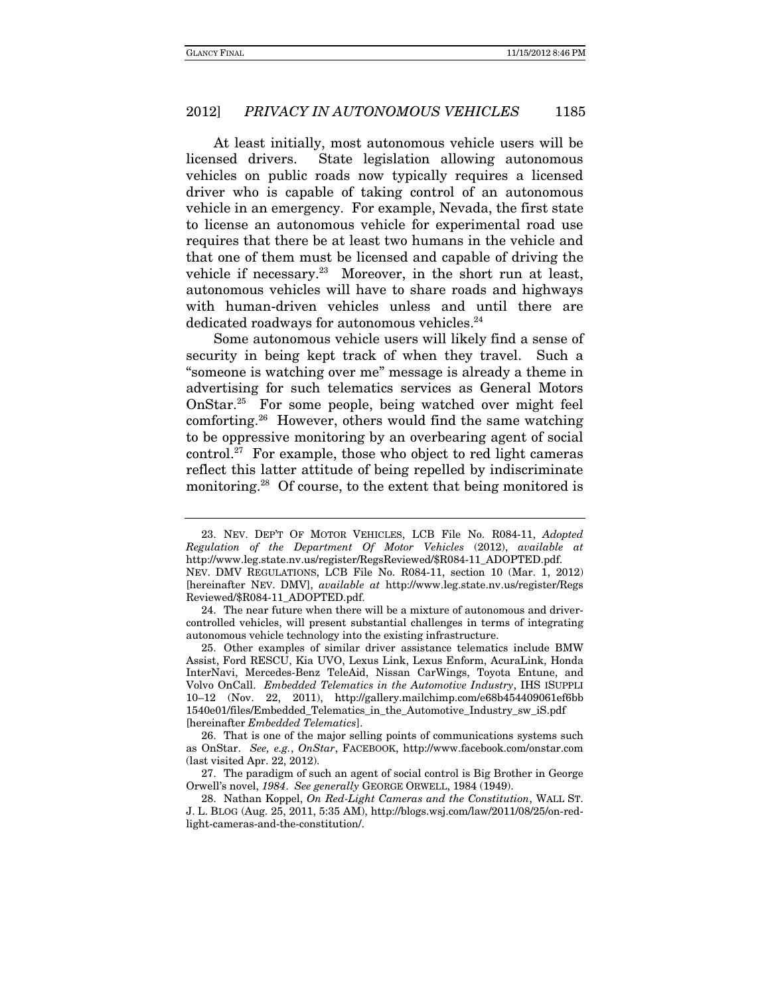At least initially, most autonomous vehicle users will be licensed drivers. State legislation allowing autonomous vehicles on public roads now typically requires a licensed driver who is capable of taking control of an autonomous vehicle in an emergency. For example, Nevada, the first state to license an autonomous vehicle for experimental road use requires that there be at least two humans in the vehicle and that one of them must be licensed and capable of driving the vehicle if necessary.23 Moreover, in the short run at least, autonomous vehicles will have to share roads and highways with human-driven vehicles unless and until there are dedicated roadways for autonomous vehicles.<sup>24</sup>

Some autonomous vehicle users will likely find a sense of security in being kept track of when they travel. Such a "someone is watching over me" message is already a theme in advertising for such telematics services as General Motors OnStar.25 For some people, being watched over might feel comforting.26 However, others would find the same watching to be oppressive monitoring by an overbearing agent of social control.<sup>27</sup> For example, those who object to red light cameras reflect this latter attitude of being repelled by indiscriminate monitoring.<sup>28</sup> Of course, to the extent that being monitored is

 24. The near future when there will be a mixture of autonomous and drivercontrolled vehicles, will present substantial challenges in terms of integrating autonomous vehicle technology into the existing infrastructure.

 25. Other examples of similar driver assistance telematics include BMW Assist, Ford RESCU, Kia UVO, Lexus Link, Lexus Enform, AcuraLink, Honda InterNavi, Mercedes-Benz TeleAid, Nissan CarWings, Toyota Entune, and Volvo OnCall. Embedded Telematics in the Automotive Industry, IHS ISUPPLI 10–12 (Nov. 22, 2011), http://gallery.mailchimp.com/e68b454409061ef6bb 1540e01/files/Embedded\_Telematics\_in\_the\_Automotive\_Industry\_sw\_iS.pdf [hereinafter Embedded Telematics].

 26. That is one of the major selling points of communications systems such as OnStar. See, e.g., OnStar, FACEBOOK, http://www.facebook.com/onstar.com (last visited Apr. 22, 2012).

 27. The paradigm of such an agent of social control is Big Brother in George Orwell's novel, 1984. See generally GEORGE ORWELL, 1984 (1949).

 28. Nathan Koppel, On Red-Light Cameras and the Constitution, WALL ST. J. L. BLOG (Aug. 25, 2011, 5:35 AM), http://blogs.wsj.com/law/2011/08/25/on-redlight-cameras-and-the-constitution/.

 <sup>23.</sup> NEV. DEP'T OF MOTOR VEHICLES, LCB File No. R084-11, Adopted Regulation of the Department Of Motor Vehicles (2012), available at http://www.leg.state.nv.us/register/RegsReviewed/\$R084-11\_ADOPTED.pdf. NEV. DMV REGULATIONS, LCB File No. R084-11, section 10 (Mar. 1, 2012) [hereinafter NEV. DMV], available at http://www.leg.state.nv.us/register/Regs Reviewed/\$R084-11\_ADOPTED.pdf.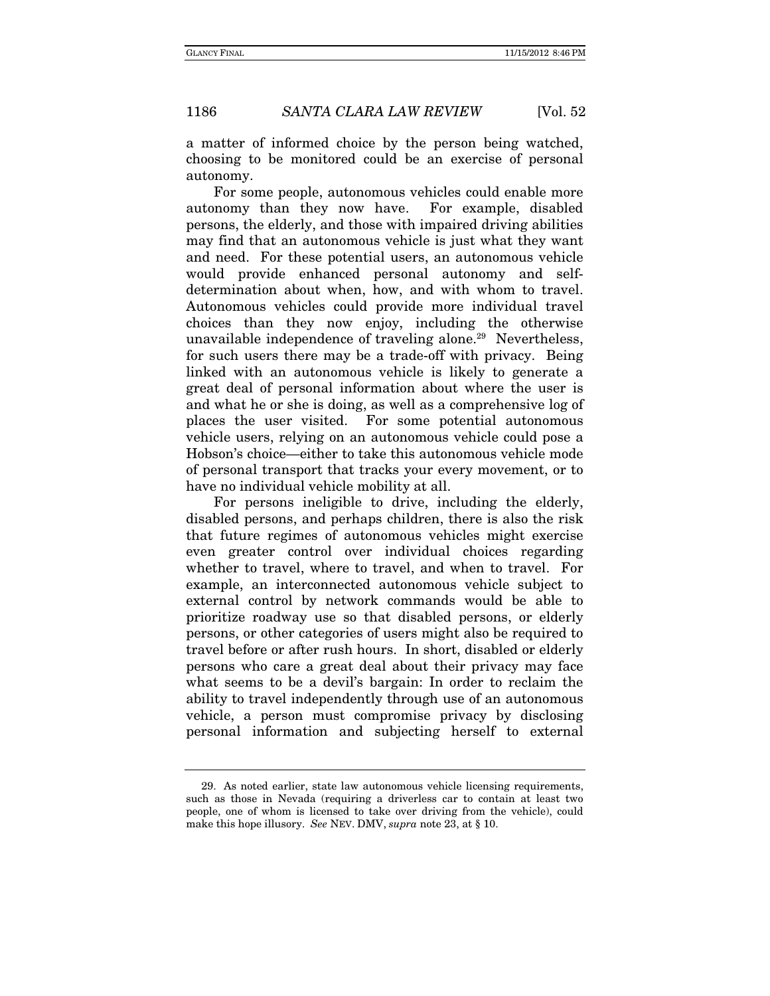a matter of informed choice by the person being watched, choosing to be monitored could be an exercise of personal autonomy.

For some people, autonomous vehicles could enable more autonomy than they now have. For example, disabled persons, the elderly, and those with impaired driving abilities may find that an autonomous vehicle is just what they want and need. For these potential users, an autonomous vehicle would provide enhanced personal autonomy and selfdetermination about when, how, and with whom to travel. Autonomous vehicles could provide more individual travel choices than they now enjoy, including the otherwise unavailable independence of traveling alone.<sup>29</sup> Nevertheless, for such users there may be a trade-off with privacy. Being linked with an autonomous vehicle is likely to generate a great deal of personal information about where the user is and what he or she is doing, as well as a comprehensive log of places the user visited. For some potential autonomous vehicle users, relying on an autonomous vehicle could pose a Hobson's choice—either to take this autonomous vehicle mode of personal transport that tracks your every movement, or to have no individual vehicle mobility at all.

For persons ineligible to drive, including the elderly, disabled persons, and perhaps children, there is also the risk that future regimes of autonomous vehicles might exercise even greater control over individual choices regarding whether to travel, where to travel, and when to travel. For example, an interconnected autonomous vehicle subject to external control by network commands would be able to prioritize roadway use so that disabled persons, or elderly persons, or other categories of users might also be required to travel before or after rush hours. In short, disabled or elderly persons who care a great deal about their privacy may face what seems to be a devil's bargain: In order to reclaim the ability to travel independently through use of an autonomous vehicle, a person must compromise privacy by disclosing personal information and subjecting herself to external

 <sup>29.</sup> As noted earlier, state law autonomous vehicle licensing requirements, such as those in Nevada (requiring a driverless car to contain at least two people, one of whom is licensed to take over driving from the vehicle), could make this hope illusory. See NEV. DMV, supra note 23, at § 10.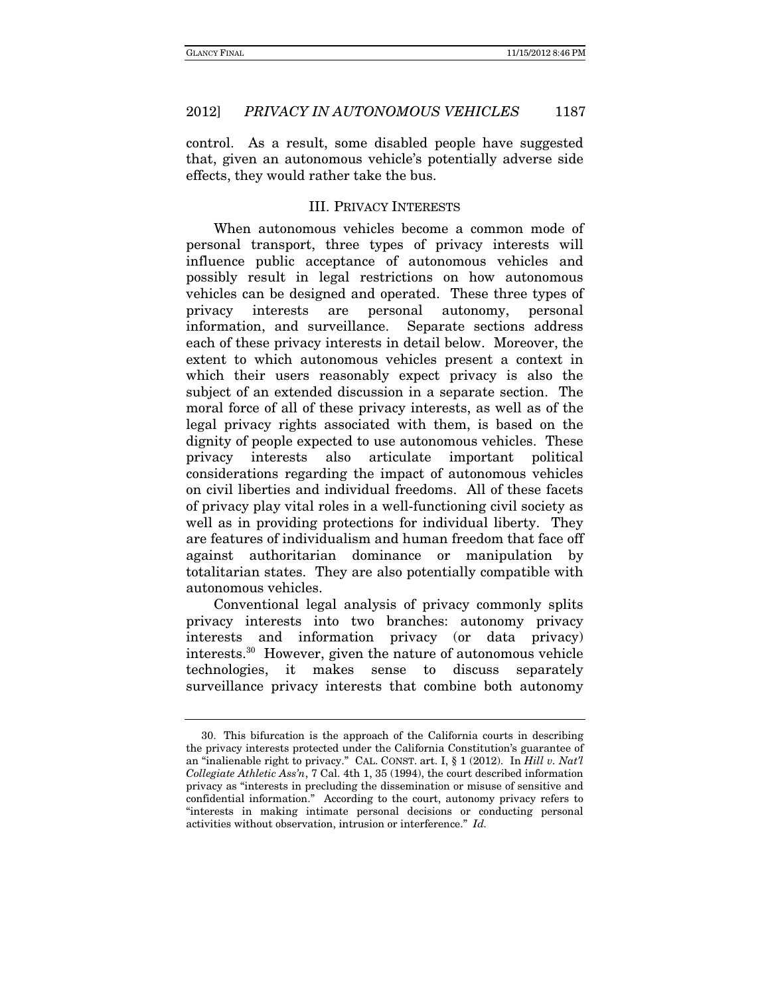control. As a result, some disabled people have suggested that, given an autonomous vehicle's potentially adverse side effects, they would rather take the bus.

# III. PRIVACY INTERESTS

When autonomous vehicles become a common mode of personal transport, three types of privacy interests will influence public acceptance of autonomous vehicles and possibly result in legal restrictions on how autonomous vehicles can be designed and operated. These three types of privacy interests are personal autonomy, personal information, and surveillance. Separate sections address each of these privacy interests in detail below. Moreover, the extent to which autonomous vehicles present a context in which their users reasonably expect privacy is also the subject of an extended discussion in a separate section. The moral force of all of these privacy interests, as well as of the legal privacy rights associated with them, is based on the dignity of people expected to use autonomous vehicles. These privacy interests also articulate important political considerations regarding the impact of autonomous vehicles on civil liberties and individual freedoms. All of these facets of privacy play vital roles in a well-functioning civil society as well as in providing protections for individual liberty. They are features of individualism and human freedom that face off against authoritarian dominance or manipulation by totalitarian states. They are also potentially compatible with autonomous vehicles.

Conventional legal analysis of privacy commonly splits privacy interests into two branches: autonomy privacy interests and information privacy (or data privacy) interests.30 However, given the nature of autonomous vehicle technologies, it makes sense to discuss separately surveillance privacy interests that combine both autonomy

 <sup>30.</sup> This bifurcation is the approach of the California courts in describing the privacy interests protected under the California Constitution's guarantee of an "inalienable right to privacy." CAL. CONST. art. I, § 1 (2012). In Hill v. Nat'l Collegiate Athletic Ass'n, 7 Cal. 4th 1, 35 (1994), the court described information privacy as "interests in precluding the dissemination or misuse of sensitive and confidential information." According to the court, autonomy privacy refers to "interests in making intimate personal decisions or conducting personal activities without observation, intrusion or interference." Id.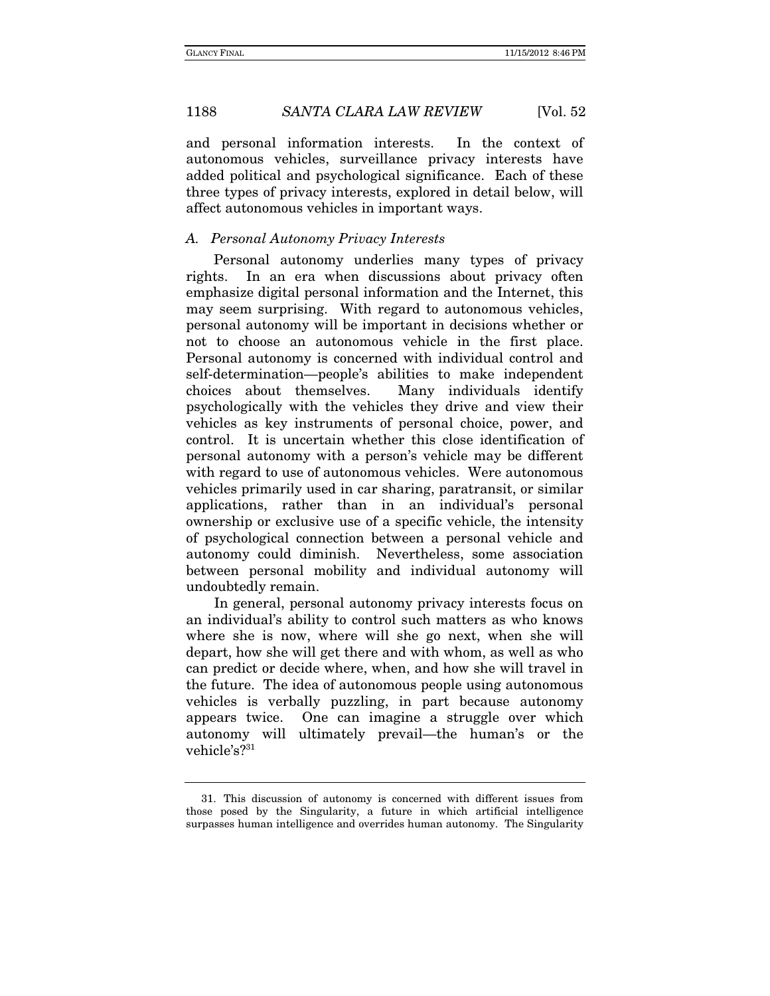and personal information interests. In the context of autonomous vehicles, surveillance privacy interests have added political and psychological significance. Each of these three types of privacy interests, explored in detail below, will affect autonomous vehicles in important ways.

#### A. Personal Autonomy Privacy Interests

Personal autonomy underlies many types of privacy rights. In an era when discussions about privacy often emphasize digital personal information and the Internet, this may seem surprising. With regard to autonomous vehicles, personal autonomy will be important in decisions whether or not to choose an autonomous vehicle in the first place. Personal autonomy is concerned with individual control and self-determination—people's abilities to make independent choices about themselves. Many individuals identify psychologically with the vehicles they drive and view their vehicles as key instruments of personal choice, power, and control. It is uncertain whether this close identification of personal autonomy with a person's vehicle may be different with regard to use of autonomous vehicles. Were autonomous vehicles primarily used in car sharing, paratransit, or similar applications, rather than in an individual's personal ownership or exclusive use of a specific vehicle, the intensity of psychological connection between a personal vehicle and autonomy could diminish. Nevertheless, some association between personal mobility and individual autonomy will undoubtedly remain.

In general, personal autonomy privacy interests focus on an individual's ability to control such matters as who knows where she is now, where will she go next, when she will depart, how she will get there and with whom, as well as who can predict or decide where, when, and how she will travel in the future. The idea of autonomous people using autonomous vehicles is verbally puzzling, in part because autonomy appears twice. One can imagine a struggle over which autonomy will ultimately prevail—the human's or the vehicle's?<sup>31</sup>

 <sup>31.</sup> This discussion of autonomy is concerned with different issues from those posed by the Singularity, a future in which artificial intelligence surpasses human intelligence and overrides human autonomy. The Singularity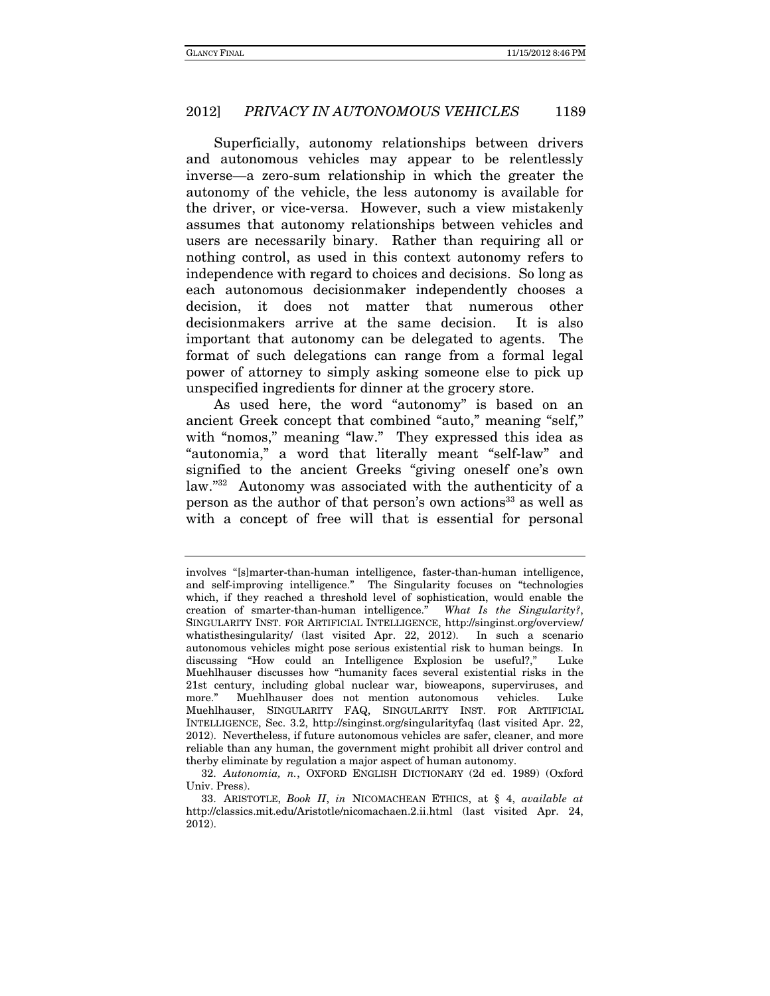Superficially, autonomy relationships between drivers and autonomous vehicles may appear to be relentlessly inverse—a zero-sum relationship in which the greater the autonomy of the vehicle, the less autonomy is available for the driver, or vice-versa. However, such a view mistakenly assumes that autonomy relationships between vehicles and users are necessarily binary. Rather than requiring all or nothing control, as used in this context autonomy refers to independence with regard to choices and decisions. So long as each autonomous decisionmaker independently chooses a decision, it does not matter that numerous other decisionmakers arrive at the same decision. It is also important that autonomy can be delegated to agents. The format of such delegations can range from a formal legal power of attorney to simply asking someone else to pick up unspecified ingredients for dinner at the grocery store.

As used here, the word "autonomy" is based on an ancient Greek concept that combined "auto," meaning "self," with "nomos," meaning "law." They expressed this idea as "autonomia," a word that literally meant "self-law" and signified to the ancient Greeks "giving oneself one's own law."32 Autonomy was associated with the authenticity of a person as the author of that person's own actions<sup>33</sup> as well as with a concept of free will that is essential for personal

involves "[s]marter-than-human intelligence, faster-than-human intelligence, and self-improving intelligence." The Singularity focuses on "technologies which, if they reached a threshold level of sophistication, would enable the creation of smarter-than-human intelligence." What Is the Singularity?, SINGULARITY INST. FOR ARTIFICIAL INTELLIGENCE, http://singinst.org/overview/ whatisthesingularity/ (last visited Apr. 22, 2012). In such a scenario autonomous vehicles might pose serious existential risk to human beings. In discussing "How could an Intelligence Explosion be useful?," Luke Muehlhauser discusses how "humanity faces several existential risks in the 21st century, including global nuclear war, bioweapons, superviruses, and Muehlhauser does not mention autonomous vehicles. Luke Muehlhauser, SINGULARITY FAQ, SINGULARITY INST. FOR ARTIFICIAL INTELLIGENCE, Sec. 3.2, http://singinst.org/singularityfaq (last visited Apr. 22, 2012). Nevertheless, if future autonomous vehicles are safer, cleaner, and more reliable than any human, the government might prohibit all driver control and therby eliminate by regulation a major aspect of human autonomy.

 <sup>32.</sup> Autonomia, n., OXFORD ENGLISH DICTIONARY (2d ed. 1989) (Oxford Univ. Press).

<sup>33.</sup> ARISTOTLE, Book II, in NICOMACHEAN ETHICS, at § 4, available at http://classics.mit.edu/Aristotle/nicomachaen.2.ii.html (last visited Apr. 24, 2012).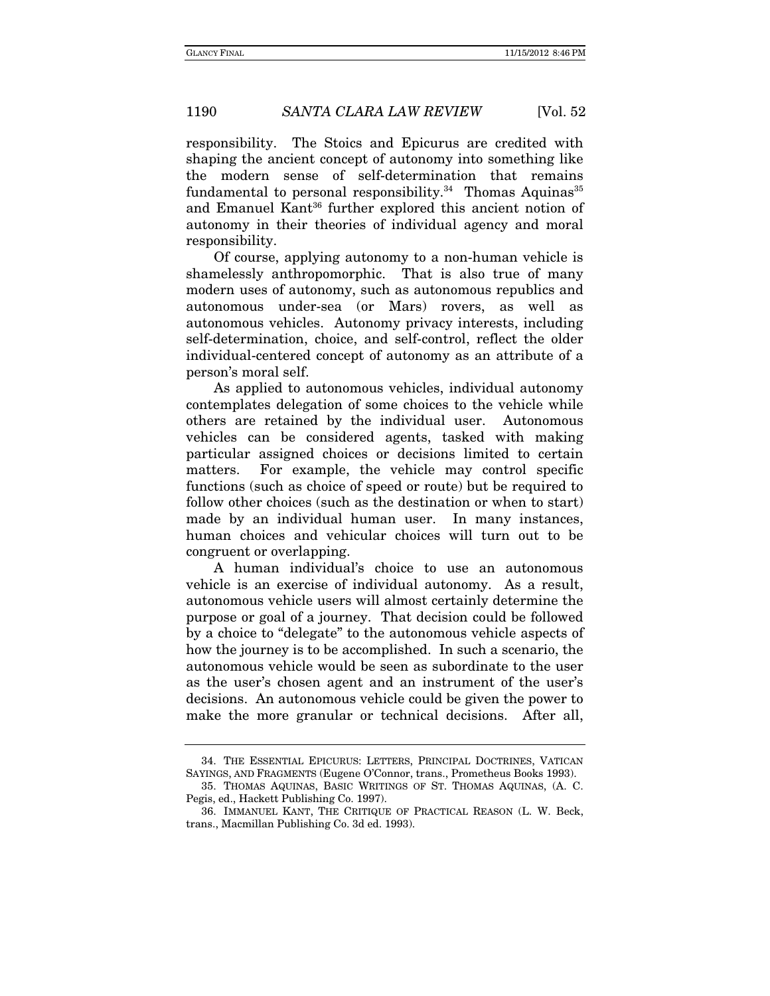responsibility. The Stoics and Epicurus are credited with shaping the ancient concept of autonomy into something like the modern sense of self-determination that remains fundamental to personal responsibility.<sup>34</sup> Thomas Aquinas<sup>35</sup> and Emanuel Kant<sup>36</sup> further explored this ancient notion of autonomy in their theories of individual agency and moral responsibility.

Of course, applying autonomy to a non-human vehicle is shamelessly anthropomorphic. That is also true of many modern uses of autonomy, such as autonomous republics and autonomous under-sea (or Mars) rovers, as well as autonomous vehicles. Autonomy privacy interests, including self-determination, choice, and self-control, reflect the older individual-centered concept of autonomy as an attribute of a person's moral self.

As applied to autonomous vehicles, individual autonomy contemplates delegation of some choices to the vehicle while others are retained by the individual user. Autonomous vehicles can be considered agents, tasked with making particular assigned choices or decisions limited to certain matters. For example, the vehicle may control specific functions (such as choice of speed or route) but be required to follow other choices (such as the destination or when to start) made by an individual human user. In many instances, human choices and vehicular choices will turn out to be congruent or overlapping.

A human individual's choice to use an autonomous vehicle is an exercise of individual autonomy. As a result, autonomous vehicle users will almost certainly determine the purpose or goal of a journey. That decision could be followed by a choice to "delegate" to the autonomous vehicle aspects of how the journey is to be accomplished. In such a scenario, the autonomous vehicle would be seen as subordinate to the user as the user's chosen agent and an instrument of the user's decisions. An autonomous vehicle could be given the power to make the more granular or technical decisions. After all,

 <sup>34.</sup> THE ESSENTIAL EPICURUS: LETTERS, PRINCIPAL DOCTRINES, VATICAN SAYINGS, AND FRAGMENTS (Eugene O'Connor, trans., Prometheus Books 1993).

 <sup>35.</sup> THOMAS AQUINAS, BASIC WRITINGS OF ST. THOMAS AQUINAS, (A. C. Pegis, ed., Hackett Publishing Co. 1997).

 <sup>36.</sup> IMMANUEL KANT, THE CRITIQUE OF PRACTICAL REASON (L. W. Beck, trans., Macmillan Publishing Co. 3d ed. 1993).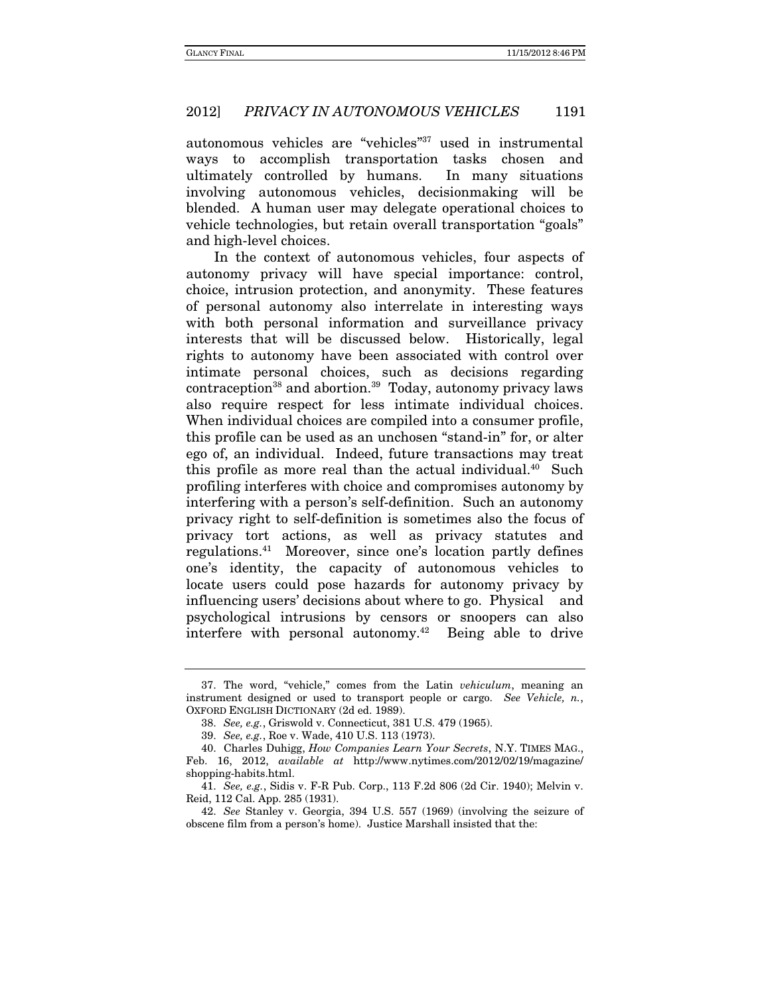autonomous vehicles are "vehicles"37 used in instrumental ways to accomplish transportation tasks chosen and ultimately controlled by humans. In many situations involving autonomous vehicles, decisionmaking will be blended. A human user may delegate operational choices to vehicle technologies, but retain overall transportation "goals" and high-level choices.

In the context of autonomous vehicles, four aspects of autonomy privacy will have special importance: control, choice, intrusion protection, and anonymity. These features of personal autonomy also interrelate in interesting ways with both personal information and surveillance privacy interests that will be discussed below. Historically, legal rights to autonomy have been associated with control over intimate personal choices, such as decisions regarding  $contracption<sup>38</sup>$  and abortion.<sup>39</sup> Today, autonomy privacy laws also require respect for less intimate individual choices. When individual choices are compiled into a consumer profile, this profile can be used as an unchosen "stand-in" for, or alter ego of, an individual. Indeed, future transactions may treat this profile as more real than the actual individual.<sup>40</sup> Such profiling interferes with choice and compromises autonomy by interfering with a person's self-definition. Such an autonomy privacy right to self-definition is sometimes also the focus of privacy tort actions, as well as privacy statutes and regulations.41 Moreover, since one's location partly defines one's identity, the capacity of autonomous vehicles to locate users could pose hazards for autonomy privacy by influencing users' decisions about where to go. Physical and psychological intrusions by censors or snoopers can also interfere with personal autonomy.<sup>42</sup> Being able to drive

 <sup>37.</sup> The word, "vehicle," comes from the Latin vehiculum, meaning an instrument designed or used to transport people or cargo. See Vehicle, n., OXFORD ENGLISH DICTIONARY (2d ed. 1989).

<sup>38.</sup> See, e.g., Griswold v. Connecticut, 381 U.S. 479 (1965).

<sup>39.</sup> See, e.g., Roe v. Wade, 410 U.S. 113 (1973).

 <sup>40.</sup> Charles Duhigg, How Companies Learn Your Secrets, N.Y. TIMES MAG., Feb. 16, 2012, available at http://www.nytimes.com/2012/02/19/magazine/ shopping-habits.html.

 <sup>41.</sup> See, e.g., Sidis v. F-R Pub. Corp., 113 F.2d 806 (2d Cir. 1940); Melvin v. Reid, 112 Cal. App. 285 (1931).

<sup>42.</sup> See Stanley v. Georgia, 394 U.S. 557 (1969) (involving the seizure of obscene film from a person's home). Justice Marshall insisted that the: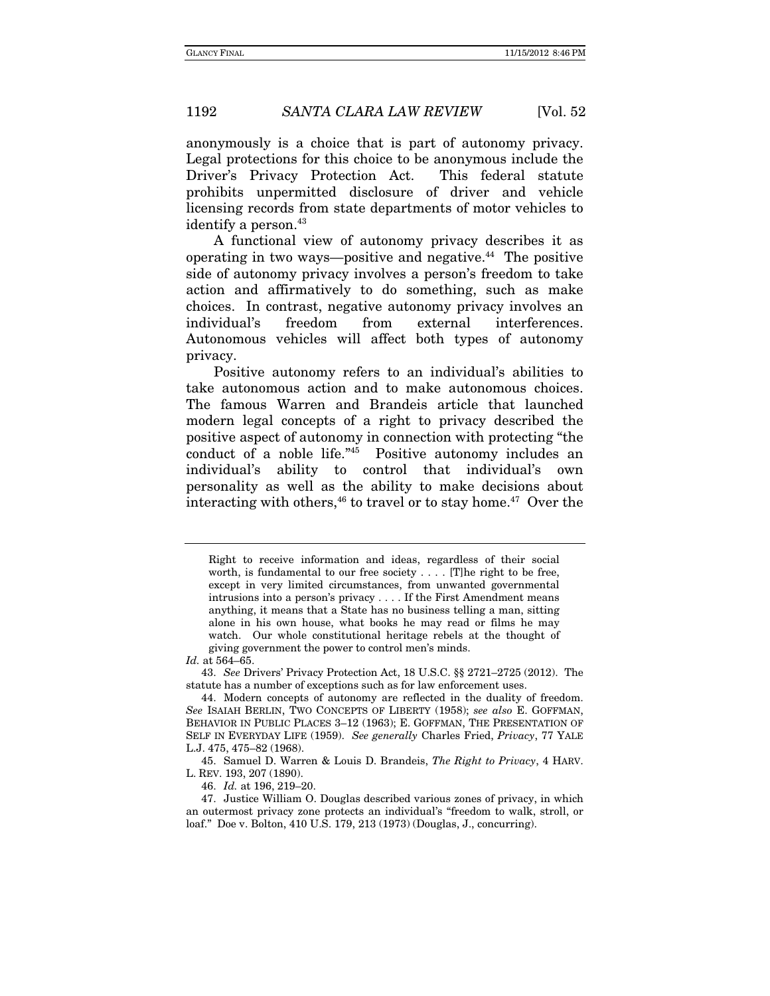anonymously is a choice that is part of autonomy privacy. Legal protections for this choice to be anonymous include the Driver's Privacy Protection Act. This federal statute prohibits unpermitted disclosure of driver and vehicle licensing records from state departments of motor vehicles to identify a person.<sup>43</sup>

A functional view of autonomy privacy describes it as operating in two ways—positive and negative. $44$  The positive side of autonomy privacy involves a person's freedom to take action and affirmatively to do something, such as make choices. In contrast, negative autonomy privacy involves an individual's freedom from external interferences. Autonomous vehicles will affect both types of autonomy privacy.

Positive autonomy refers to an individual's abilities to take autonomous action and to make autonomous choices. The famous Warren and Brandeis article that launched modern legal concepts of a right to privacy described the positive aspect of autonomy in connection with protecting "the conduct of a noble life."45 Positive autonomy includes an individual's ability to control that individual's own personality as well as the ability to make decisions about interacting with others,  $46$  to travel or to stay home.  $47$  Over the

 45. Samuel D. Warren & Louis D. Brandeis, The Right to Privacy, 4 HARV. L. REV. 193, 207 (1890).

46. Id. at 196, 219–20.

Right to receive information and ideas, regardless of their social worth, is fundamental to our free society . . . . [T]he right to be free, except in very limited circumstances, from unwanted governmental intrusions into a person's privacy . . . . If the First Amendment means anything, it means that a State has no business telling a man, sitting alone in his own house, what books he may read or films he may watch. Our whole constitutional heritage rebels at the thought of giving government the power to control men's minds.

Id. at 564–65.

<sup>43.</sup> See Drivers' Privacy Protection Act, 18 U.S.C. §§ 2721–2725 (2012). The statute has a number of exceptions such as for law enforcement uses.

 <sup>44.</sup> Modern concepts of autonomy are reflected in the duality of freedom. See ISAIAH BERLIN, TWO CONCEPTS OF LIBERTY (1958); see also E. GOFFMAN, BEHAVIOR IN PUBLIC PLACES 3–12 (1963); E. GOFFMAN, THE PRESENTATION OF SELF IN EVERYDAY LIFE (1959). See generally Charles Fried, Privacy, 77 YALE L.J. 475, 475–82 (1968).

 <sup>47.</sup> Justice William O. Douglas described various zones of privacy, in which an outermost privacy zone protects an individual's "freedom to walk, stroll, or loaf." Doe v. Bolton, 410 U.S. 179, 213 (1973) (Douglas, J., concurring).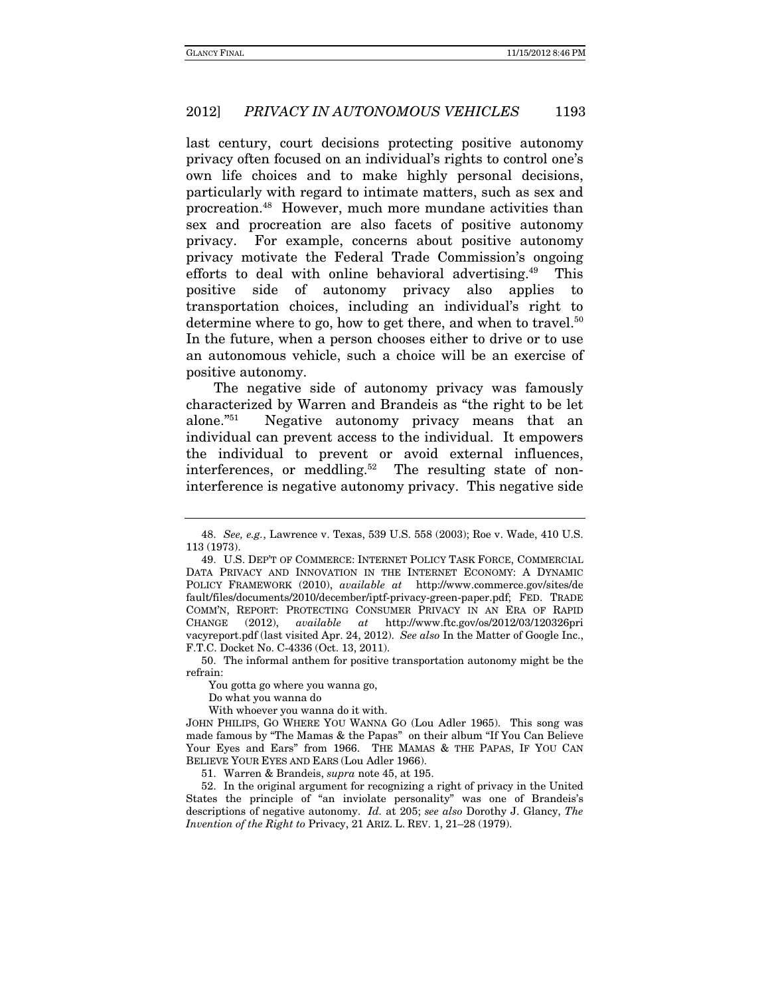last century, court decisions protecting positive autonomy privacy often focused on an individual's rights to control one's own life choices and to make highly personal decisions, particularly with regard to intimate matters, such as sex and procreation.48 However, much more mundane activities than sex and procreation are also facets of positive autonomy privacy. For example, concerns about positive autonomy privacy motivate the Federal Trade Commission's ongoing efforts to deal with online behavioral advertising.<sup>49</sup> This positive side of autonomy privacy also applies to transportation choices, including an individual's right to determine where to go, how to get there, and when to travel.<sup>50</sup> In the future, when a person chooses either to drive or to use an autonomous vehicle, such a choice will be an exercise of positive autonomy.

The negative side of autonomy privacy was famously characterized by Warren and Brandeis as "the right to be let alone."51 Negative autonomy privacy means that an individual can prevent access to the individual. It empowers the individual to prevent or avoid external influences, interferences, or meddling.<sup>52</sup> The resulting state of noninterference is negative autonomy privacy. This negative side

 50. The informal anthem for positive transportation autonomy might be the refrain:

You gotta go where you wanna go,

Do what you wanna do

With whoever you wanna do it with.

51. Warren & Brandeis, supra note 45, at 195.

 52. In the original argument for recognizing a right of privacy in the United States the principle of "an inviolate personality" was one of Brandeis's descriptions of negative autonomy. Id. at 205; see also Dorothy J. Glancy, The Invention of the Right to Privacy, 21 ARIZ. L. REV. 1, 21–28 (1979).

<sup>48.</sup> See, e.g., Lawrence v. Texas, 539 U.S. 558 (2003); Roe v. Wade, 410 U.S. 113 (1973).

 <sup>49.</sup> U.S. DEP'T OF COMMERCE: INTERNET POLICY TASK FORCE, COMMERCIAL DATA PRIVACY AND INNOVATION IN THE INTERNET ECONOMY: A DYNAMIC POLICY FRAMEWORK (2010), available at http://www.commerce.gov/sites/de fault/files/documents/2010/december/iptf-privacy-green-paper.pdf; FED. TRADE COMM'N, REPORT: PROTECTING CONSUMER PRIVACY IN AN ERA OF RAPID CHANGE (2012), available at http://www.ftc.gov/os/2012/03/120326pri vacyreport.pdf (last visited Apr. 24, 2012). See also In the Matter of Google Inc., F.T.C. Docket No. C-4336 (Oct. 13, 2011).

JOHN PHILIPS, GO WHERE YOU WANNA GO (Lou Adler 1965). This song was made famous by "The Mamas & the Papas" on their album "If You Can Believe Your Eyes and Ears" from 1966. THE MAMAS & THE PAPAS, IF YOU CAN BELIEVE YOUR EYES AND EARS (Lou Adler 1966).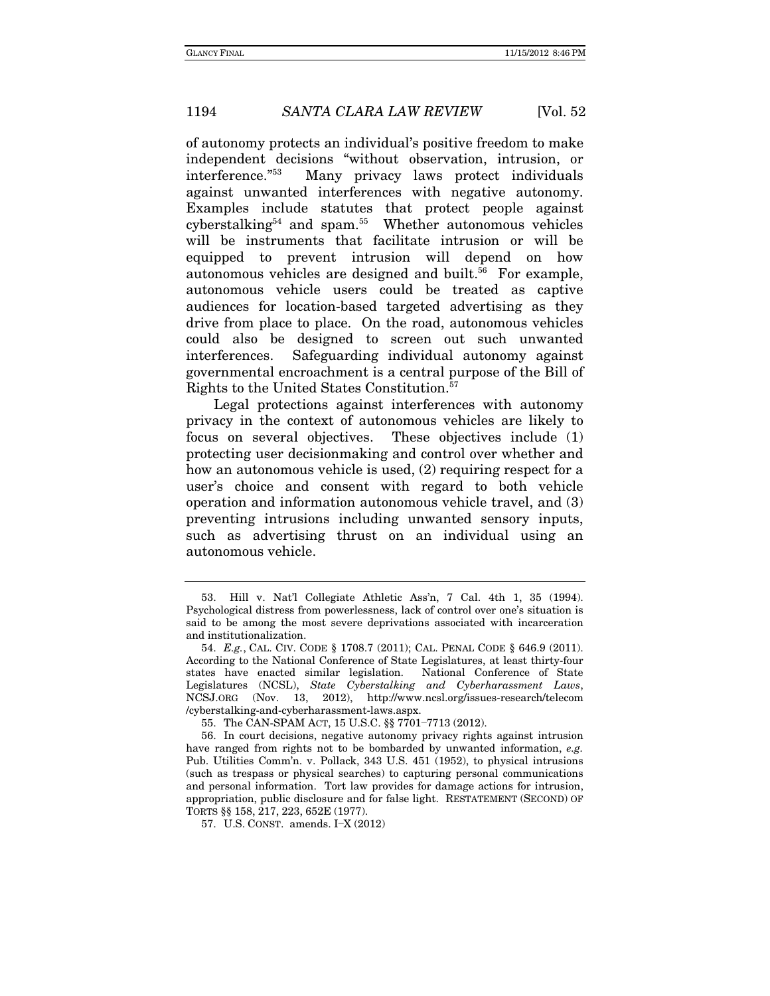of autonomy protects an individual's positive freedom to make independent decisions "without observation, intrusion, or interference."53 Many privacy laws protect individuals against unwanted interferences with negative autonomy. Examples include statutes that protect people against  $cyberstalking<sup>54</sup>$  and spam.<sup>55</sup> Whether autonomous vehicles will be instruments that facilitate intrusion or will be equipped to prevent intrusion will depend on how autonomous vehicles are designed and built.<sup>56</sup> For example, autonomous vehicle users could be treated as captive audiences for location-based targeted advertising as they drive from place to place. On the road, autonomous vehicles could also be designed to screen out such unwanted interferences. Safeguarding individual autonomy against governmental encroachment is a central purpose of the Bill of Rights to the United States Constitution.57

Legal protections against interferences with autonomy privacy in the context of autonomous vehicles are likely to focus on several objectives. These objectives include (1) protecting user decisionmaking and control over whether and how an autonomous vehicle is used, (2) requiring respect for a user's choice and consent with regard to both vehicle operation and information autonomous vehicle travel, and (3) preventing intrusions including unwanted sensory inputs, such as advertising thrust on an individual using an autonomous vehicle.

 <sup>53.</sup> Hill v. Nat'l Collegiate Athletic Ass'n, 7 Cal. 4th 1, 35 (1994). Psychological distress from powerlessness, lack of control over one's situation is said to be among the most severe deprivations associated with incarceration and institutionalization.

 <sup>54.</sup> E.g., CAL. CIV. CODE § 1708.7 (2011); CAL. PENAL CODE § 646.9 (2011). According to the National Conference of State Legislatures, at least thirty-four states have enacted similar legislation. National Conference of State Legislatures (NCSL), State Cyberstalking and Cyberharassment Laws, NCSJ.ORG (Nov. 13, 2012), http://www.ncsl.org/issues-research/telecom /cyberstalking-and-cyberharassment-laws.aspx.

 <sup>55.</sup> The CAN-SPAM ACT, 15 U.S.C. §§ 7701−7713 (2012).

 <sup>56.</sup> In court decisions, negative autonomy privacy rights against intrusion have ranged from rights not to be bombarded by unwanted information, e.g. Pub. Utilities Comm'n. v. Pollack, 343 U.S. 451 (1952), to physical intrusions (such as trespass or physical searches) to capturing personal communications and personal information. Tort law provides for damage actions for intrusion, appropriation, public disclosure and for false light. RESTATEMENT (SECOND) OF TORTS §§ 158, 217, 223, 652E (1977).

 <sup>57.</sup> U.S. CONST. amends. I−X (2012)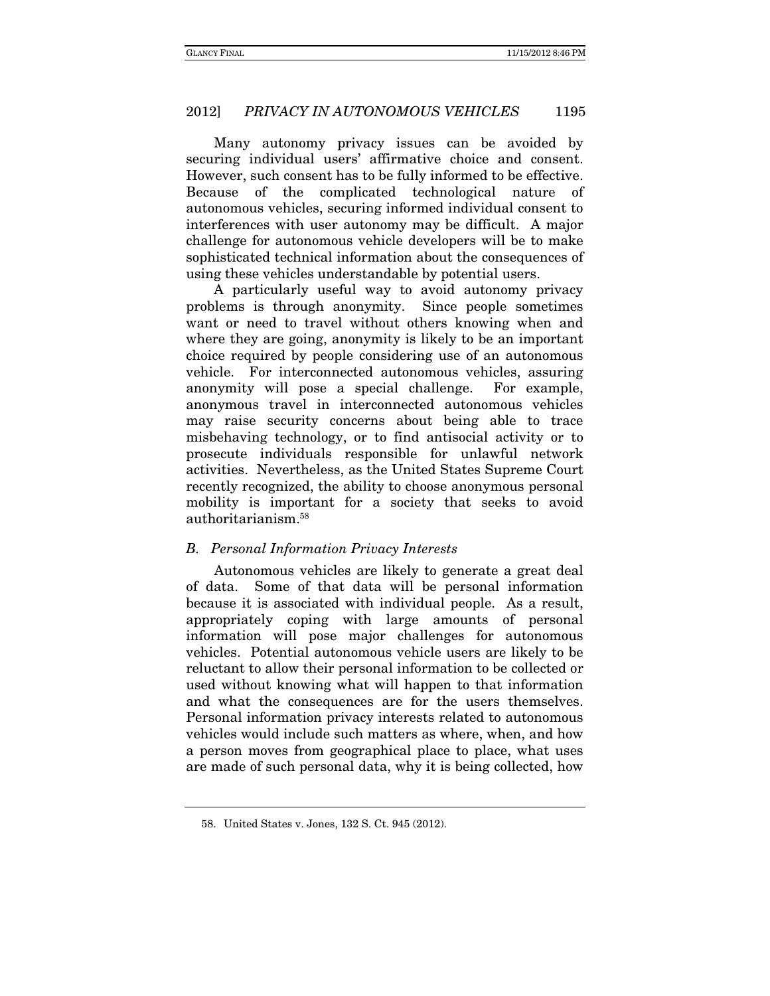Many autonomy privacy issues can be avoided by securing individual users' affirmative choice and consent. However, such consent has to be fully informed to be effective. Because of the complicated technological nature of autonomous vehicles, securing informed individual consent to interferences with user autonomy may be difficult. A major challenge for autonomous vehicle developers will be to make sophisticated technical information about the consequences of using these vehicles understandable by potential users.

A particularly useful way to avoid autonomy privacy problems is through anonymity. Since people sometimes want or need to travel without others knowing when and where they are going, anonymity is likely to be an important choice required by people considering use of an autonomous vehicle. For interconnected autonomous vehicles, assuring anonymity will pose a special challenge. For example, anonymous travel in interconnected autonomous vehicles may raise security concerns about being able to trace misbehaving technology, or to find antisocial activity or to prosecute individuals responsible for unlawful network activities. Nevertheless, as the United States Supreme Court recently recognized, the ability to choose anonymous personal mobility is important for a society that seeks to avoid authoritarianism.58

#### B. Personal Information Privacy Interests

Autonomous vehicles are likely to generate a great deal of data. Some of that data will be personal information because it is associated with individual people. As a result, appropriately coping with large amounts of personal information will pose major challenges for autonomous vehicles. Potential autonomous vehicle users are likely to be reluctant to allow their personal information to be collected or used without knowing what will happen to that information and what the consequences are for the users themselves. Personal information privacy interests related to autonomous vehicles would include such matters as where, when, and how a person moves from geographical place to place, what uses are made of such personal data, why it is being collected, how

 <sup>58.</sup> United States v. Jones, 132 S. Ct. 945 (2012).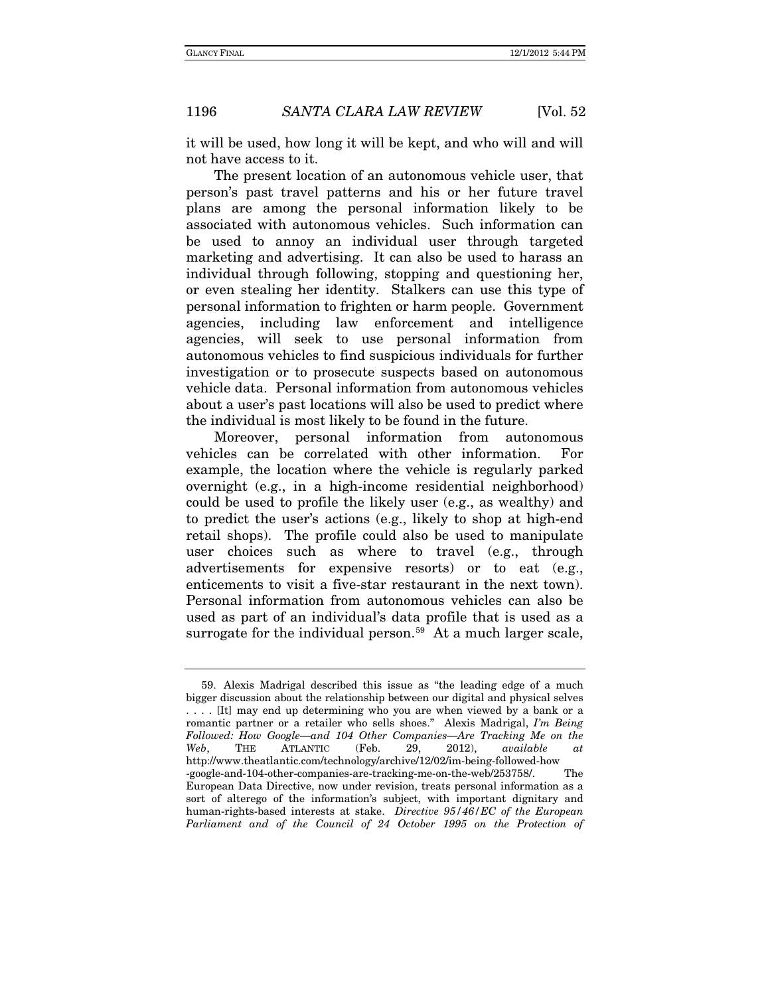it will be used, how long it will be kept, and who will and will not have access to it.

The present location of an autonomous vehicle user, that person's past travel patterns and his or her future travel plans are among the personal information likely to be associated with autonomous vehicles. Such information can be used to annoy an individual user through targeted marketing and advertising. It can also be used to harass an individual through following, stopping and questioning her, or even stealing her identity. Stalkers can use this type of personal information to frighten or harm people. Government agencies, including law enforcement and intelligence agencies, will seek to use personal information from autonomous vehicles to find suspicious individuals for further investigation or to prosecute suspects based on autonomous vehicle data. Personal information from autonomous vehicles about a user's past locations will also be used to predict where the individual is most likely to be found in the future.

Moreover, personal information from autonomous vehicles can be correlated with other information. For example, the location where the vehicle is regularly parked overnight (e.g., in a high-income residential neighborhood) could be used to profile the likely user (e.g., as wealthy) and to predict the user's actions (e.g., likely to shop at high-end retail shops). The profile could also be used to manipulate user choices such as where to travel (e.g., through advertisements for expensive resorts) or to eat (e.g., enticements to visit a five-star restaurant in the next town). Personal information from autonomous vehicles can also be used as part of an individual's data profile that is used as a surrogate for the individual person.<sup>[59](#page-26-0)</sup> At a much larger scale,

<span id="page-26-0"></span><sup>59.</sup> Alexis Madrigal described this issue as "the leading edge of a much bigger discussion about the relationship between our digital and physical selves . . . . [It] may end up determining who you are when viewed by a bank or a romantic partner or a retailer who sells shoes." Alexis Madrigal, *I'm Being Followed: How Google—and 104 Other Companies—Are Tracking Me on the Web*, THE ATLANTIC (Feb. 29, 2012), *available at* http://www.theatlantic.com/technology/archive/12/02/im-being-followed-how -google-and-104-other-companies-are-tracking-me-on-the-web/253758/. The European Data Directive, now under revision, treats personal information as a sort of alterego of the information's subject, with important dignitary and human-rights-based interests at stake. *Directive 95/46/EC of the European*  Parliament and of the Council of 24 October 1995 on the Protection of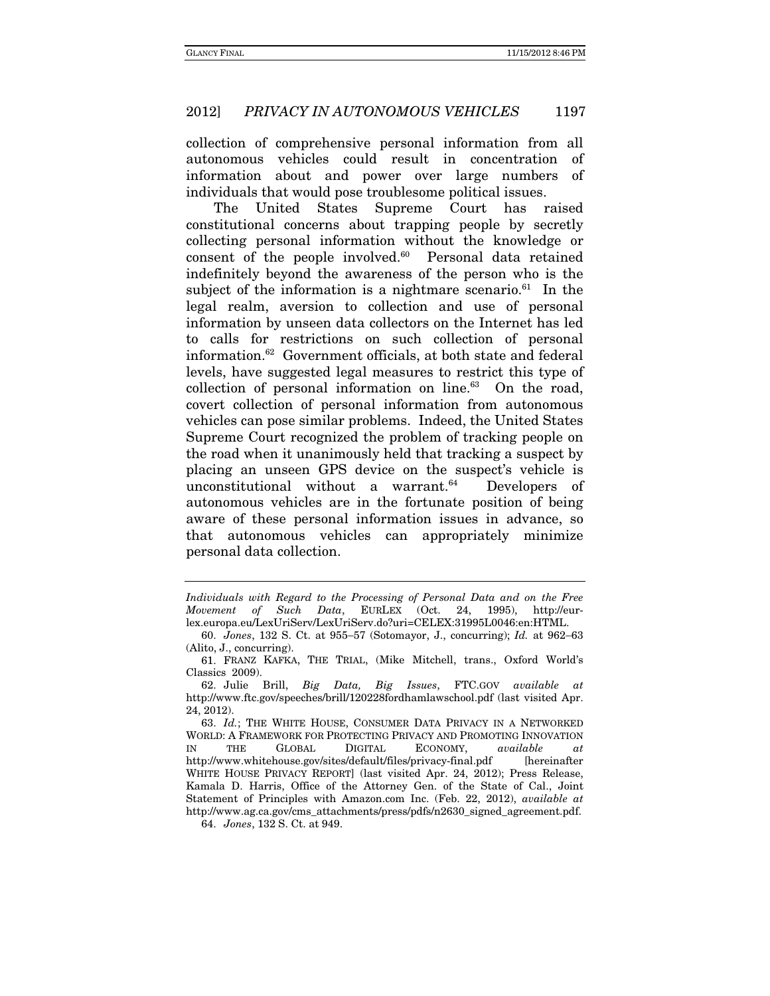collection of comprehensive personal information from all autonomous vehicles could result in concentration of information about and power over large numbers of individuals that would pose troublesome political issues.

The United States Supreme Court has raised constitutional concerns about trapping people by secretly collecting personal information without the knowledge or consent of the people involved.60 Personal data retained indefinitely beyond the awareness of the person who is the subject of the information is a nightmare scenario. $61$  In the legal realm, aversion to collection and use of personal information by unseen data collectors on the Internet has led to calls for restrictions on such collection of personal information.62 Government officials, at both state and federal levels, have suggested legal measures to restrict this type of collection of personal information on line. $63$  On the road, covert collection of personal information from autonomous vehicles can pose similar problems. Indeed, the United States Supreme Court recognized the problem of tracking people on the road when it unanimously held that tracking a suspect by placing an unseen GPS device on the suspect's vehicle is unconstitutional without a warrant. $64$  Developers of autonomous vehicles are in the fortunate position of being aware of these personal information issues in advance, so that autonomous vehicles can appropriately minimize personal data collection.

Individuals with Regard to the Processing of Personal Data and on the Free Movement of Such Data, EURLEX (Oct. 24, 1995), http://eurlex.europa.eu/LexUriServ/LexUriServ.do?uri=CELEX:31995L0046:en:HTML.

<sup>60.</sup> Jones, 132 S. Ct. at 955-57 (Sotomayor, J., concurring); Id. at 962-63 (Alito, J., concurring).

 <sup>61.</sup> FRANZ KAFKA, THE TRIAL, (Mike Mitchell, trans., Oxford World's Classics 2009).

 <sup>62.</sup> Julie Brill, Big Data, Big Issues, FTC.GOV available at http://www.ftc.gov/speeches/brill/120228fordhamlawschool.pdf (last visited Apr. 24, 2012).

<sup>63.</sup> Id.; THE WHITE HOUSE, CONSUMER DATA PRIVACY IN A NETWORKED WORLD: A FRAMEWORK FOR PROTECTING PRIVACY AND PROMOTING INNOVATION IN THE GLOBAL DIGITAL ECONOMY, available at http://www.whitehouse.gov/sites/default/files/privacy-final.pdf [hereinafter WHITE HOUSE PRIVACY REPORT] (last visited Apr. 24, 2012); Press Release, Kamala D. Harris, Office of the Attorney Gen. of the State of Cal., Joint Statement of Principles with Amazon.com Inc. (Feb. 22, 2012), available at http://www.ag.ca.gov/cms\_attachments/press/pdfs/n2630\_signed\_agreement.pdf.

 <sup>64.</sup> Jones, 132 S. Ct. at 949.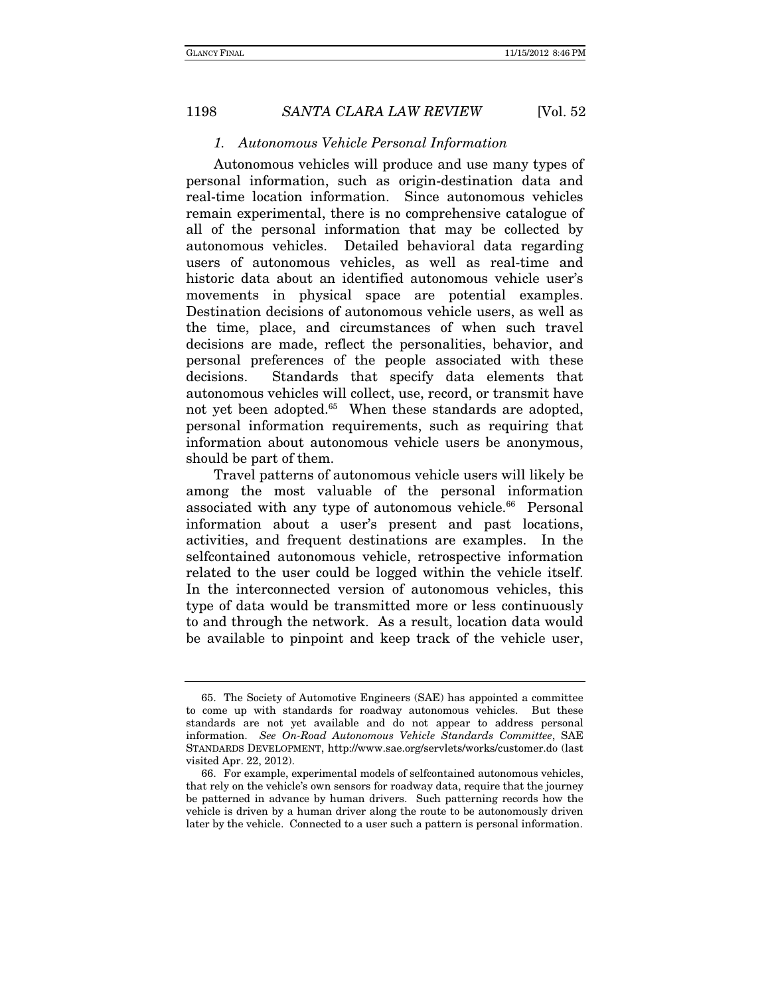#### 1. Autonomous Vehicle Personal Information

Autonomous vehicles will produce and use many types of personal information, such as origin-destination data and real-time location information. Since autonomous vehicles remain experimental, there is no comprehensive catalogue of all of the personal information that may be collected by autonomous vehicles. Detailed behavioral data regarding users of autonomous vehicles, as well as real-time and historic data about an identified autonomous vehicle user's movements in physical space are potential examples. Destination decisions of autonomous vehicle users, as well as the time, place, and circumstances of when such travel decisions are made, reflect the personalities, behavior, and personal preferences of the people associated with these decisions. Standards that specify data elements that autonomous vehicles will collect, use, record, or transmit have not yet been adopted.<sup>65</sup> When these standards are adopted, personal information requirements, such as requiring that information about autonomous vehicle users be anonymous, should be part of them.

Travel patterns of autonomous vehicle users will likely be among the most valuable of the personal information associated with any type of autonomous vehicle.<sup>66</sup> Personal information about a user's present and past locations, activities, and frequent destinations are examples. In the selfcontained autonomous vehicle, retrospective information related to the user could be logged within the vehicle itself. In the interconnected version of autonomous vehicles, this type of data would be transmitted more or less continuously to and through the network. As a result, location data would be available to pinpoint and keep track of the vehicle user,

 <sup>65.</sup> The Society of Automotive Engineers (SAE) has appointed a committee to come up with standards for roadway autonomous vehicles. But these standards are not yet available and do not appear to address personal information. See On-Road Autonomous Vehicle Standards Committee, SAE STANDARDS DEVELOPMENT, http://www.sae.org/servlets/works/customer.do (last visited Apr. 22, 2012).

 <sup>66.</sup> For example, experimental models of selfcontained autonomous vehicles, that rely on the vehicle's own sensors for roadway data, require that the journey be patterned in advance by human drivers. Such patterning records how the vehicle is driven by a human driver along the route to be autonomously driven later by the vehicle. Connected to a user such a pattern is personal information.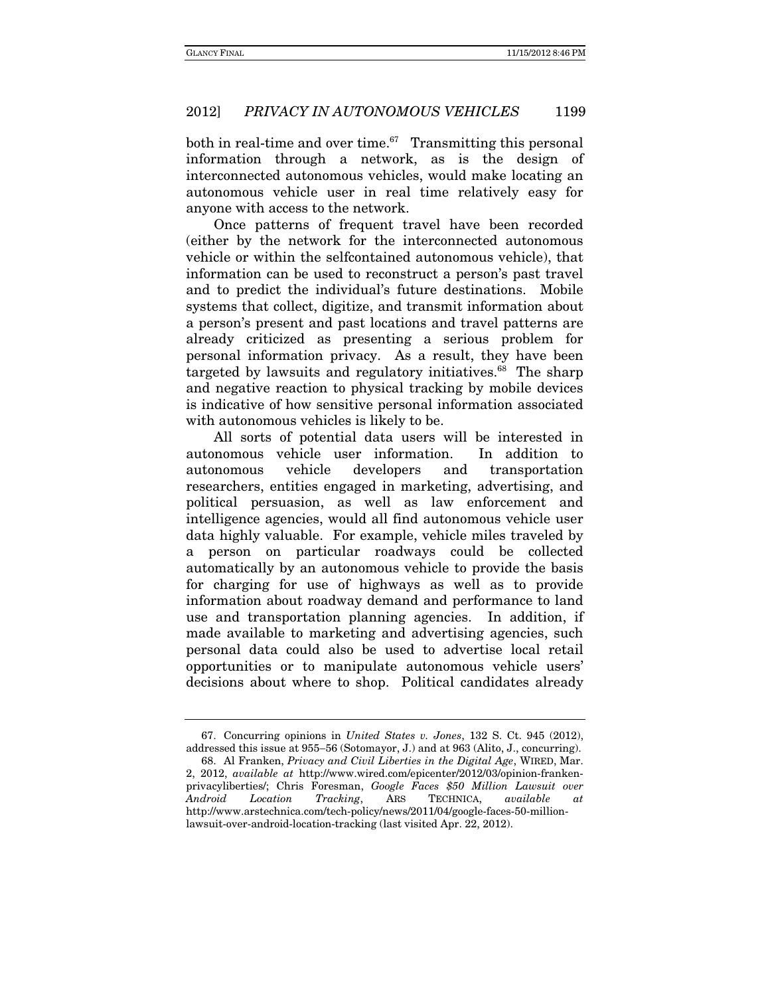both in real-time and over time. $67$  Transmitting this personal information through a network, as is the design of interconnected autonomous vehicles, would make locating an autonomous vehicle user in real time relatively easy for anyone with access to the network.

Once patterns of frequent travel have been recorded (either by the network for the interconnected autonomous vehicle or within the selfcontained autonomous vehicle), that information can be used to reconstruct a person's past travel and to predict the individual's future destinations. Mobile systems that collect, digitize, and transmit information about a person's present and past locations and travel patterns are already criticized as presenting a serious problem for personal information privacy. As a result, they have been targeted by lawsuits and regulatory initiatives.<sup>68</sup> The sharp and negative reaction to physical tracking by mobile devices is indicative of how sensitive personal information associated with autonomous vehicles is likely to be.

All sorts of potential data users will be interested in autonomous vehicle user information. In addition to autonomous vehicle developers and transportation researchers, entities engaged in marketing, advertising, and political persuasion, as well as law enforcement and intelligence agencies, would all find autonomous vehicle user data highly valuable. For example, vehicle miles traveled by a person on particular roadways could be collected automatically by an autonomous vehicle to provide the basis for charging for use of highways as well as to provide information about roadway demand and performance to land use and transportation planning agencies. In addition, if made available to marketing and advertising agencies, such personal data could also be used to advertise local retail opportunities or to manipulate autonomous vehicle users' decisions about where to shop. Political candidates already

 <sup>67.</sup> Concurring opinions in United States v. Jones, 132 S. Ct. 945 (2012), addressed this issue at 955-56 (Sotomayor, J.) and at 963 (Alito, J., concurring).

 <sup>68.</sup> Al Franken, Privacy and Civil Liberties in the Digital Age, WIRED, Mar. 2, 2012, available at http://www.wired.com/epicenter/2012/03/opinion-frankenprivacyliberties/; Chris Foresman, Google Faces \$50 Million Lawsuit over Android Location Tracking, ARS TECHNICA, available at http://www.arstechnica.com/tech-policy/news/2011/04/google-faces-50-millionlawsuit-over-android-location-tracking (last visited Apr. 22, 2012).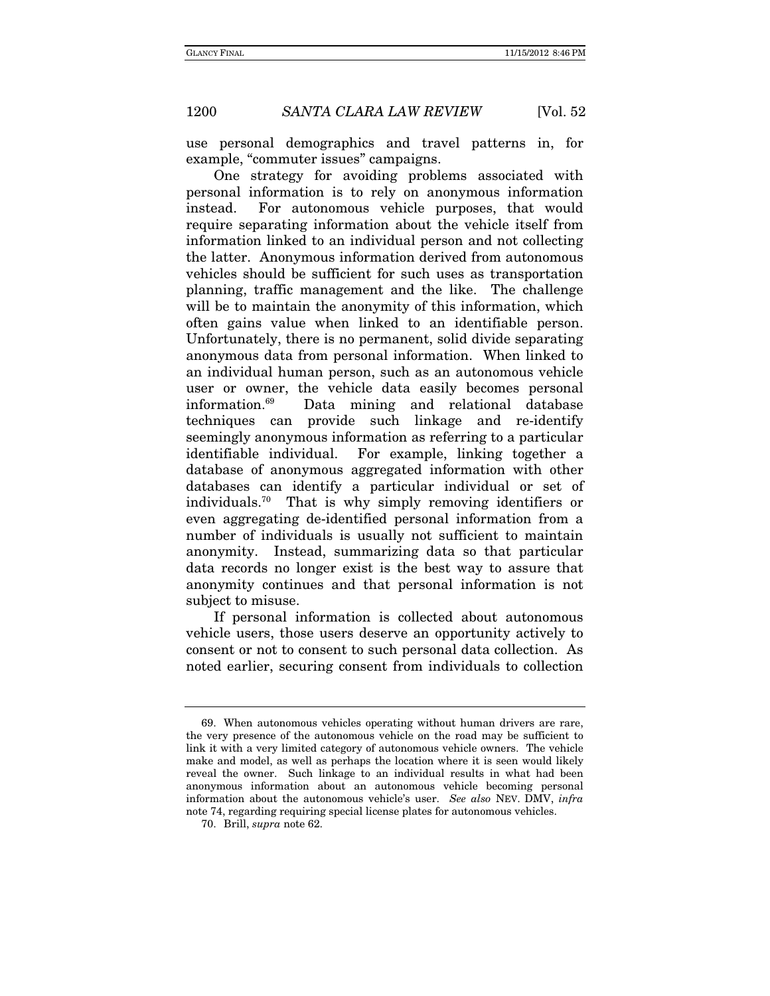use personal demographics and travel patterns in, for example, "commuter issues" campaigns.

One strategy for avoiding problems associated with personal information is to rely on anonymous information instead. For autonomous vehicle purposes, that would require separating information about the vehicle itself from information linked to an individual person and not collecting the latter. Anonymous information derived from autonomous vehicles should be sufficient for such uses as transportation planning, traffic management and the like. The challenge will be to maintain the anonymity of this information, which often gains value when linked to an identifiable person. Unfortunately, there is no permanent, solid divide separating anonymous data from personal information. When linked to an individual human person, such as an autonomous vehicle user or owner, the vehicle data easily becomes personal information.69 Data mining and relational database techniques can provide such linkage and re-identify seemingly anonymous information as referring to a particular identifiable individual. For example, linking together a database of anonymous aggregated information with other databases can identify a particular individual or set of individuals.70 That is why simply removing identifiers or even aggregating de-identified personal information from a number of individuals is usually not sufficient to maintain anonymity. Instead, summarizing data so that particular data records no longer exist is the best way to assure that anonymity continues and that personal information is not subject to misuse.

If personal information is collected about autonomous vehicle users, those users deserve an opportunity actively to consent or not to consent to such personal data collection. As noted earlier, securing consent from individuals to collection

 <sup>69.</sup> When autonomous vehicles operating without human drivers are rare, the very presence of the autonomous vehicle on the road may be sufficient to link it with a very limited category of autonomous vehicle owners. The vehicle make and model, as well as perhaps the location where it is seen would likely reveal the owner. Such linkage to an individual results in what had been anonymous information about an autonomous vehicle becoming personal information about the autonomous vehicle's user. See also NEV. DMV, infra note 74, regarding requiring special license plates for autonomous vehicles.

 <sup>70.</sup> Brill, supra note 62.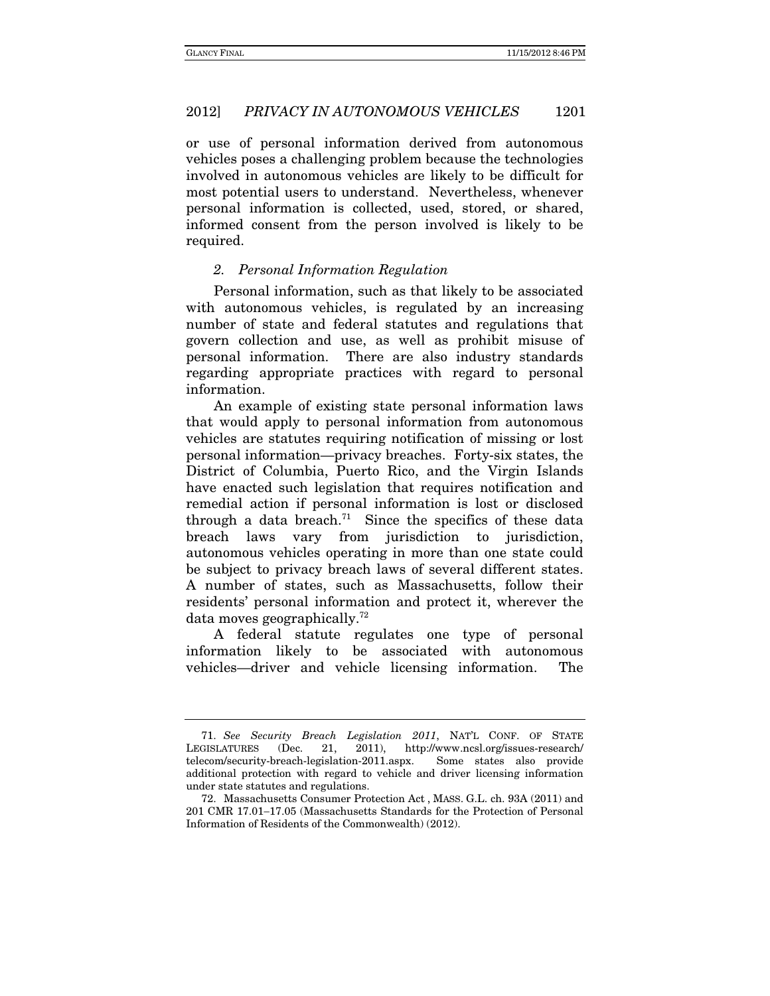or use of personal information derived from autonomous vehicles poses a challenging problem because the technologies involved in autonomous vehicles are likely to be difficult for most potential users to understand. Nevertheless, whenever personal information is collected, used, stored, or shared, informed consent from the person involved is likely to be required.

# 2. Personal Information Regulation

Personal information, such as that likely to be associated with autonomous vehicles, is regulated by an increasing number of state and federal statutes and regulations that govern collection and use, as well as prohibit misuse of personal information. There are also industry standards regarding appropriate practices with regard to personal information.

An example of existing state personal information laws that would apply to personal information from autonomous vehicles are statutes requiring notification of missing or lost personal information—privacy breaches. Forty-six states, the District of Columbia, Puerto Rico, and the Virgin Islands have enacted such legislation that requires notification and remedial action if personal information is lost or disclosed through a data breach.<sup>71</sup> Since the specifics of these data breach laws vary from jurisdiction to jurisdiction, autonomous vehicles operating in more than one state could be subject to privacy breach laws of several different states. A number of states, such as Massachusetts, follow their residents' personal information and protect it, wherever the data moves geographically.72

A federal statute regulates one type of personal information likely to be associated with autonomous vehicles—driver and vehicle licensing information. The

<sup>71.</sup> See Security Breach Legislation 2011, NAT'L CONF. OF STATE LEGISLATURES (Dec. 21, 2011), http://www.ncsl.org/issues-research/ telecom/security-breach-legislation-2011.aspx. Some states also provide additional protection with regard to vehicle and driver licensing information under state statutes and regulations.

 <sup>72.</sup> Massachusetts Consumer Protection Act , MASS. G.L. ch. 93A (2011) and 201 CMR 17.01-17.05 (Massachusetts Standards for the Protection of Personal Information of Residents of the Commonwealth) (2012).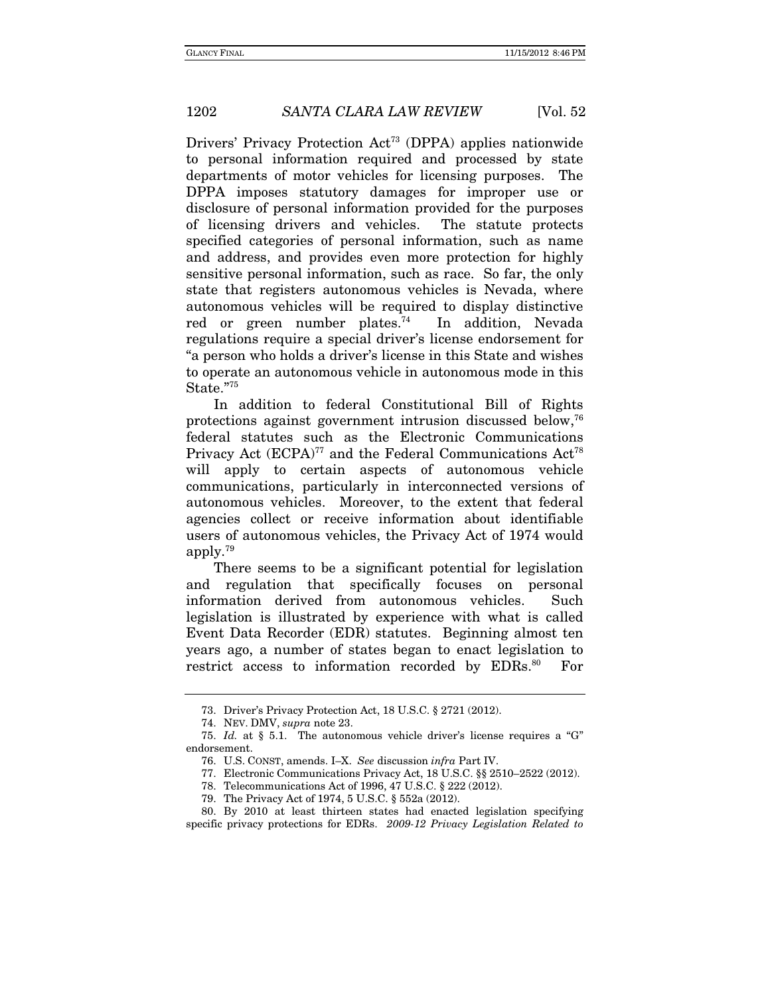Drivers' Privacy Protection Act<sup>73</sup> (DPPA) applies nationwide to personal information required and processed by state departments of motor vehicles for licensing purposes. The DPPA imposes statutory damages for improper use or disclosure of personal information provided for the purposes of licensing drivers and vehicles. The statute protects specified categories of personal information, such as name and address, and provides even more protection for highly sensitive personal information, such as race. So far, the only state that registers autonomous vehicles is Nevada, where autonomous vehicles will be required to display distinctive red or green number plates.<sup>74</sup> In addition, Nevada regulations require a special driver's license endorsement for "a person who holds a driver's license in this State and wishes to operate an autonomous vehicle in autonomous mode in this State."75

In addition to federal Constitutional Bill of Rights protections against government intrusion discussed below,76 federal statutes such as the Electronic Communications Privacy Act  $(ECPA)^{77}$  and the Federal Communications Act<sup>78</sup> will apply to certain aspects of autonomous vehicle communications, particularly in interconnected versions of autonomous vehicles. Moreover, to the extent that federal agencies collect or receive information about identifiable users of autonomous vehicles, the Privacy Act of 1974 would apply.79

There seems to be a significant potential for legislation and regulation that specifically focuses on personal information derived from autonomous vehicles. Such legislation is illustrated by experience with what is called Event Data Recorder (EDR) statutes. Beginning almost ten years ago, a number of states began to enact legislation to restrict access to information recorded by EDRs.<sup>80</sup> For

 <sup>73.</sup> Driver's Privacy Protection Act, 18 U.S.C. § 2721 (2012).

 <sup>74.</sup> NEV. DMV, supra note 23.

<sup>75.</sup> Id. at § 5.1. The autonomous vehicle driver's license requires a "G" endorsement.

 <sup>76.</sup> U.S. CONST, amends. I–X. See discussion infra Part IV.

 <sup>77.</sup> Electronic Communications Privacy Act, 18 U.S.C. §§ 2510–2522 (2012).

 <sup>78.</sup> Telecommunications Act of 1996, 47 U.S.C. § 222 (2012).

 <sup>79.</sup> The Privacy Act of 1974, 5 U.S.C. § 552a (2012).

 <sup>80.</sup> By 2010 at least thirteen states had enacted legislation specifying specific privacy protections for EDRs. 2009-12 Privacy Legislation Related to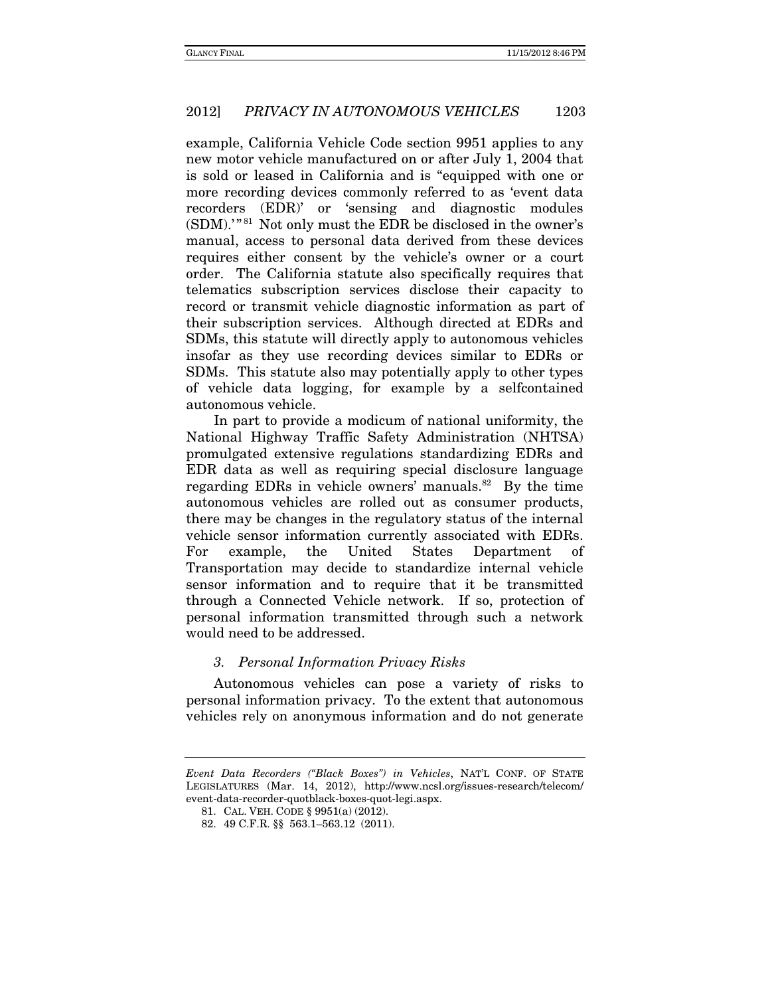example, California Vehicle Code section 9951 applies to any new motor vehicle manufactured on or after July 1, 2004 that is sold or leased in California and is "equipped with one or more recording devices commonly referred to as 'event data recorders (EDR)' or 'sensing and diagnostic modules (SDM).'" 81 Not only must the EDR be disclosed in the owner's manual, access to personal data derived from these devices requires either consent by the vehicle's owner or a court order. The California statute also specifically requires that telematics subscription services disclose their capacity to record or transmit vehicle diagnostic information as part of their subscription services. Although directed at EDRs and SDMs, this statute will directly apply to autonomous vehicles insofar as they use recording devices similar to EDRs or SDMs. This statute also may potentially apply to other types of vehicle data logging, for example by a selfcontained autonomous vehicle.

In part to provide a modicum of national uniformity, the National Highway Traffic Safety Administration (NHTSA) promulgated extensive regulations standardizing EDRs and EDR data as well as requiring special disclosure language regarding EDRs in vehicle owners' manuals.<sup>82</sup> By the time autonomous vehicles are rolled out as consumer products, there may be changes in the regulatory status of the internal vehicle sensor information currently associated with EDRs. For example, the United States Department of Transportation may decide to standardize internal vehicle sensor information and to require that it be transmitted through a Connected Vehicle network. If so, protection of personal information transmitted through such a network would need to be addressed.

#### 3. Personal Information Privacy Risks

Autonomous vehicles can pose a variety of risks to personal information privacy. To the extent that autonomous vehicles rely on anonymous information and do not generate

Event Data Recorders ("Black Boxes") in Vehicles, NAT'L CONF. OF STATE LEGISLATURES (Mar. 14, 2012), http://www.ncsl.org/issues-research/telecom/ event-data-recorder-quotblack-boxes-quot-legi.aspx.

 <sup>81.</sup> CAL. VEH. CODE § 9951(a) (2012).

 <sup>82. 49</sup> C.F.R. §§ 563.1–563.12 (2011).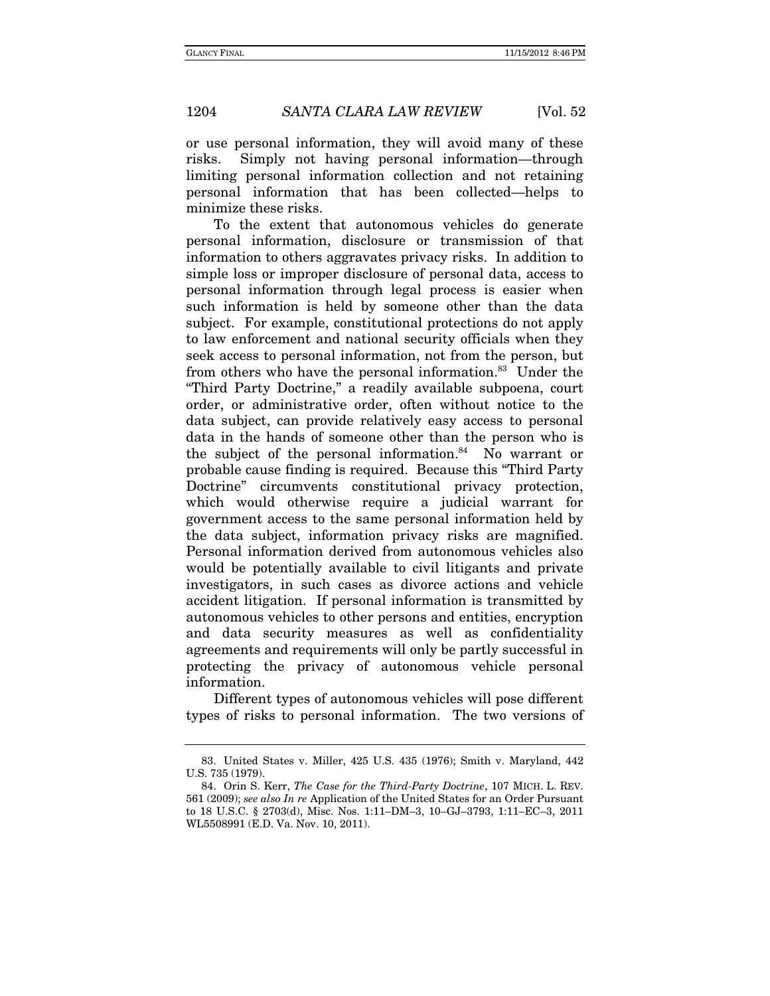or use personal information, they will avoid many of these risks. Simply not having personal information—through limiting personal information collection and not retaining personal information that has been collected—helps to minimize these risks.

To the extent that autonomous vehicles do generate personal information, disclosure or transmission of that information to others aggravates privacy risks. In addition to simple loss or improper disclosure of personal data, access to personal information through legal process is easier when such information is held by someone other than the data subject. For example, constitutional protections do not apply to law enforcement and national security officials when they seek access to personal information, not from the person, but from others who have the personal information.83 Under the "Third Party Doctrine," a readily available subpoena, court order, or administrative order, often without notice to the data subject, can provide relatively easy access to personal data in the hands of someone other than the person who is the subject of the personal information. $84$  No warrant or probable cause finding is required. Because this "Third Party Doctrine" circumvents constitutional privacy protection, which would otherwise require a judicial warrant for government access to the same personal information held by the data subject, information privacy risks are magnified. Personal information derived from autonomous vehicles also would be potentially available to civil litigants and private investigators, in such cases as divorce actions and vehicle accident litigation. If personal information is transmitted by autonomous vehicles to other persons and entities, encryption and data security measures as well as confidentiality agreements and requirements will only be partly successful in protecting the privacy of autonomous vehicle personal information.

Different types of autonomous vehicles will pose different types of risks to personal information. The two versions of

 <sup>83.</sup> United States v. Miller, 425 U.S. 435 (1976); Smith v. Maryland, 442 U.S. 735 (1979).

 <sup>84.</sup> Orin S. Kerr, The Case for the Third-Party Doctrine, 107 MICH. L. REV. 561 (2009); see also In re Application of the United States for an Order Pursuant to 18 U.S.C. § 2703(d), Misc. Nos. 1:11–DM–3, 10–GJ–3793, 1:11–EC–3, 2011 WL5508991 (E.D. Va. Nov. 10, 2011).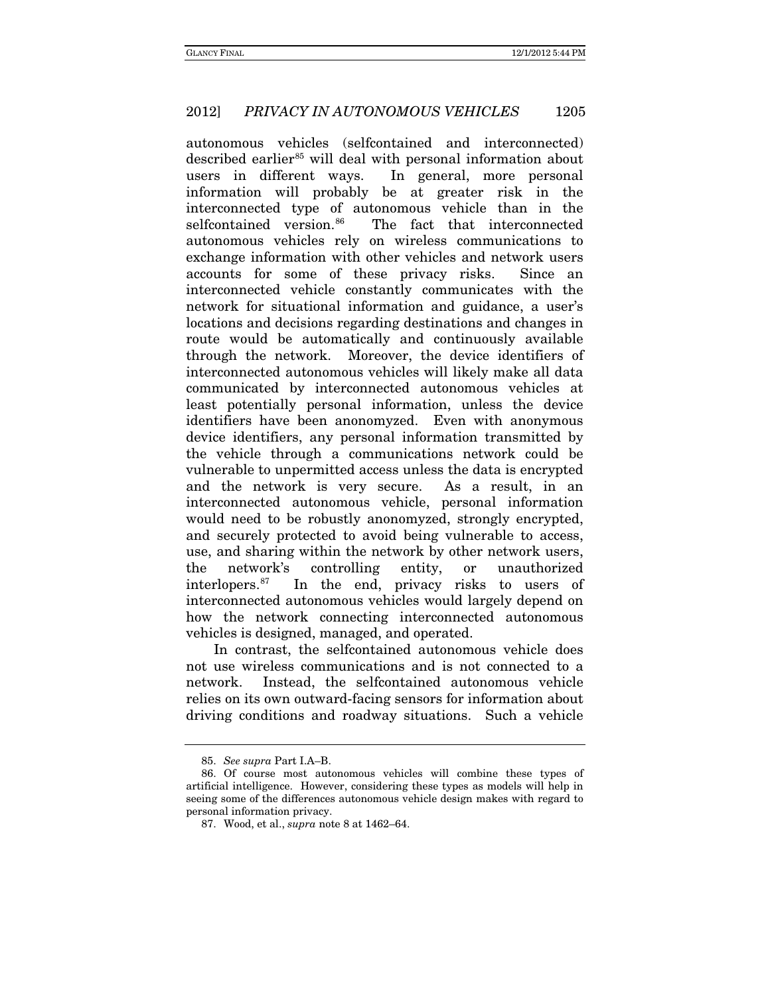autonomous vehicles (selfcontained and interconnected) described earlier<sup>[85](#page-35-0)</sup> will deal with personal information about users in different ways. In general, more personal information will probably be at greater risk in the interconnected type of autonomous vehicle than in the selfcontained version.<sup>86</sup> The fact that interconnected autonomous vehicles rely on wireless communications to exchange information with other vehicles and network users accounts for some of these privacy risks. Since an interconnected vehicle constantly communicates with the network for situational information and guidance, a user's locations and decisions regarding destinations and changes in route would be automatically and continuously available through the network. Moreover, the device identifiers of interconnected autonomous vehicles will likely make all data communicated by interconnected autonomous vehicles at least potentially personal information, unless the device identifiers have been anonomyzed. Even with anonymous device identifiers, any personal information transmitted by the vehicle through a communications network could be vulnerable to unpermitted access unless the data is encrypted and the network is very secure. As a result, in an interconnected autonomous vehicle, personal information would need to be robustly anonomyzed, strongly encrypted, and securely protected to avoid being vulnerable to access, use, and sharing within the network by other network users, the network's controlling entity, or unauthorized interlopers.[87](#page-35-2) In the end, privacy risks to users of interconnected autonomous vehicles would largely depend on how the network connecting interconnected autonomous vehicles is designed, managed, and operated.

In contrast, the selfcontained autonomous vehicle does not use wireless communications and is not connected to a network. Instead, the selfcontained autonomous vehicle relies on its own outward-facing sensors for information about driving conditions and roadway situations. Such a vehicle

<sup>85.</sup> *See supra* Part I.A–B.

<span id="page-35-2"></span><span id="page-35-1"></span><span id="page-35-0"></span><sup>86.</sup> Of course most autonomous vehicles will combine these types of artificial intelligence. However, considering these types as models will help in seeing some of the differences autonomous vehicle design makes with regard to personal information privacy.

<sup>87.</sup> Wood, et al., *supra* note 8 at 1462–64.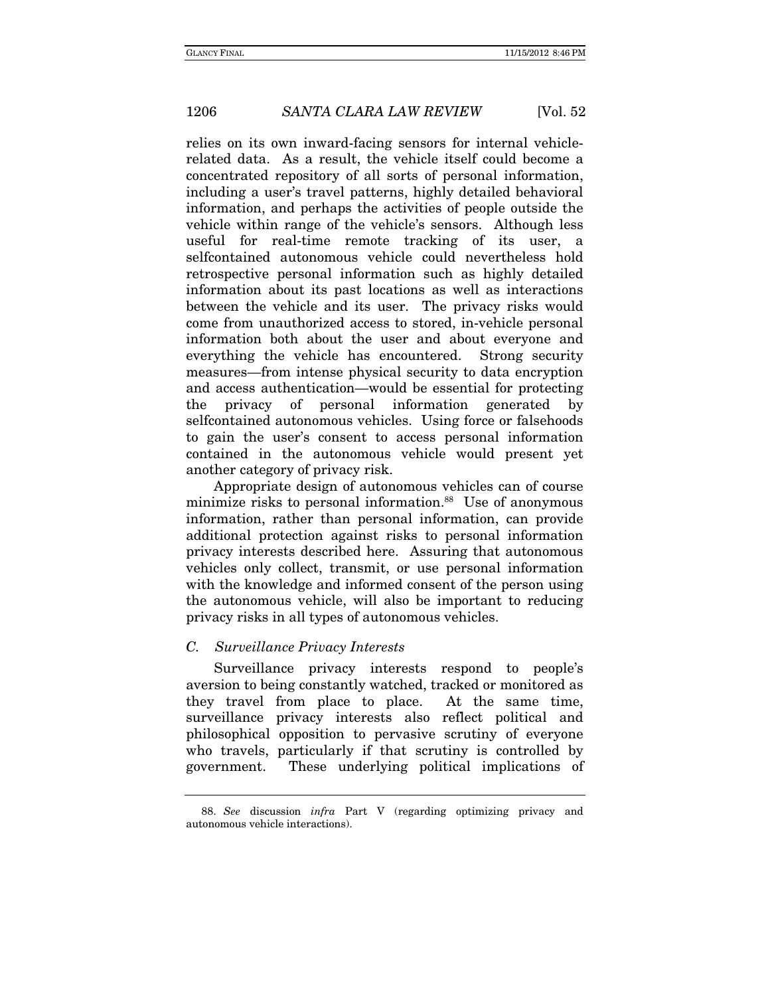relies on its own inward-facing sensors for internal vehiclerelated data. As a result, the vehicle itself could become a concentrated repository of all sorts of personal information, including a user's travel patterns, highly detailed behavioral information, and perhaps the activities of people outside the vehicle within range of the vehicle's sensors. Although less useful for real-time remote tracking of its user, a selfcontained autonomous vehicle could nevertheless hold retrospective personal information such as highly detailed information about its past locations as well as interactions between the vehicle and its user. The privacy risks would come from unauthorized access to stored, in-vehicle personal information both about the user and about everyone and everything the vehicle has encountered. Strong security measures—from intense physical security to data encryption and access authentication—would be essential for protecting the privacy of personal information generated by selfcontained autonomous vehicles. Using force or falsehoods to gain the user's consent to access personal information contained in the autonomous vehicle would present yet another category of privacy risk.

Appropriate design of autonomous vehicles can of course minimize risks to personal information.<sup>88</sup> Use of anonymous information, rather than personal information, can provide additional protection against risks to personal information privacy interests described here. Assuring that autonomous vehicles only collect, transmit, or use personal information with the knowledge and informed consent of the person using the autonomous vehicle, will also be important to reducing privacy risks in all types of autonomous vehicles.

### C. Surveillance Privacy Interests

Surveillance privacy interests respond to people's aversion to being constantly watched, tracked or monitored as they travel from place to place. At the same time, surveillance privacy interests also reflect political and philosophical opposition to pervasive scrutiny of everyone who travels, particularly if that scrutiny is controlled by government. These underlying political implications of

<sup>88.</sup> See discussion infra Part V (regarding optimizing privacy and autonomous vehicle interactions).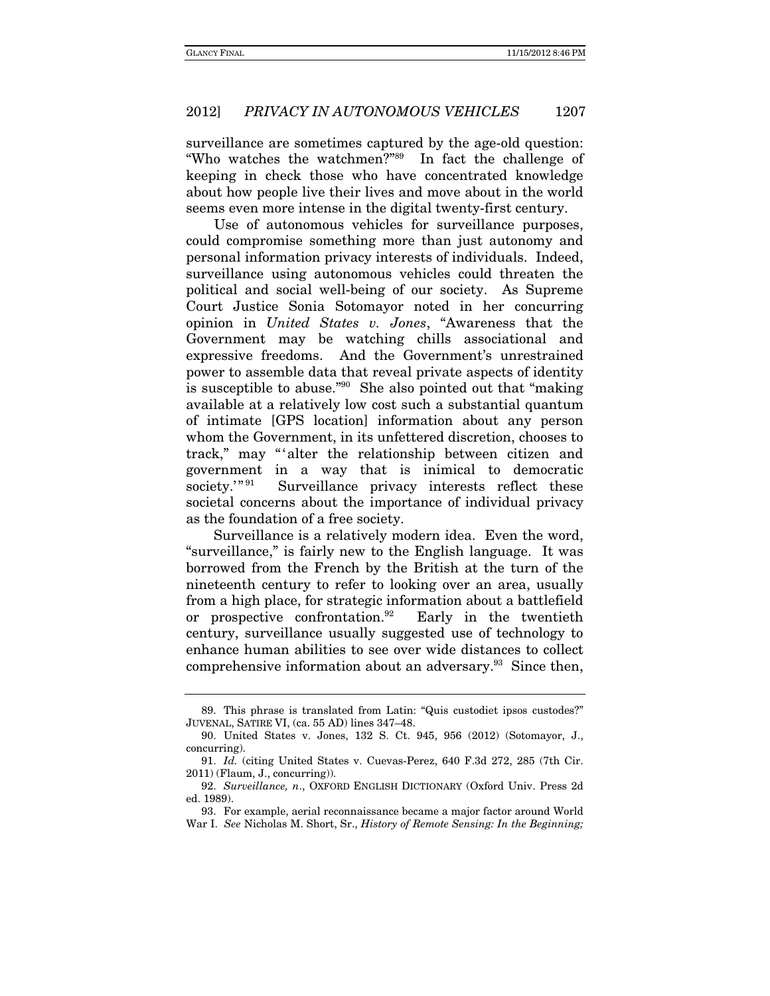surveillance are sometimes captured by the age-old question: "Who watches the watchmen?"89 In fact the challenge of keeping in check those who have concentrated knowledge about how people live their lives and move about in the world seems even more intense in the digital twenty-first century.

Use of autonomous vehicles for surveillance purposes, could compromise something more than just autonomy and personal information privacy interests of individuals. Indeed, surveillance using autonomous vehicles could threaten the political and social well-being of our society. As Supreme Court Justice Sonia Sotomayor noted in her concurring opinion in United States v. Jones, "Awareness that the Government may be watching chills associational and expressive freedoms. And the Government's unrestrained power to assemble data that reveal private aspects of identity is susceptible to abuse."90 She also pointed out that "making available at a relatively low cost such a substantial quantum of intimate [GPS location] information about any person whom the Government, in its unfettered discretion, chooses to track," may "'alter the relationship between citizen and government in a way that is inimical to democratic society.'"<sup>91</sup> Surveillance privacy interests reflect these societal concerns about the importance of individual privacy as the foundation of a free society.

Surveillance is a relatively modern idea. Even the word, "surveillance," is fairly new to the English language. It was borrowed from the French by the British at the turn of the nineteenth century to refer to looking over an area, usually from a high place, for strategic information about a battlefield or prospective confrontation.92 Early in the twentieth century, surveillance usually suggested use of technology to enhance human abilities to see over wide distances to collect comprehensive information about an adversary.93 Since then,

 <sup>89.</sup> This phrase is translated from Latin: "Quis custodiet ipsos custodes?" JUVENAL, SATIRE VI, (ca. 55 AD) lines 347–48.

 <sup>90.</sup> United States v. Jones, 132 S. Ct. 945, 956 (2012) (Sotomayor, J., concurring).

<sup>91.</sup> Id. (citing United States v. Cuevas-Perez, 640 F.3d 272, 285 (7th Cir. 2011) (Flaum, J., concurring)).

 <sup>92.</sup> Surveillance, n., OXFORD ENGLISH DICTIONARY (Oxford Univ. Press 2d ed. 1989).

 <sup>93.</sup> For example, aerial reconnaissance became a major factor around World War I. See Nicholas M. Short, Sr., History of Remote Sensing: In the Beginning;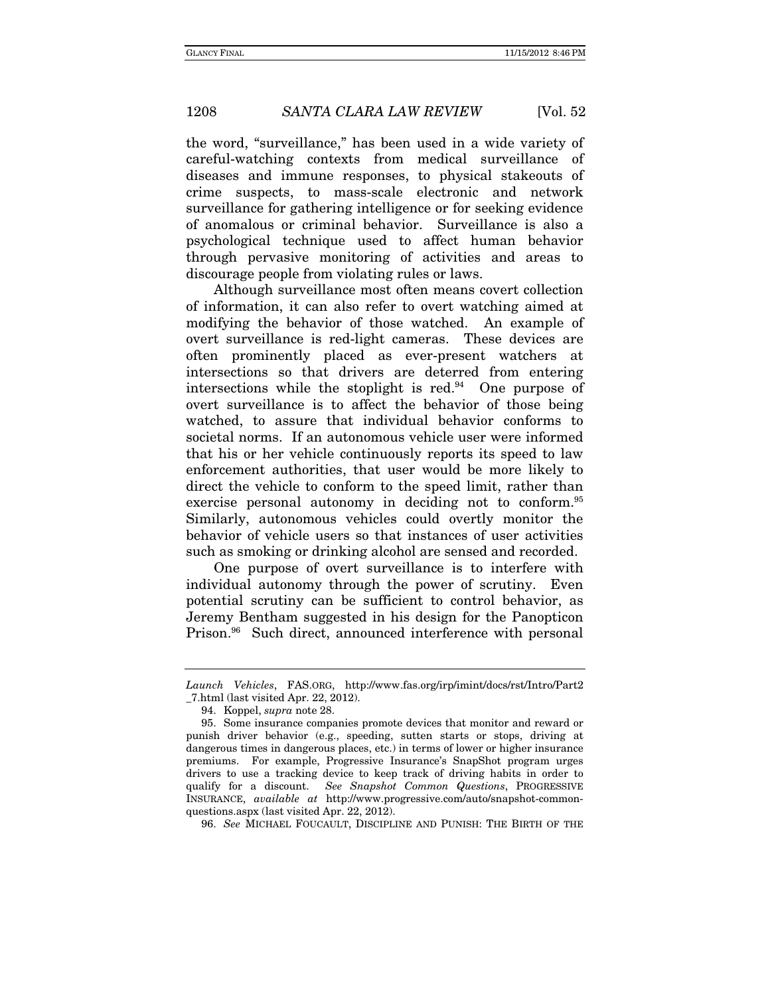the word, "surveillance," has been used in a wide variety of careful-watching contexts from medical surveillance of diseases and immune responses, to physical stakeouts of crime suspects, to mass-scale electronic and network surveillance for gathering intelligence or for seeking evidence of anomalous or criminal behavior. Surveillance is also a psychological technique used to affect human behavior through pervasive monitoring of activities and areas to discourage people from violating rules or laws.

Although surveillance most often means covert collection of information, it can also refer to overt watching aimed at modifying the behavior of those watched. An example of overt surveillance is red-light cameras. These devices are often prominently placed as ever-present watchers at intersections so that drivers are deterred from entering intersections while the stoplight is red. $94$  One purpose of overt surveillance is to affect the behavior of those being watched, to assure that individual behavior conforms to societal norms. If an autonomous vehicle user were informed that his or her vehicle continuously reports its speed to law enforcement authorities, that user would be more likely to direct the vehicle to conform to the speed limit, rather than exercise personal autonomy in deciding not to conform.<sup>95</sup> Similarly, autonomous vehicles could overtly monitor the behavior of vehicle users so that instances of user activities such as smoking or drinking alcohol are sensed and recorded.

One purpose of overt surveillance is to interfere with individual autonomy through the power of scrutiny. Even potential scrutiny can be sufficient to control behavior, as Jeremy Bentham suggested in his design for the Panopticon Prison.<sup>96</sup> Such direct, announced interference with personal

96. See MICHAEL FOUCAULT, DISCIPLINE AND PUNISH: THE BIRTH OF THE

Launch Vehicles, FAS.ORG, http://www.fas.org/irp/imint/docs/rst/Intro/Part2 \_7.html (last visited Apr. 22, 2012).

 <sup>94.</sup> Koppel, supra note 28.

 <sup>95.</sup> Some insurance companies promote devices that monitor and reward or punish driver behavior (e.g., speeding, sutten starts or stops, driving at dangerous times in dangerous places, etc.) in terms of lower or higher insurance premiums. For example, Progressive Insurance's SnapShot program urges drivers to use a tracking device to keep track of driving habits in order to qualify for a discount. See Snapshot Common Questions, PROGRESSIVE INSURANCE, available at http://www.progressive.com/auto/snapshot-commonquestions.aspx (last visited Apr. 22, 2012).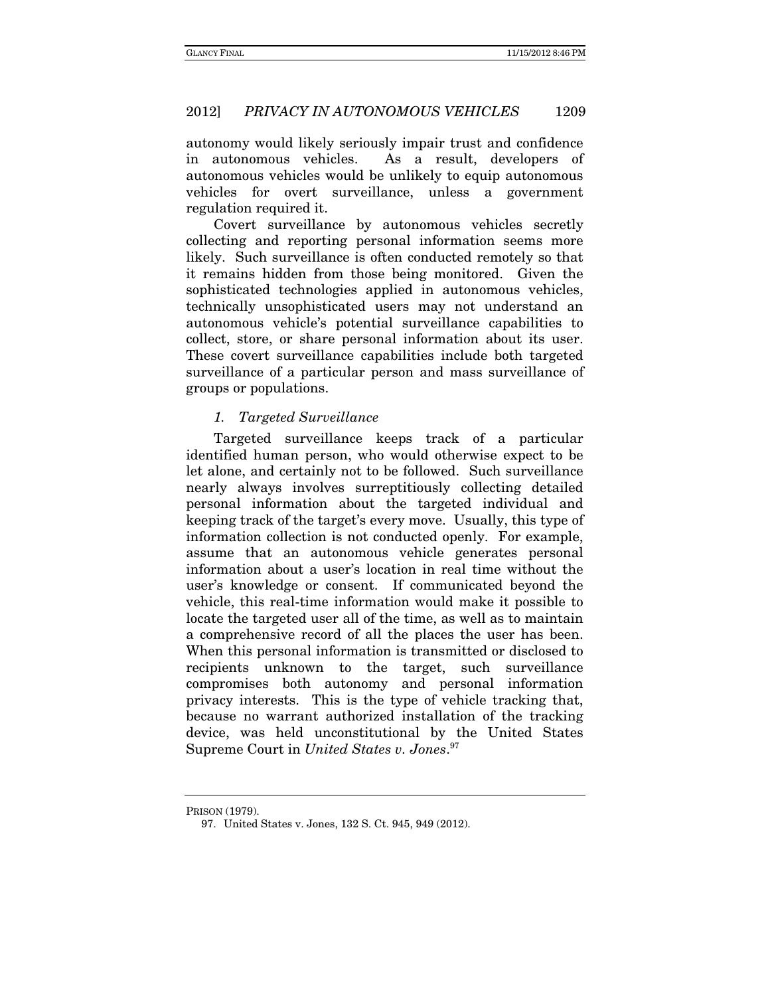autonomy would likely seriously impair trust and confidence in autonomous vehicles. As a result, developers of autonomous vehicles would be unlikely to equip autonomous vehicles for overt surveillance, unless a government regulation required it.

Covert surveillance by autonomous vehicles secretly collecting and reporting personal information seems more likely. Such surveillance is often conducted remotely so that it remains hidden from those being monitored. Given the sophisticated technologies applied in autonomous vehicles, technically unsophisticated users may not understand an autonomous vehicle's potential surveillance capabilities to collect, store, or share personal information about its user. These covert surveillance capabilities include both targeted surveillance of a particular person and mass surveillance of groups or populations.

#### 1. Targeted Surveillance

Targeted surveillance keeps track of a particular identified human person, who would otherwise expect to be let alone, and certainly not to be followed. Such surveillance nearly always involves surreptitiously collecting detailed personal information about the targeted individual and keeping track of the target's every move. Usually, this type of information collection is not conducted openly. For example, assume that an autonomous vehicle generates personal information about a user's location in real time without the user's knowledge or consent. If communicated beyond the vehicle, this real-time information would make it possible to locate the targeted user all of the time, as well as to maintain a comprehensive record of all the places the user has been. When this personal information is transmitted or disclosed to recipients unknown to the target, such surveillance compromises both autonomy and personal information privacy interests. This is the type of vehicle tracking that, because no warrant authorized installation of the tracking device, was held unconstitutional by the United States Supreme Court in United States v. Jones.<sup>97</sup>

PRISON (1979).

 <sup>97.</sup> United States v. Jones, 132 S. Ct. 945, 949 (2012).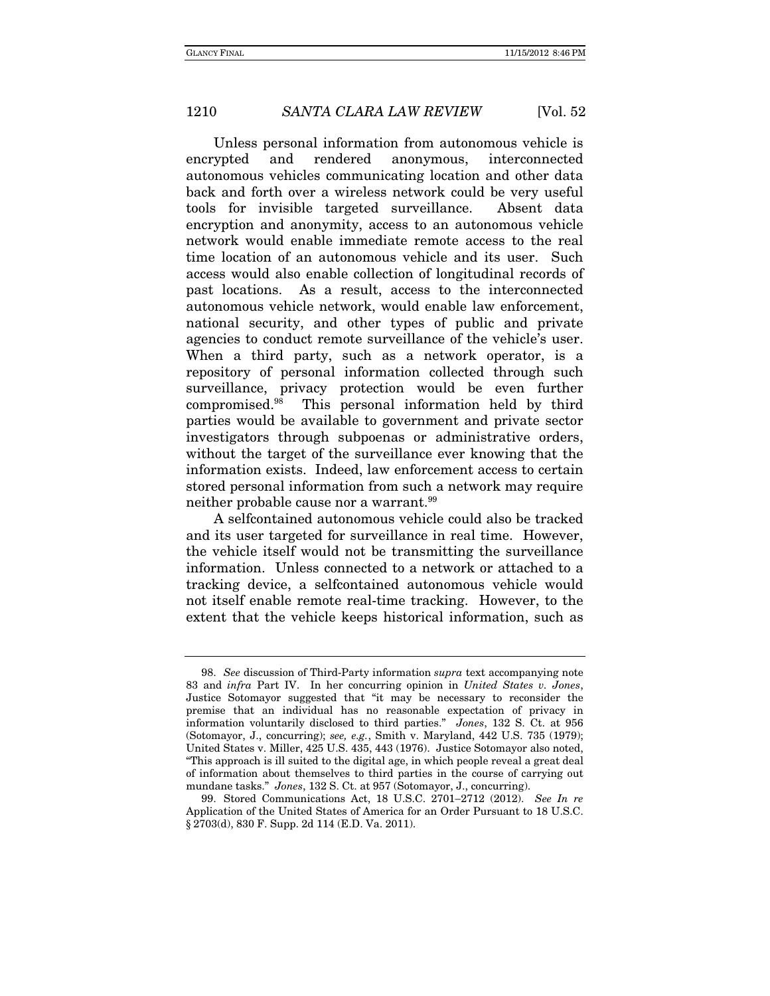Unless personal information from autonomous vehicle is encrypted and rendered anonymous, interconnected autonomous vehicles communicating location and other data back and forth over a wireless network could be very useful tools for invisible targeted surveillance. Absent data encryption and anonymity, access to an autonomous vehicle network would enable immediate remote access to the real time location of an autonomous vehicle and its user. Such access would also enable collection of longitudinal records of past locations. As a result, access to the interconnected autonomous vehicle network, would enable law enforcement, national security, and other types of public and private agencies to conduct remote surveillance of the vehicle's user. When a third party, such as a network operator, is a repository of personal information collected through such surveillance, privacy protection would be even further compromised.98 This personal information held by third parties would be available to government and private sector investigators through subpoenas or administrative orders, without the target of the surveillance ever knowing that the information exists. Indeed, law enforcement access to certain stored personal information from such a network may require neither probable cause nor a warrant.99

A selfcontained autonomous vehicle could also be tracked and its user targeted for surveillance in real time. However, the vehicle itself would not be transmitting the surveillance information. Unless connected to a network or attached to a tracking device, a selfcontained autonomous vehicle would not itself enable remote real-time tracking. However, to the extent that the vehicle keeps historical information, such as

 <sup>98.</sup> See discussion of Third-Party information supra text accompanying note 83 and infra Part IV. In her concurring opinion in United States v. Jones, Justice Sotomayor suggested that "it may be necessary to reconsider the premise that an individual has no reasonable expectation of privacy in information voluntarily disclosed to third parties." Jones, 132 S. Ct. at 956 (Sotomayor, J., concurring); see, e.g., Smith v. Maryland, 442 U.S. 735 (1979); United States v. Miller, 425 U.S. 435, 443 (1976). Justice Sotomayor also noted, "This approach is ill suited to the digital age, in which people reveal a great deal of information about themselves to third parties in the course of carrying out mundane tasks." Jones, 132 S. Ct. at 957 (Sotomayor, J., concurring).

<sup>99.</sup> Stored Communications Act, 18 U.S.C. 2701-2712 (2012). See In re Application of the United States of America for an Order Pursuant to 18 U.S.C. § 2703(d), 830 F. Supp. 2d 114 (E.D. Va. 2011).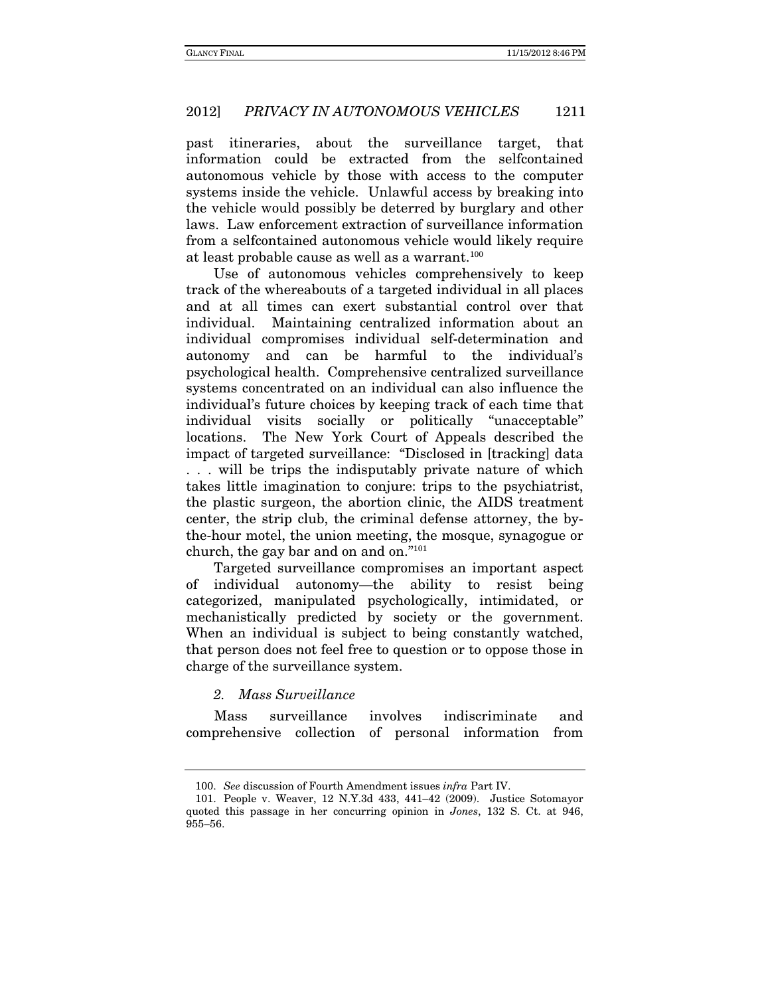past itineraries, about the surveillance target, that information could be extracted from the selfcontained autonomous vehicle by those with access to the computer systems inside the vehicle. Unlawful access by breaking into the vehicle would possibly be deterred by burglary and other laws. Law enforcement extraction of surveillance information from a selfcontained autonomous vehicle would likely require at least probable cause as well as a warrant.<sup>100</sup>

Use of autonomous vehicles comprehensively to keep track of the whereabouts of a targeted individual in all places and at all times can exert substantial control over that individual. Maintaining centralized information about an individual compromises individual self-determination and autonomy and can be harmful to the individual's psychological health. Comprehensive centralized surveillance systems concentrated on an individual can also influence the individual's future choices by keeping track of each time that individual visits socially or politically "unacceptable" locations. The New York Court of Appeals described the impact of targeted surveillance: "Disclosed in [tracking] data . . . will be trips the indisputably private nature of which takes little imagination to conjure: trips to the psychiatrist, the plastic surgeon, the abortion clinic, the AIDS treatment center, the strip club, the criminal defense attorney, the bythe-hour motel, the union meeting, the mosque, synagogue or church, the gay bar and on and on."101

Targeted surveillance compromises an important aspect of individual autonomy—the ability to resist being categorized, manipulated psychologically, intimidated, or mechanistically predicted by society or the government. When an individual is subject to being constantly watched, that person does not feel free to question or to oppose those in charge of the surveillance system.

#### 2. Mass Surveillance

Mass surveillance involves indiscriminate and comprehensive collection of personal information from

<sup>100.</sup> See discussion of Fourth Amendment issues infra Part IV.

 <sup>101.</sup> People v. Weaver, 12 N.Y.3d 433, 441–42 (2009). Justice Sotomayor quoted this passage in her concurring opinion in Jones, 132 S. Ct. at 946, 955-56.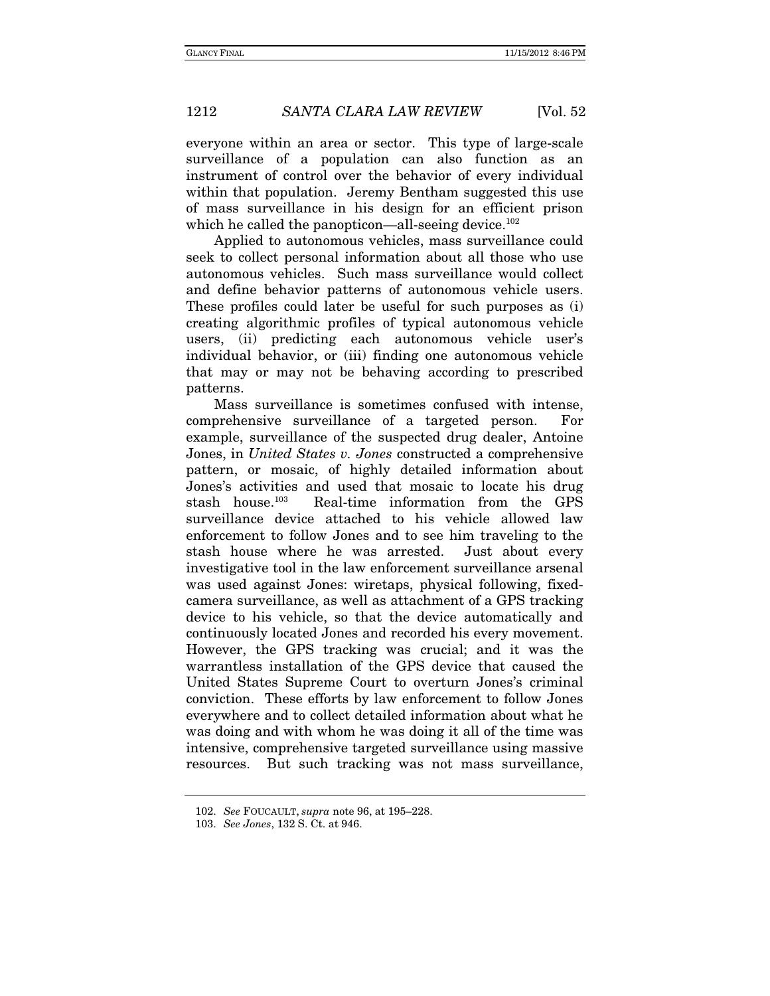everyone within an area or sector. This type of large-scale surveillance of a population can also function as an instrument of control over the behavior of every individual within that population. Jeremy Bentham suggested this use of mass surveillance in his design for an efficient prison which he called the panopticon—all-seeing device.<sup>102</sup>

Applied to autonomous vehicles, mass surveillance could seek to collect personal information about all those who use autonomous vehicles. Such mass surveillance would collect and define behavior patterns of autonomous vehicle users. These profiles could later be useful for such purposes as (i) creating algorithmic profiles of typical autonomous vehicle users, (ii) predicting each autonomous vehicle user's individual behavior, or (iii) finding one autonomous vehicle that may or may not be behaving according to prescribed patterns.

Mass surveillance is sometimes confused with intense, comprehensive surveillance of a targeted person. For example, surveillance of the suspected drug dealer, Antoine Jones, in United States v. Jones constructed a comprehensive pattern, or mosaic, of highly detailed information about Jones's activities and used that mosaic to locate his drug stash house.103 Real-time information from the GPS surveillance device attached to his vehicle allowed law enforcement to follow Jones and to see him traveling to the stash house where he was arrested. Just about every investigative tool in the law enforcement surveillance arsenal was used against Jones: wiretaps, physical following, fixedcamera surveillance, as well as attachment of a GPS tracking device to his vehicle, so that the device automatically and continuously located Jones and recorded his every movement. However, the GPS tracking was crucial; and it was the warrantless installation of the GPS device that caused the United States Supreme Court to overturn Jones's criminal conviction. These efforts by law enforcement to follow Jones everywhere and to collect detailed information about what he was doing and with whom he was doing it all of the time was intensive, comprehensive targeted surveillance using massive resources. But such tracking was not mass surveillance,

 <sup>102.</sup> See FOUCAULT, supra note 96, at 195–228.

 <sup>103.</sup> See Jones, 132 S. Ct. at 946.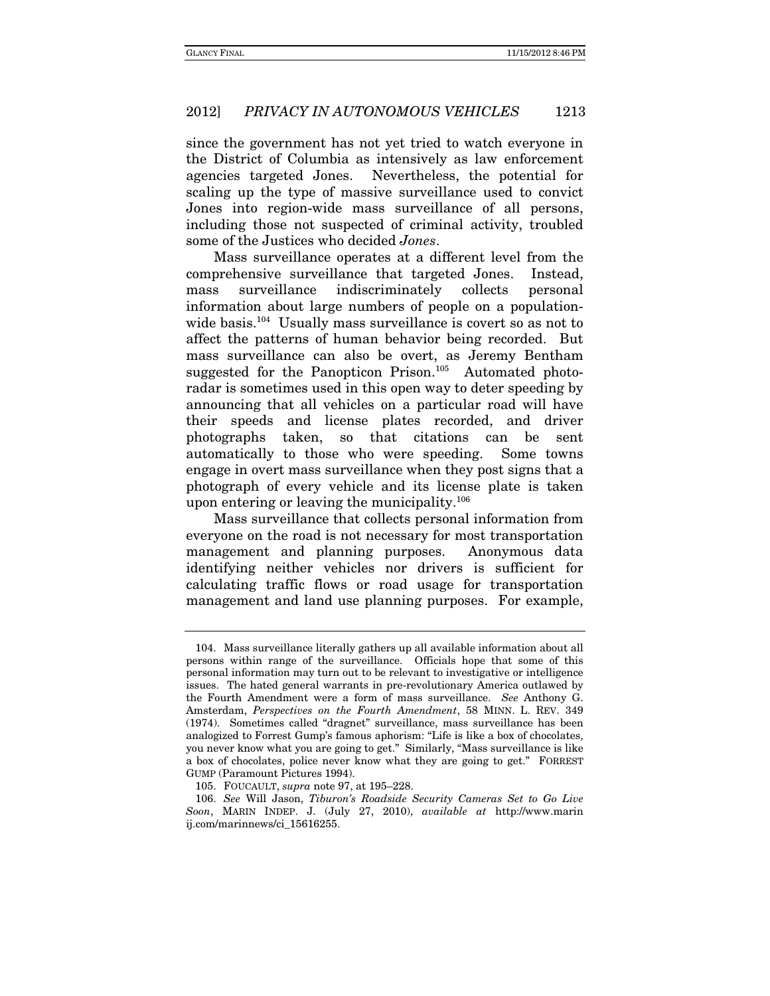since the government has not yet tried to watch everyone in the District of Columbia as intensively as law enforcement agencies targeted Jones. Nevertheless, the potential for scaling up the type of massive surveillance used to convict Jones into region-wide mass surveillance of all persons, including those not suspected of criminal activity, troubled some of the Justices who decided Jones.

Mass surveillance operates at a different level from the comprehensive surveillance that targeted Jones. Instead, mass surveillance indiscriminately collects personal information about large numbers of people on a populationwide basis.<sup>104</sup> Usually mass surveillance is covert so as not to affect the patterns of human behavior being recorded. But mass surveillance can also be overt, as Jeremy Bentham suggested for the Panopticon Prison.<sup>105</sup> Automated photoradar is sometimes used in this open way to deter speeding by announcing that all vehicles on a particular road will have their speeds and license plates recorded, and driver photographs taken, so that citations can be sent automatically to those who were speeding. Some towns engage in overt mass surveillance when they post signs that a photograph of every vehicle and its license plate is taken upon entering or leaving the municipality.<sup>106</sup>

Mass surveillance that collects personal information from everyone on the road is not necessary for most transportation management and planning purposes. Anonymous data identifying neither vehicles nor drivers is sufficient for calculating traffic flows or road usage for transportation management and land use planning purposes. For example,

 <sup>104.</sup> Mass surveillance literally gathers up all available information about all persons within range of the surveillance. Officials hope that some of this personal information may turn out to be relevant to investigative or intelligence issues. The hated general warrants in pre-revolutionary America outlawed by the Fourth Amendment were a form of mass surveillance. See Anthony G. Amsterdam, Perspectives on the Fourth Amendment, 58 MINN. L. REV. 349 (1974). Sometimes called "dragnet" surveillance, mass surveillance has been analogized to Forrest Gump's famous aphorism: "Life is like a box of chocolates, you never know what you are going to get." Similarly, "Mass surveillance is like a box of chocolates, police never know what they are going to get." FORREST GUMP (Paramount Pictures 1994).

 <sup>105.</sup> FOUCAULT, supra note 97, at 195–228.

 <sup>106.</sup> See Will Jason, Tiburon's Roadside Security Cameras Set to Go Live Soon, MARIN INDEP. J. (July 27, 2010), available at http://www.marin ij.com/marinnews/ci\_15616255.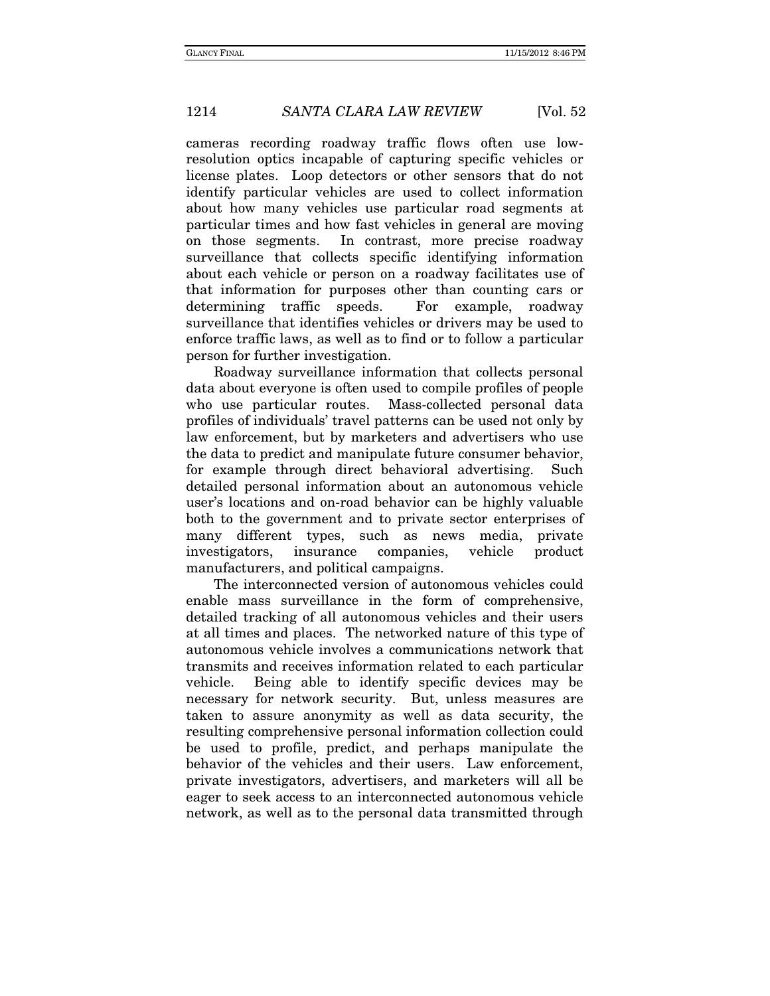cameras recording roadway traffic flows often use lowresolution optics incapable of capturing specific vehicles or license plates. Loop detectors or other sensors that do not identify particular vehicles are used to collect information about how many vehicles use particular road segments at particular times and how fast vehicles in general are moving on those segments. In contrast, more precise roadway surveillance that collects specific identifying information about each vehicle or person on a roadway facilitates use of that information for purposes other than counting cars or determining traffic speeds. For example, roadway surveillance that identifies vehicles or drivers may be used to enforce traffic laws, as well as to find or to follow a particular person for further investigation.

Roadway surveillance information that collects personal data about everyone is often used to compile profiles of people who use particular routes. Mass-collected personal data profiles of individuals' travel patterns can be used not only by law enforcement, but by marketers and advertisers who use the data to predict and manipulate future consumer behavior, for example through direct behavioral advertising. Such detailed personal information about an autonomous vehicle user's locations and on-road behavior can be highly valuable both to the government and to private sector enterprises of many different types, such as news media, private investigators, insurance companies, vehicle product manufacturers, and political campaigns.

The interconnected version of autonomous vehicles could enable mass surveillance in the form of comprehensive, detailed tracking of all autonomous vehicles and their users at all times and places. The networked nature of this type of autonomous vehicle involves a communications network that transmits and receives information related to each particular vehicle. Being able to identify specific devices may be necessary for network security. But, unless measures are taken to assure anonymity as well as data security, the resulting comprehensive personal information collection could be used to profile, predict, and perhaps manipulate the behavior of the vehicles and their users. Law enforcement, private investigators, advertisers, and marketers will all be eager to seek access to an interconnected autonomous vehicle network, as well as to the personal data transmitted through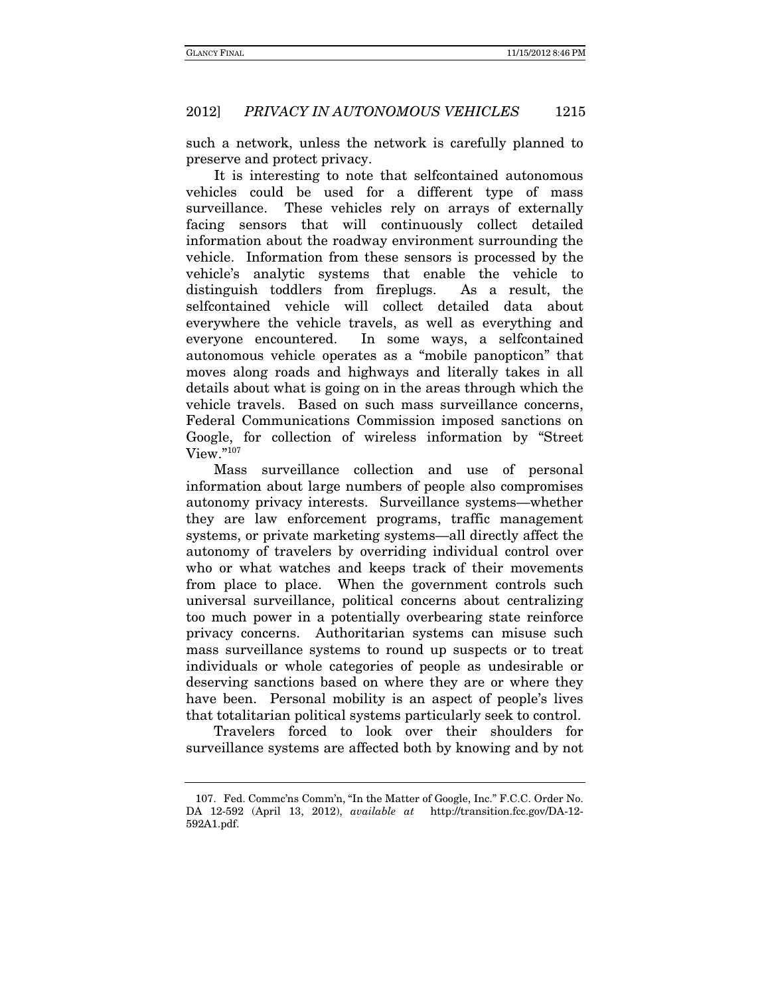such a network, unless the network is carefully planned to preserve and protect privacy.

It is interesting to note that selfcontained autonomous vehicles could be used for a different type of mass surveillance. These vehicles rely on arrays of externally facing sensors that will continuously collect detailed information about the roadway environment surrounding the vehicle. Information from these sensors is processed by the vehicle's analytic systems that enable the vehicle to distinguish toddlers from fireplugs. As a result, the selfcontained vehicle will collect detailed data about everywhere the vehicle travels, as well as everything and everyone encountered. In some ways, a selfcontained autonomous vehicle operates as a "mobile panopticon" that moves along roads and highways and literally takes in all details about what is going on in the areas through which the vehicle travels. Based on such mass surveillance concerns, Federal Communications Commission imposed sanctions on Google, for collection of wireless information by "Street View."107

Mass surveillance collection and use of personal information about large numbers of people also compromises autonomy privacy interests. Surveillance systems—whether they are law enforcement programs, traffic management systems, or private marketing systems—all directly affect the autonomy of travelers by overriding individual control over who or what watches and keeps track of their movements from place to place. When the government controls such universal surveillance, political concerns about centralizing too much power in a potentially overbearing state reinforce privacy concerns. Authoritarian systems can misuse such mass surveillance systems to round up suspects or to treat individuals or whole categories of people as undesirable or deserving sanctions based on where they are or where they have been. Personal mobility is an aspect of people's lives that totalitarian political systems particularly seek to control.

Travelers forced to look over their shoulders for surveillance systems are affected both by knowing and by not

 <sup>107.</sup> Fed. Commc'ns Comm'n, "In the Matter of Google, Inc." F.C.C. Order No. DA 12-592 (April 13, 2012), available at http://transition.fcc.gov/DA-12- 592A1.pdf.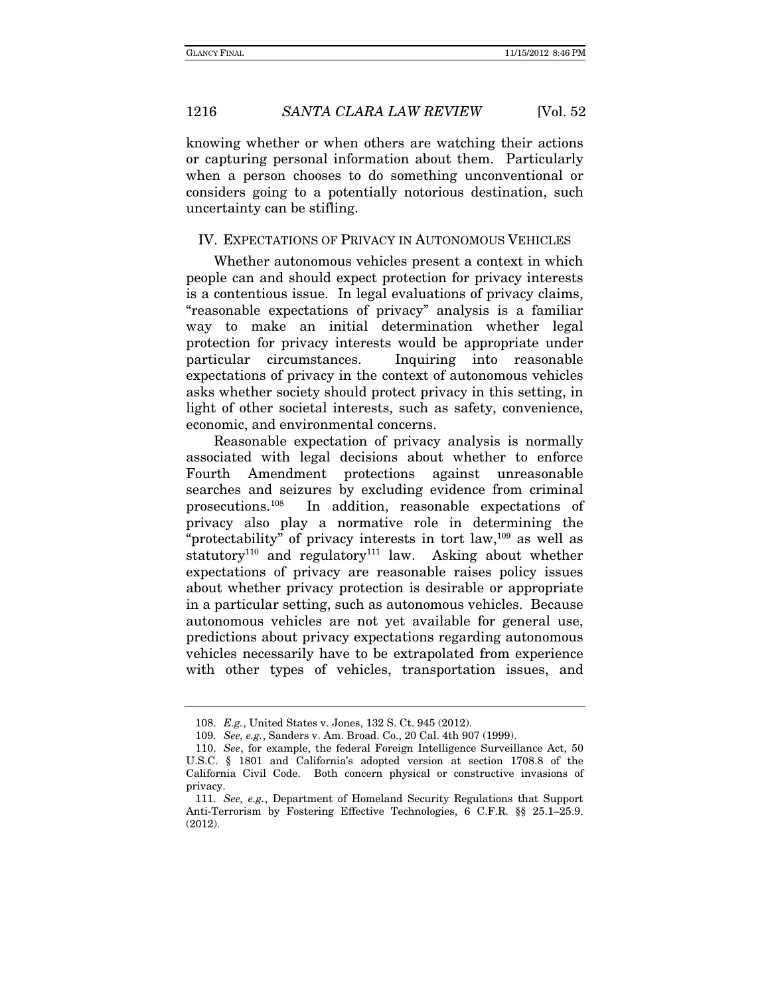knowing whether or when others are watching their actions or capturing personal information about them. Particularly when a person chooses to do something unconventional or considers going to a potentially notorious destination, such uncertainty can be stifling.

#### IV. EXPECTATIONS OF PRIVACY IN AUTONOMOUS VEHICLES

Whether autonomous vehicles present a context in which people can and should expect protection for privacy interests is a contentious issue. In legal evaluations of privacy claims, "reasonable expectations of privacy" analysis is a familiar way to make an initial determination whether legal protection for privacy interests would be appropriate under particular circumstances. Inquiring into reasonable expectations of privacy in the context of autonomous vehicles asks whether society should protect privacy in this setting, in light of other societal interests, such as safety, convenience, economic, and environmental concerns.

Reasonable expectation of privacy analysis is normally associated with legal decisions about whether to enforce Fourth Amendment protections against unreasonable searches and seizures by excluding evidence from criminal prosecutions.108 In addition, reasonable expectations of privacy also play a normative role in determining the "protectability" of privacy interests in tort law,<sup>109</sup> as well as statutory<sup>110</sup> and regulatory<sup>111</sup> law. Asking about whether expectations of privacy are reasonable raises policy issues about whether privacy protection is desirable or appropriate in a particular setting, such as autonomous vehicles. Because autonomous vehicles are not yet available for general use, predictions about privacy expectations regarding autonomous vehicles necessarily have to be extrapolated from experience with other types of vehicles, transportation issues, and

<sup>108.</sup> E.g., United States v. Jones, 132 S. Ct. 945 (2012).

 <sup>109.</sup> See, e.g., Sanders v. Am. Broad. Co., 20 Cal. 4th 907 (1999).

<sup>110.</sup> See, for example, the federal Foreign Intelligence Surveillance Act, 50 U.S.C. § 1801 and California's adopted version at section 1708.8 of the California Civil Code. Both concern physical or constructive invasions of privacy.

<sup>111.</sup> See, e.g., Department of Homeland Security Regulations that Support Anti-Terrorism by Fostering Effective Technologies, 6 C.F.R. §§ 25.1–25.9. (2012).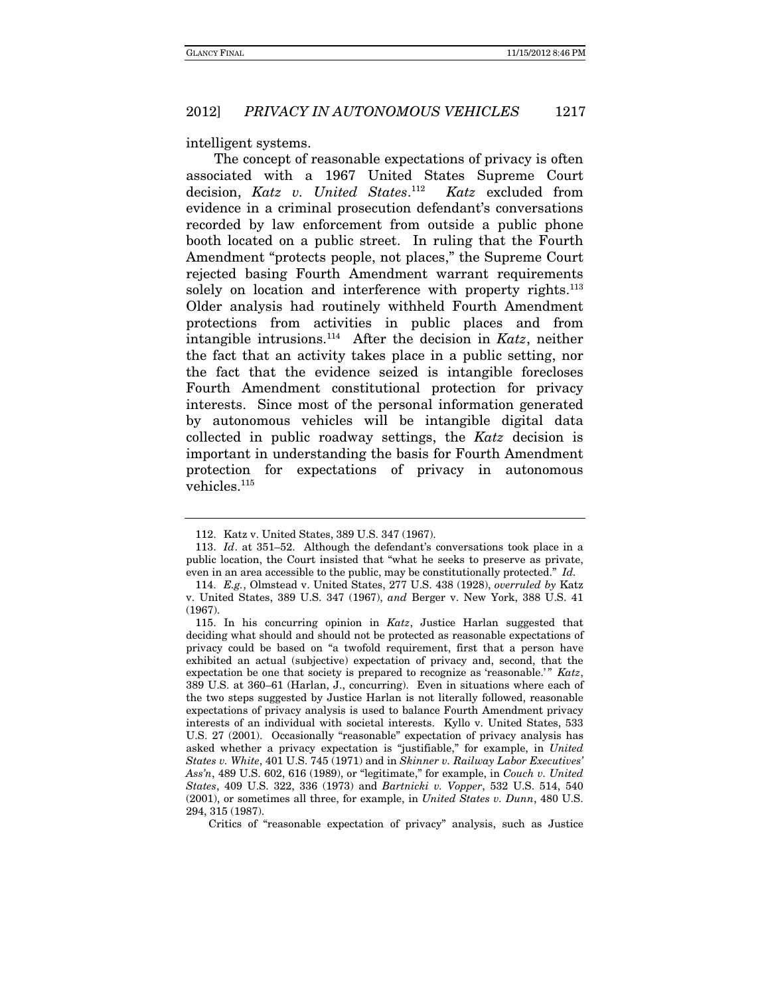#### intelligent systems.

The concept of reasonable expectations of privacy is often associated with a 1967 United States Supreme Court decision, Katz v. United States.<sup>112</sup> Katz excluded from evidence in a criminal prosecution defendant's conversations recorded by law enforcement from outside a public phone booth located on a public street. In ruling that the Fourth Amendment "protects people, not places," the Supreme Court rejected basing Fourth Amendment warrant requirements solely on location and interference with property rights.<sup>113</sup> Older analysis had routinely withheld Fourth Amendment protections from activities in public places and from intangible intrusions.<sup>114</sup> After the decision in Katz, neither the fact that an activity takes place in a public setting, nor the fact that the evidence seized is intangible forecloses Fourth Amendment constitutional protection for privacy interests. Since most of the personal information generated by autonomous vehicles will be intangible digital data collected in public roadway settings, the Katz decision is important in understanding the basis for Fourth Amendment protection for expectations of privacy in autonomous vehicles.<sup>115</sup>

 <sup>112.</sup> Katz v. United States, 389 U.S. 347 (1967).

<sup>113.</sup> Id. at 351–52. Although the defendant's conversations took place in a public location, the Court insisted that "what he seeks to preserve as private, even in an area accessible to the public, may be constitutionally protected." Id.

 <sup>114.</sup> E.g., Olmstead v. United States, 277 U.S. 438 (1928), overruled by Katz v. United States, 389 U.S. 347 (1967), and Berger v. New York, 388 U.S. 41 (1967).

 <sup>115.</sup> In his concurring opinion in Katz, Justice Harlan suggested that deciding what should and should not be protected as reasonable expectations of privacy could be based on "a twofold requirement, first that a person have exhibited an actual (subjective) expectation of privacy and, second, that the expectation be one that society is prepared to recognize as 'reasonable.'" Katz, 389 U.S. at 360–61 (Harlan, J., concurring). Even in situations where each of the two steps suggested by Justice Harlan is not literally followed, reasonable expectations of privacy analysis is used to balance Fourth Amendment privacy interests of an individual with societal interests. Kyllo v. United States, 533 U.S. 27 (2001). Occasionally "reasonable" expectation of privacy analysis has asked whether a privacy expectation is "justifiable," for example, in United States v. White, 401 U.S. 745 (1971) and in Skinner v. Railway Labor Executives' Ass'n, 489 U.S. 602, 616 (1989), or "legitimate," for example, in Couch v. United States, 409 U.S. 322, 336 (1973) and Bartnicki v. Vopper, 532 U.S. 514, 540 (2001), or sometimes all three, for example, in United States v. Dunn, 480 U.S. 294, 315 (1987).

Critics of "reasonable expectation of privacy" analysis, such as Justice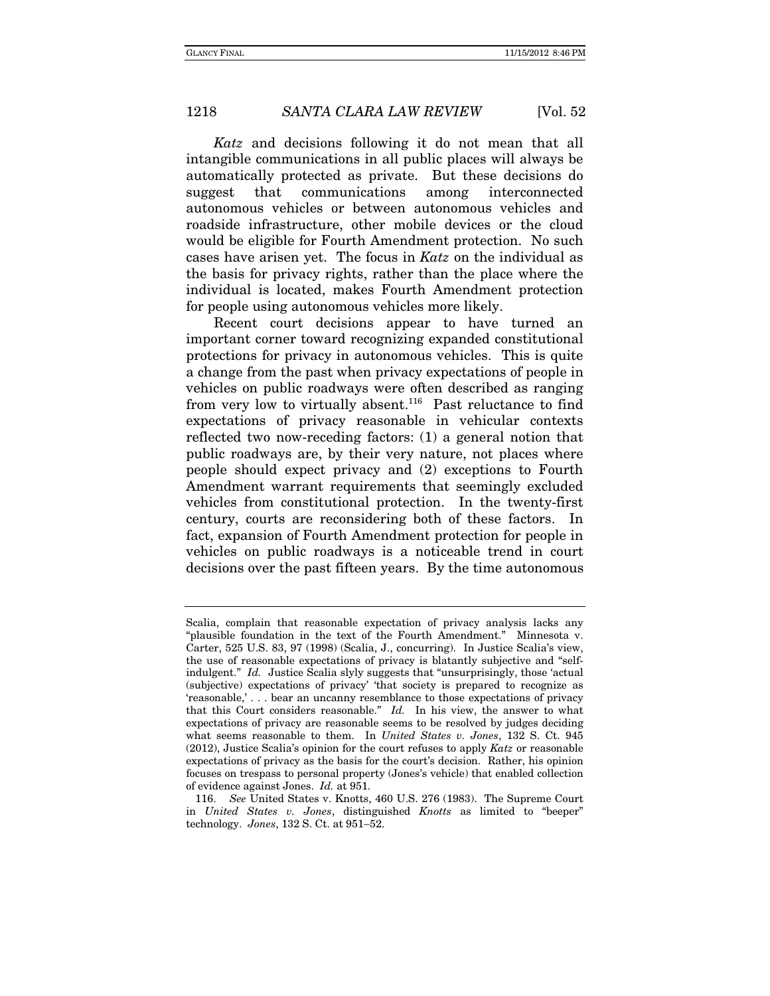Katz and decisions following it do not mean that all intangible communications in all public places will always be automatically protected as private. But these decisions do suggest that communications among interconnected autonomous vehicles or between autonomous vehicles and roadside infrastructure, other mobile devices or the cloud would be eligible for Fourth Amendment protection. No such cases have arisen yet. The focus in Katz on the individual as the basis for privacy rights, rather than the place where the individual is located, makes Fourth Amendment protection for people using autonomous vehicles more likely.

Recent court decisions appear to have turned an important corner toward recognizing expanded constitutional protections for privacy in autonomous vehicles. This is quite a change from the past when privacy expectations of people in vehicles on public roadways were often described as ranging from very low to virtually absent.<sup>116</sup> Past reluctance to find expectations of privacy reasonable in vehicular contexts reflected two now-receding factors: (1) a general notion that public roadways are, by their very nature, not places where people should expect privacy and (2) exceptions to Fourth Amendment warrant requirements that seemingly excluded vehicles from constitutional protection. In the twenty-first century, courts are reconsidering both of these factors. In fact, expansion of Fourth Amendment protection for people in vehicles on public roadways is a noticeable trend in court decisions over the past fifteen years. By the time autonomous

Scalia, complain that reasonable expectation of privacy analysis lacks any "plausible foundation in the text of the Fourth Amendment." Minnesota v. Carter, 525 U.S. 83, 97 (1998) (Scalia, J., concurring). In Justice Scalia's view, the use of reasonable expectations of privacy is blatantly subjective and "selfindulgent." Id. Justice Scalia slyly suggests that "unsurprisingly, those 'actual (subjective) expectations of privacy' 'that society is prepared to recognize as 'reasonable,' . . . bear an uncanny resemblance to those expectations of privacy that this Court considers reasonable." Id. In his view, the answer to what expectations of privacy are reasonable seems to be resolved by judges deciding what seems reasonable to them. In United States v. Jones, 132 S. Ct. 945  $(2012)$ , Justice Scalia's opinion for the court refuses to apply Katz or reasonable expectations of privacy as the basis for the court's decision. Rather, his opinion focuses on trespass to personal property (Jones's vehicle) that enabled collection of evidence against Jones. Id. at 951.

 <sup>116.</sup> See United States v. Knotts, 460 U.S. 276 (1983). The Supreme Court in United States v. Jones, distinguished Knotts as limited to "beeper" technology. Jones,  $132$  S. Ct. at  $951-52$ .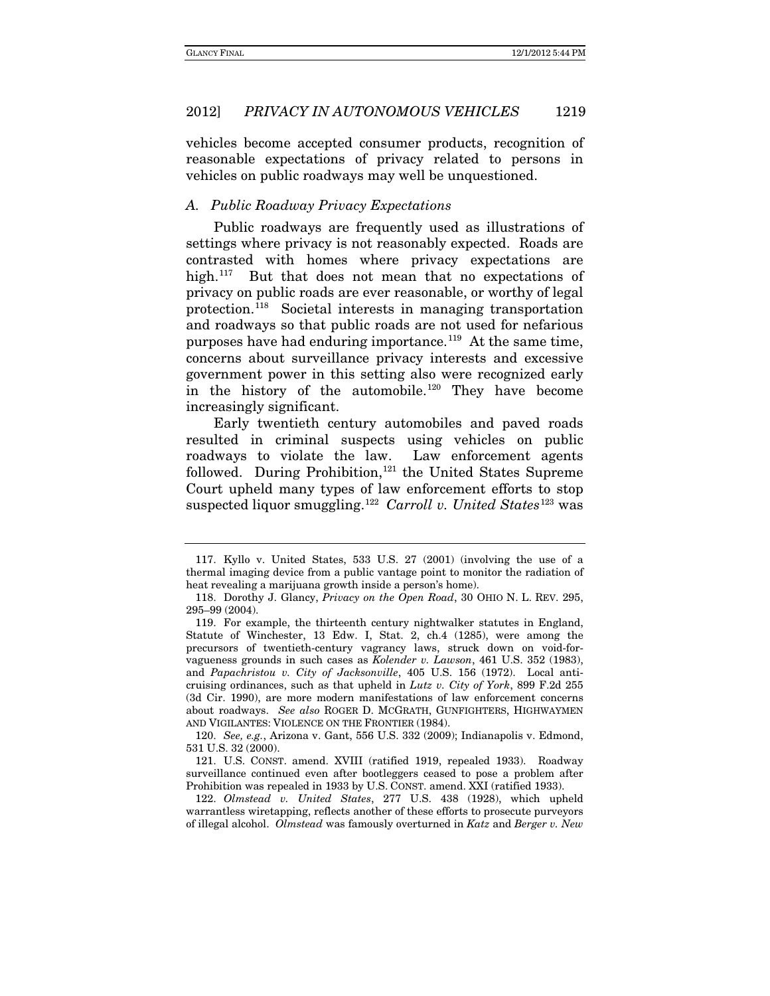vehicles become accepted consumer products, recognition of reasonable expectations of privacy related to persons in vehicles on public roadways may well be unquestioned.

#### *A. Public Roadway Privacy Expectations*

Public roadways are frequently used as illustrations of settings where privacy is not reasonably expected. Roads are contrasted with homes where privacy expectations are high.<sup>[117](#page-49-0)</sup> But that does not mean that no expectations of privacy on public roads are ever reasonable, or worthy of legal protection.[118](#page-49-1) Societal interests in managing transportation and roadways so that public roads are not used for nefarious purposes have had enduring importance.<sup>[119](#page-49-2)</sup> At the same time, concerns about surveillance privacy interests and excessive government power in this setting also were recognized early in the history of the automobile.[120](#page-49-3) They have become increasingly significant.

Early twentieth century automobiles and paved roads resulted in criminal suspects using vehicles on public roadways to violate the law. Law enforcement agents followed. During Prohibition, [121](#page-49-4) the United States Supreme Court upheld many types of law enforcement efforts to stop suspected liquor smuggling.<sup>[122](#page-49-5)</sup> *Carroll v. United States*<sup>[123](#page-49-6)</sup> was

<span id="page-49-3"></span>120. *See, e.g.*, Arizona v. Gant, 556 U.S. 332 (2009); Indianapolis v. Edmond, 531 U.S. 32 (2000).

<span id="page-49-6"></span><span id="page-49-4"></span>121. U.S. CONST. amend. XVIII (ratified 1919, repealed 1933). Roadway surveillance continued even after bootleggers ceased to pose a problem after Prohibition was repealed in 1933 by U.S. CONST. amend. XXI (ratified 1933).

<span id="page-49-5"></span>122. *Olmstead v. United States*, 277 U.S. 438 (1928), which upheld warrantless wiretapping, reflects another of these efforts to prosecute purveyors of illegal alcohol. *Olmstead* was famously overturned in *Katz* and *Berger v. New* 

<span id="page-49-0"></span><sup>117.</sup> Kyllo v. United States, 533 U.S. 27 (2001) (involving the use of a thermal imaging device from a public vantage point to monitor the radiation of heat revealing a marijuana growth inside a person's home).

<span id="page-49-1"></span><sup>118.</sup> Dorothy J. Glancy, *Privacy on the Open Road*, 30 OHIO N. L. REV. 295, 295–99 (2004).

<span id="page-49-2"></span><sup>119.</sup> For example, the thirteenth century nightwalker statutes in England, Statute of Winchester, 13 Edw. I, Stat. 2, ch.4 (1285), were among the precursors of twentieth-century vagrancy laws, struck down on void-forvagueness grounds in such cases as *Kolender v. Lawson*, 461 U.S. 352 (1983), and *Papachristou v. City of Jacksonville*, 405 U.S. 156 (1972). Local anticruising ordinances, such as that upheld in *Lutz v. City of York*, 899 F.2d 255 (3d Cir. 1990), are more modern manifestations of law enforcement concerns about roadways. *See also* ROGER D. MCGRATH, GUNFIGHTERS, HIGHWAYMEN AND VIGILANTES: VIOLENCE ON THE FRONTIER (1984).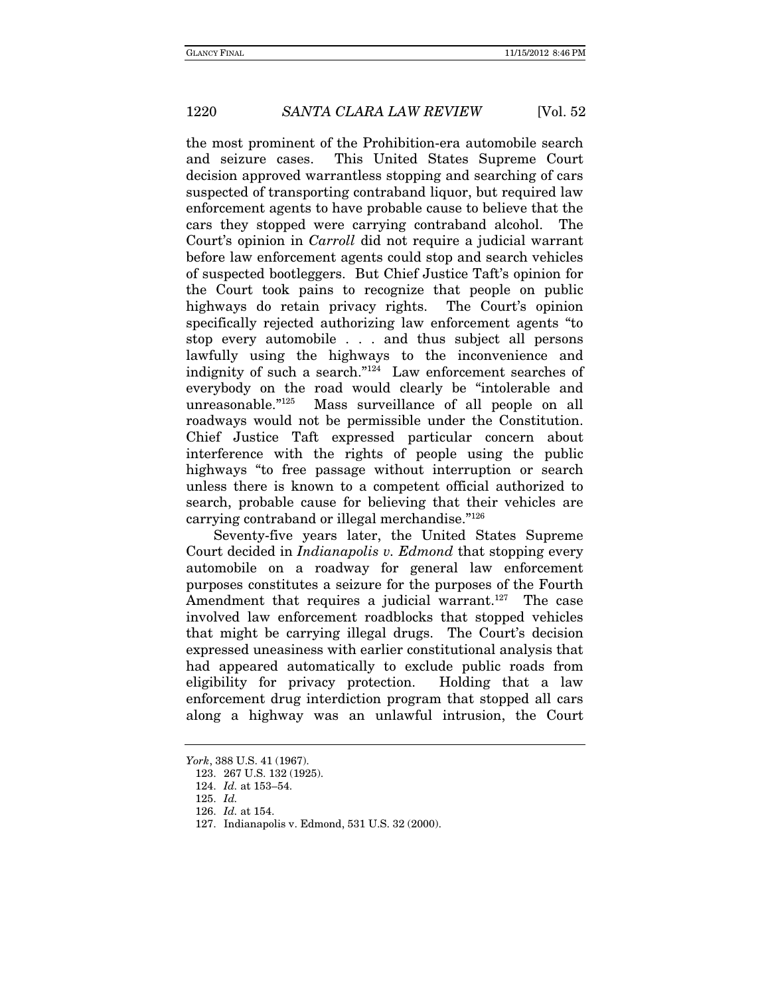the most prominent of the Prohibition-era automobile search and seizure cases. This United States Supreme Court decision approved warrantless stopping and searching of cars suspected of transporting contraband liquor, but required law enforcement agents to have probable cause to believe that the cars they stopped were carrying contraband alcohol. The Court's opinion in Carroll did not require a judicial warrant before law enforcement agents could stop and search vehicles of suspected bootleggers. But Chief Justice Taft's opinion for the Court took pains to recognize that people on public highways do retain privacy rights. The Court's opinion specifically rejected authorizing law enforcement agents "to stop every automobile . . . and thus subject all persons lawfully using the highways to the inconvenience and indignity of such a search."124 Law enforcement searches of everybody on the road would clearly be "intolerable and unreasonable."125 Mass surveillance of all people on all roadways would not be permissible under the Constitution. Chief Justice Taft expressed particular concern about interference with the rights of people using the public highways "to free passage without interruption or search unless there is known to a competent official authorized to search, probable cause for believing that their vehicles are carrying contraband or illegal merchandise."126

Seventy-five years later, the United States Supreme Court decided in Indianapolis v. Edmond that stopping every automobile on a roadway for general law enforcement purposes constitutes a seizure for the purposes of the Fourth Amendment that requires a judicial warrant.<sup>127</sup> The case involved law enforcement roadblocks that stopped vehicles that might be carrying illegal drugs. The Court's decision expressed uneasiness with earlier constitutional analysis that had appeared automatically to exclude public roads from eligibility for privacy protection. Holding that a law enforcement drug interdiction program that stopped all cars along a highway was an unlawful intrusion, the Court

York, 388 U.S. 41 (1967).

 <sup>123. 267</sup> U.S. 132 (1925).

<sup>124.</sup> Id. at 153–54.

<sup>125.</sup> Id.

<sup>126.</sup> Id. at 154.

 <sup>127.</sup> Indianapolis v. Edmond, 531 U.S. 32 (2000).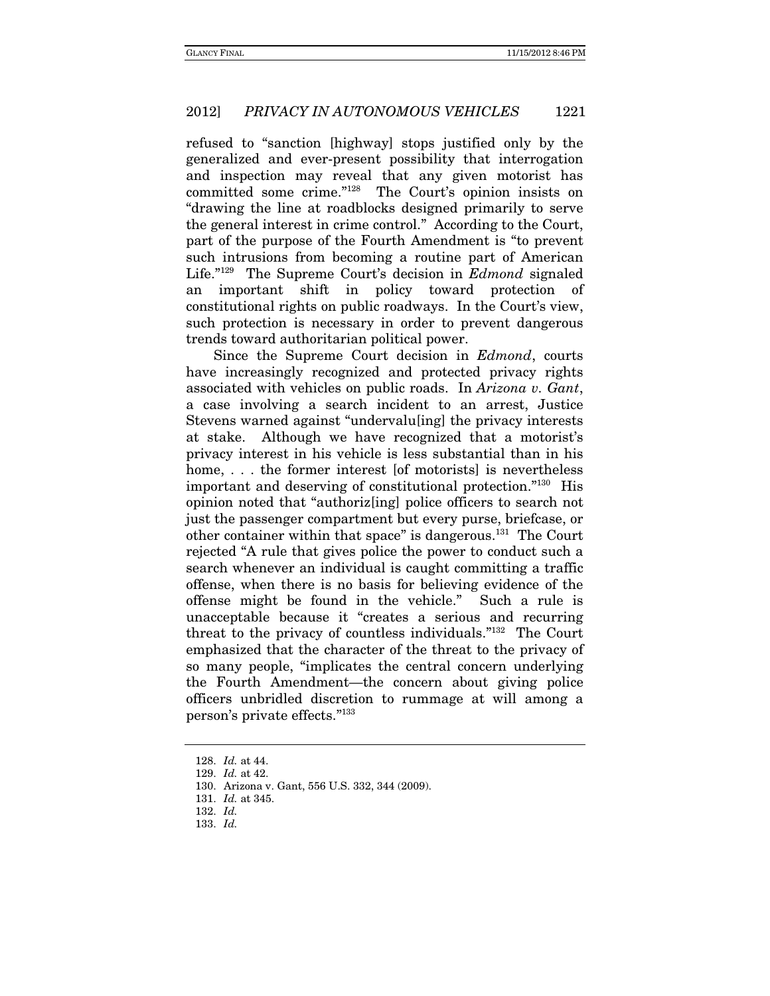refused to "sanction [highway] stops justified only by the generalized and ever-present possibility that interrogation and inspection may reveal that any given motorist has committed some crime."128 The Court's opinion insists on "drawing the line at roadblocks designed primarily to serve the general interest in crime control." According to the Court, part of the purpose of the Fourth Amendment is "to prevent such intrusions from becoming a routine part of American Life."129 The Supreme Court's decision in Edmond signaled an important shift in policy toward protection of constitutional rights on public roadways. In the Court's view, such protection is necessary in order to prevent dangerous trends toward authoritarian political power.

Since the Supreme Court decision in Edmond, courts have increasingly recognized and protected privacy rights associated with vehicles on public roads. In Arizona v. Gant, a case involving a search incident to an arrest, Justice Stevens warned against "undervalu[ing] the privacy interests at stake. Although we have recognized that a motorist's privacy interest in his vehicle is less substantial than in his home, . . . the former interest [of motorists] is nevertheless important and deserving of constitutional protection."130 His opinion noted that "authoriz[ing] police officers to search not just the passenger compartment but every purse, briefcase, or other container within that space" is dangerous.131 The Court rejected "A rule that gives police the power to conduct such a search whenever an individual is caught committing a traffic offense, when there is no basis for believing evidence of the offense might be found in the vehicle." Such a rule is unacceptable because it "creates a serious and recurring threat to the privacy of countless individuals."132 The Court emphasized that the character of the threat to the privacy of so many people, "implicates the central concern underlying the Fourth Amendment—the concern about giving police officers unbridled discretion to rummage at will among a person's private effects."133

<sup>128.</sup> Id. at 44.

<sup>129.</sup> Id. at 42.

 <sup>130.</sup> Arizona v. Gant, 556 U.S. 332, 344 (2009).

 <sup>131.</sup> Id. at 345.

 <sup>132.</sup> Id.

<sup>133.</sup> Id.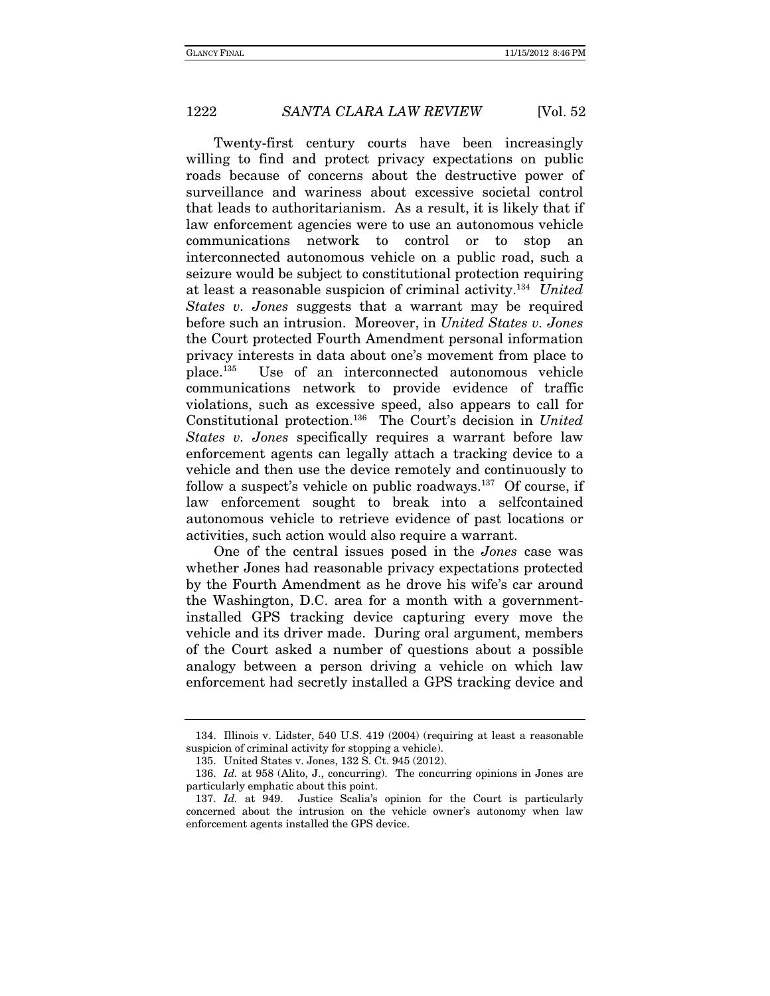Twenty-first century courts have been increasingly willing to find and protect privacy expectations on public roads because of concerns about the destructive power of surveillance and wariness about excessive societal control that leads to authoritarianism. As a result, it is likely that if law enforcement agencies were to use an autonomous vehicle communications network to control or to stop an interconnected autonomous vehicle on a public road, such a seizure would be subject to constitutional protection requiring at least a reasonable suspicion of criminal activity.134 United States v. Jones suggests that a warrant may be required before such an intrusion. Moreover, in United States v. Jones the Court protected Fourth Amendment personal information privacy interests in data about one's movement from place to place.135 Use of an interconnected autonomous vehicle communications network to provide evidence of traffic violations, such as excessive speed, also appears to call for Constitutional protection.136 The Court's decision in United States v. Jones specifically requires a warrant before law enforcement agents can legally attach a tracking device to a vehicle and then use the device remotely and continuously to follow a suspect's vehicle on public roadways.<sup>137</sup> Of course, if law enforcement sought to break into a selfcontained autonomous vehicle to retrieve evidence of past locations or activities, such action would also require a warrant.

One of the central issues posed in the Jones case was whether Jones had reasonable privacy expectations protected by the Fourth Amendment as he drove his wife's car around the Washington, D.C. area for a month with a governmentinstalled GPS tracking device capturing every move the vehicle and its driver made. During oral argument, members of the Court asked a number of questions about a possible analogy between a person driving a vehicle on which law enforcement had secretly installed a GPS tracking device and

 <sup>134.</sup> Illinois v. Lidster, 540 U.S. 419 (2004) (requiring at least a reasonable suspicion of criminal activity for stopping a vehicle).

 <sup>135.</sup> United States v. Jones, 132 S. Ct. 945 (2012).

<sup>136.</sup> Id. at 958 (Alito, J., concurring). The concurring opinions in Jones are particularly emphatic about this point.

<sup>137.</sup> Id. at 949. Justice Scalia's opinion for the Court is particularly concerned about the intrusion on the vehicle owner's autonomy when law enforcement agents installed the GPS device.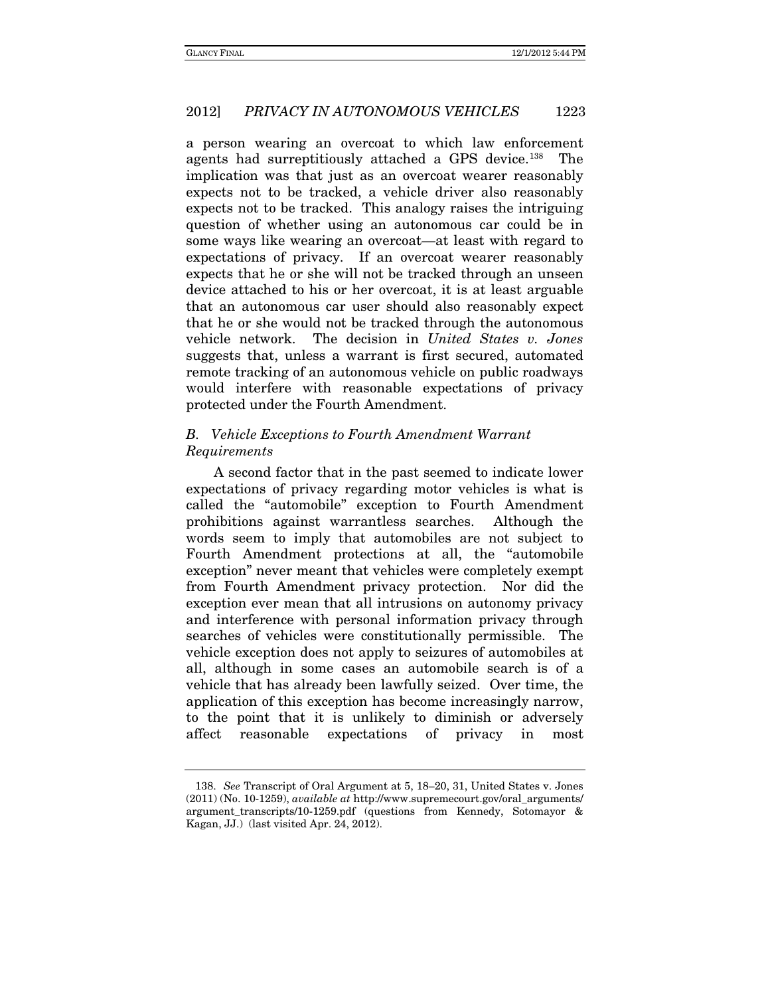a person wearing an overcoat to which law enforcement agents had surreptitiously attached a GPS device.<sup>[138](#page-53-0)</sup> The implication was that just as an overcoat wearer reasonably expects not to be tracked, a vehicle driver also reasonably expects not to be tracked. This analogy raises the intriguing question of whether using an autonomous car could be in some ways like wearing an overcoat—at least with regard to expectations of privacy. If an overcoat wearer reasonably expects that he or she will not be tracked through an unseen device attached to his or her overcoat, it is at least arguable that an autonomous car user should also reasonably expect that he or she would not be tracked through the autonomous vehicle network. The decision in *United States v. Jones*  suggests that, unless a warrant is first secured, automated remote tracking of an autonomous vehicle on public roadways would interfere with reasonable expectations of privacy protected under the Fourth Amendment.

# *B. Vehicle Exceptions to Fourth Amendment Warrant Requirements*

A second factor that in the past seemed to indicate lower expectations of privacy regarding motor vehicles is what is called the "automobile" exception to Fourth Amendment prohibitions against warrantless searches. Although the words seem to imply that automobiles are not subject to Fourth Amendment protections at all, the "automobile exception" never meant that vehicles were completely exempt from Fourth Amendment privacy protection. Nor did the exception ever mean that all intrusions on autonomy privacy and interference with personal information privacy through searches of vehicles were constitutionally permissible. The vehicle exception does not apply to seizures of automobiles at all, although in some cases an automobile search is of a vehicle that has already been lawfully seized. Over time, the application of this exception has become increasingly narrow, to the point that it is unlikely to diminish or adversely affect reasonable expectations of privacy in most

<span id="page-53-0"></span><sup>138.</sup> *See* Transcript of Oral Argument at 5, 18–20, 31, United States v. Jones (2011) (No. 10-1259), *available at* http://www.supremecourt.gov/oral\_arguments/ argument\_transcripts/10-1259.pdf (questions from Kennedy, Sotomayor & Kagan, JJ.) (last visited Apr. 24, 2012).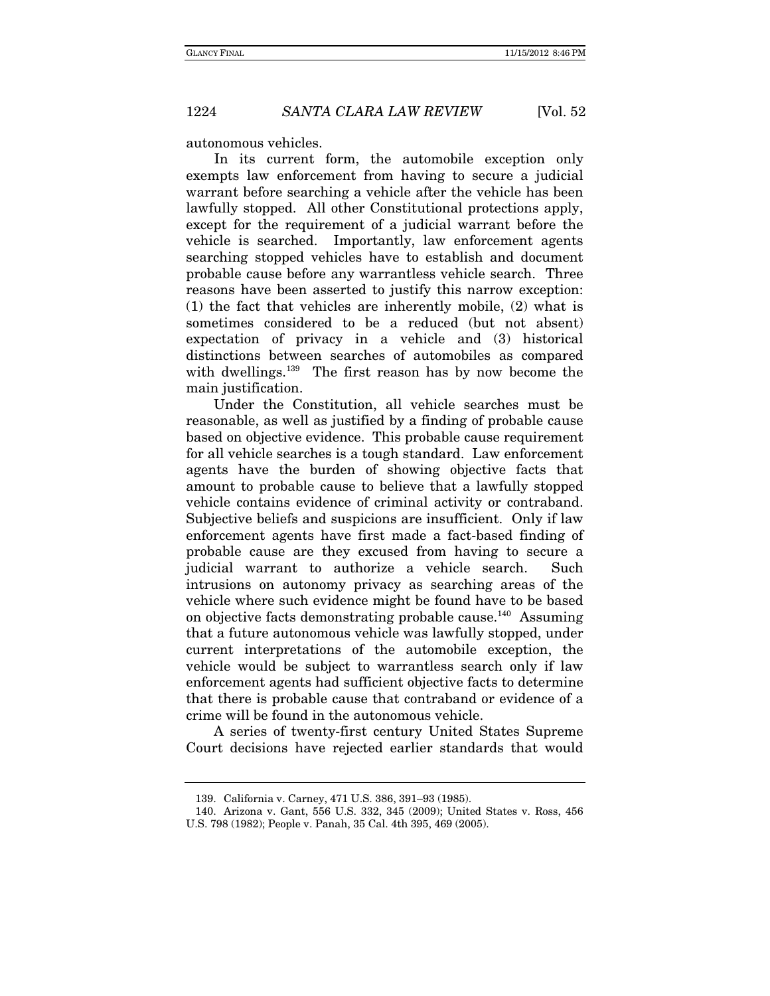autonomous vehicles.

In its current form, the automobile exception only exempts law enforcement from having to secure a judicial warrant before searching a vehicle after the vehicle has been lawfully stopped. All other Constitutional protections apply, except for the requirement of a judicial warrant before the vehicle is searched. Importantly, law enforcement agents searching stopped vehicles have to establish and document probable cause before any warrantless vehicle search. Three reasons have been asserted to justify this narrow exception: (1) the fact that vehicles are inherently mobile, (2) what is sometimes considered to be a reduced (but not absent) expectation of privacy in a vehicle and (3) historical distinctions between searches of automobiles as compared with dwellings.139 The first reason has by now become the main justification.

Under the Constitution, all vehicle searches must be reasonable, as well as justified by a finding of probable cause based on objective evidence. This probable cause requirement for all vehicle searches is a tough standard. Law enforcement agents have the burden of showing objective facts that amount to probable cause to believe that a lawfully stopped vehicle contains evidence of criminal activity or contraband. Subjective beliefs and suspicions are insufficient. Only if law enforcement agents have first made a fact-based finding of probable cause are they excused from having to secure a judicial warrant to authorize a vehicle search. Such intrusions on autonomy privacy as searching areas of the vehicle where such evidence might be found have to be based on objective facts demonstrating probable cause.140 Assuming that a future autonomous vehicle was lawfully stopped, under current interpretations of the automobile exception, the vehicle would be subject to warrantless search only if law enforcement agents had sufficient objective facts to determine that there is probable cause that contraband or evidence of a crime will be found in the autonomous vehicle.

A series of twenty-first century United States Supreme Court decisions have rejected earlier standards that would

 <sup>139.</sup> California v. Carney, 471 U.S. 386, 391–93 (1985).

 <sup>140.</sup> Arizona v. Gant, 556 U.S. 332, 345 (2009); United States v. Ross, 456 U.S. 798 (1982); People v. Panah, 35 Cal. 4th 395, 469 (2005).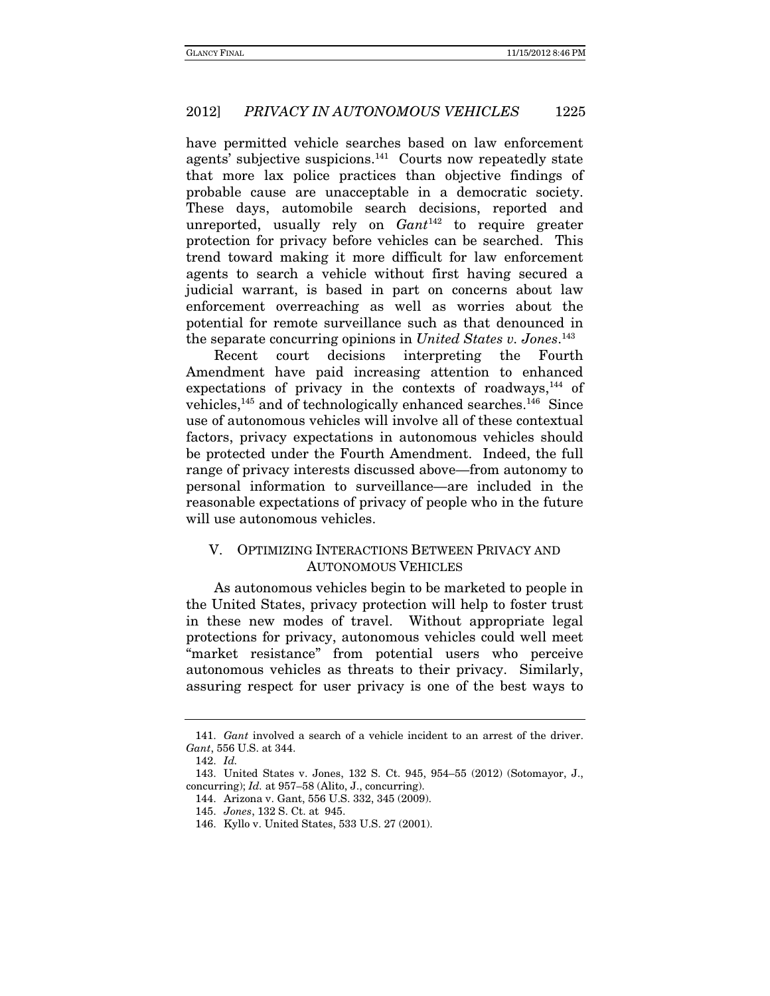have permitted vehicle searches based on law enforcement agents' subjective suspicions.<sup>141</sup> Courts now repeatedly state that more lax police practices than objective findings of probable cause are unacceptable in a democratic society. These days, automobile search decisions, reported and unreported, usually rely on  $Gant^{142}$  to require greater protection for privacy before vehicles can be searched. This trend toward making it more difficult for law enforcement agents to search a vehicle without first having secured a judicial warrant, is based in part on concerns about law enforcement overreaching as well as worries about the potential for remote surveillance such as that denounced in the separate concurring opinions in United States v. Jones.<sup>143</sup>

Recent court decisions interpreting the Fourth Amendment have paid increasing attention to enhanced expectations of privacy in the contexts of roadways, $144$  of vehicles,<sup>145</sup> and of technologically enhanced searches.<sup>146</sup> Since use of autonomous vehicles will involve all of these contextual factors, privacy expectations in autonomous vehicles should be protected under the Fourth Amendment. Indeed, the full range of privacy interests discussed above—from autonomy to personal information to surveillance—are included in the reasonable expectations of privacy of people who in the future will use autonomous vehicles.

# V. OPTIMIZING INTERACTIONS BETWEEN PRIVACY AND AUTONOMOUS VEHICLES

As autonomous vehicles begin to be marketed to people in the United States, privacy protection will help to foster trust in these new modes of travel. Without appropriate legal protections for privacy, autonomous vehicles could well meet "market resistance" from potential users who perceive autonomous vehicles as threats to their privacy. Similarly, assuring respect for user privacy is one of the best ways to

 <sup>141.</sup> Gant involved a search of a vehicle incident to an arrest of the driver. Gant, 556 U.S. at 344.

 <sup>142.</sup> Id.

 <sup>143.</sup> United States v. Jones, 132 S. Ct. 945, 954–55 (2012) (Sotomayor, J., concurring);  $Id.$  at 957–58 (Alito, J., concurring).

 <sup>144.</sup> Arizona v. Gant, 556 U.S. 332, 345 (2009).

 <sup>145.</sup> Jones, 132 S. Ct. at 945.

 <sup>146.</sup> Kyllo v. United States, 533 U.S. 27 (2001).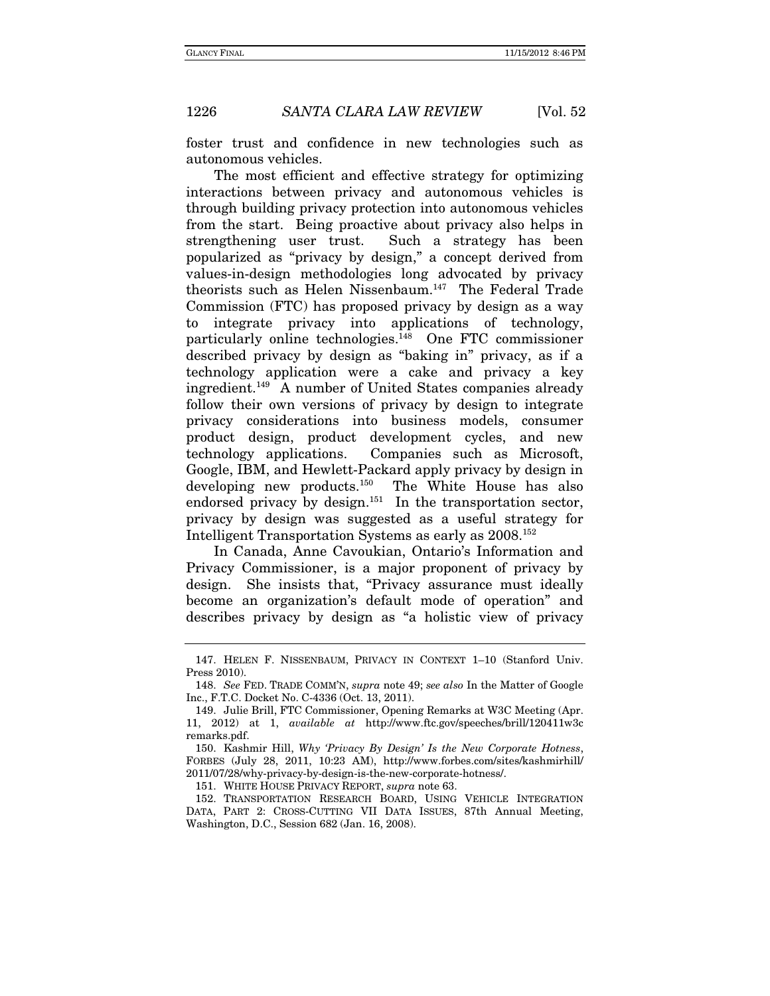foster trust and confidence in new technologies such as autonomous vehicles.

The most efficient and effective strategy for optimizing interactions between privacy and autonomous vehicles is through building privacy protection into autonomous vehicles from the start. Being proactive about privacy also helps in strengthening user trust. Such a strategy has been popularized as "privacy by design," a concept derived from values-in-design methodologies long advocated by privacy theorists such as Helen Nissenbaum.147 The Federal Trade Commission (FTC) has proposed privacy by design as a way to integrate privacy into applications of technology, particularly online technologies.148 One FTC commissioner described privacy by design as "baking in" privacy, as if a technology application were a cake and privacy a key ingredient.149 A number of United States companies already follow their own versions of privacy by design to integrate privacy considerations into business models, consumer product design, product development cycles, and new technology applications. Companies such as Microsoft, Google, IBM, and Hewlett-Packard apply privacy by design in developing new products.<sup>150</sup> The White House has also endorsed privacy by design.<sup>151</sup> In the transportation sector, privacy by design was suggested as a useful strategy for Intelligent Transportation Systems as early as 2008.152

In Canada, Anne Cavoukian, Ontario's Information and Privacy Commissioner, is a major proponent of privacy by design. She insists that, "Privacy assurance must ideally become an organization's default mode of operation" and describes privacy by design as "a holistic view of privacy

151. WHITE HOUSE PRIVACY REPORT, supra note 63.

 <sup>147.</sup> HELEN F. NISSENBAUM, PRIVACY IN CONTEXT 1–10 (Stanford Univ. Press 2010).

<sup>148.</sup> See FED. TRADE COMM'N, supra note 49; see also In the Matter of Google Inc., F.T.C. Docket No. C-4336 (Oct. 13, 2011).

 <sup>149.</sup> Julie Brill, FTC Commissioner, Opening Remarks at W3C Meeting (Apr. 11, 2012) at 1, available at http://www.ftc.gov/speeches/brill/120411w3c remarks.pdf.

 <sup>150.</sup> Kashmir Hill, Why 'Privacy By Design' Is the New Corporate Hotness, FORBES (July 28, 2011, 10:23 AM), http://www.forbes.com/sites/kashmirhill/ 2011/07/28/why-privacy-by-design-is-the-new-corporate-hotness/.

<sup>152.</sup> TRANSPORTATION RESEARCH BOARD, USING VEHICLE INTEGRATION DATA, PART 2: CROSS-CUTTING VII DATA ISSUES, 87th Annual Meeting, Washington, D.C., Session 682 (Jan. 16, 2008).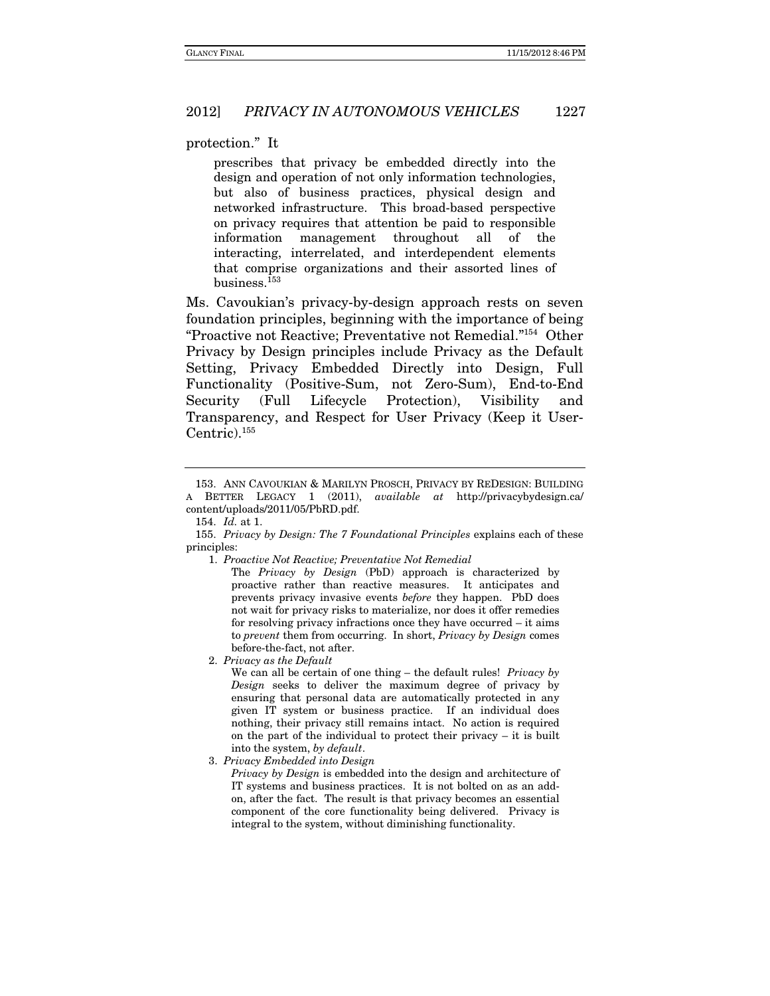protection." It

prescribes that privacy be embedded directly into the design and operation of not only information technologies, but also of business practices, physical design and networked infrastructure. This broad-based perspective on privacy requires that attention be paid to responsible information management throughout all of the interacting, interrelated, and interdependent elements that comprise organizations and their assorted lines of business.153

Ms. Cavoukian's privacy-by-design approach rests on seven foundation principles, beginning with the importance of being "Proactive not Reactive; Preventative not Remedial."154 Other Privacy by Design principles include Privacy as the Default Setting, Privacy Embedded Directly into Design, Full Functionality (Positive-Sum, not Zero-Sum), End-to-End Security (Full Lifecycle Protection), Visibility and Transparency, and Respect for User Privacy (Keep it User-Centric).155

We can all be certain of one thing  $-$  the default rules! Privacy by Design seeks to deliver the maximum degree of privacy by ensuring that personal data are automatically protected in any given IT system or business practice. If an individual does nothing, their privacy still remains intact. No action is required on the part of the individual to protect their privacy – it is built into the system, by default.

3. Privacy Embedded into Design

Privacy by Design is embedded into the design and architecture of IT systems and business practices. It is not bolted on as an addon, after the fact. The result is that privacy becomes an essential component of the core functionality being delivered. Privacy is integral to the system, without diminishing functionality.

 <sup>153.</sup> ANN CAVOUKIAN & MARILYN PROSCH, PRIVACY BY REDESIGN: BUILDING A BETTER LEGACY 1 (2011), available at http://privacybydesign.ca/ content/uploads/2011/05/PbRD.pdf.

 <sup>154.</sup> Id. at 1.

<sup>155.</sup> Privacy by Design: The 7 Foundational Principles explains each of these principles:

<sup>1.</sup> Proactive Not Reactive; Preventative Not Remedial

The Privacy by Design (PbD) approach is characterized by proactive rather than reactive measures. It anticipates and prevents privacy invasive events before they happen. PbD does not wait for privacy risks to materialize, nor does it offer remedies for resolving privacy infractions once they have occurred – it aims to prevent them from occurring. In short, Privacy by Design comes before-the-fact, not after.

<sup>2.</sup> Privacy as the Default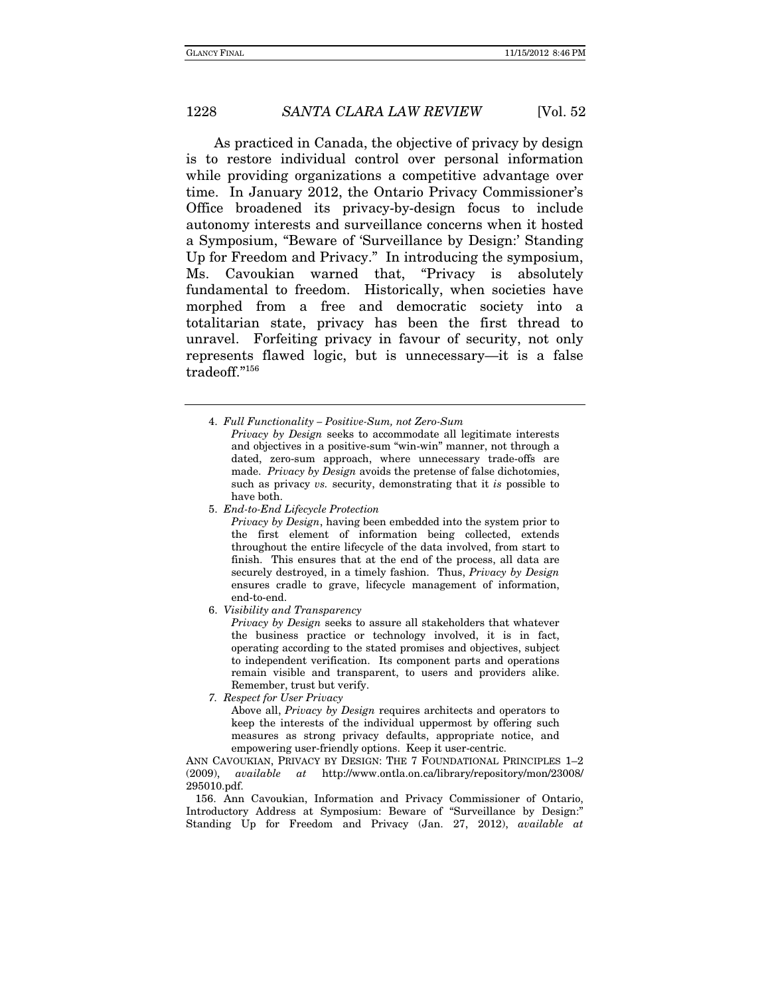As practiced in Canada, the objective of privacy by design is to restore individual control over personal information while providing organizations a competitive advantage over time. In January 2012, the Ontario Privacy Commissioner's Office broadened its privacy-by-design focus to include autonomy interests and surveillance concerns when it hosted a Symposium, "Beware of 'Surveillance by Design:' Standing Up for Freedom and Privacy." In introducing the symposium, Ms. Cavoukian warned that, "Privacy is absolutely fundamental to freedom. Historically, when societies have morphed from a free and democratic society into a totalitarian state, privacy has been the first thread to unravel. Forfeiting privacy in favour of security, not only represents flawed logic, but is unnecessary—it is a false tradeoff."156

Privacy by Design seeks to accommodate all legitimate interests and objectives in a positive-sum "win-win" manner, not through a dated, zero-sum approach, where unnecessary trade-offs are made. Privacy by Design avoids the pretense of false dichotomies, such as privacy *vs.* security, demonstrating that it *is* possible to have both.

5. End-to-End Lifecycle Protection

Privacy by Design, having been embedded into the system prior to the first element of information being collected, extends throughout the entire lifecycle of the data involved, from start to finish. This ensures that at the end of the process, all data are securely destroyed, in a timely fashion. Thus, Privacy by Design ensures cradle to grave, lifecycle management of information, end-to-end.

6. Visibility and Transparency

Privacy by Design seeks to assure all stakeholders that whatever the business practice or technology involved, it is in fact, operating according to the stated promises and objectives, subject to independent verification. Its component parts and operations remain visible and transparent, to users and providers alike. Remember, trust but verify.

7. Respect for User Privacy

Above all, Privacy by Design requires architects and operators to keep the interests of the individual uppermost by offering such measures as strong privacy defaults, appropriate notice, and empowering user-friendly options. Keep it user-centric.

ANN CAVOUKIAN, PRIVACY BY DESIGN: THE 7 FOUNDATIONAL PRINCIPLES  $1-2$ (2009), available at http://www.ontla.on.ca/library/repository/mon/23008/ 295010.pdf.

 156. Ann Cavoukian, Information and Privacy Commissioner of Ontario, Introductory Address at Symposium: Beware of "Surveillance by Design:" Standing Up for Freedom and Privacy (Jan. 27, 2012), available at

<sup>4.</sup> Full Functionality – Positive-Sum, not Zero-Sum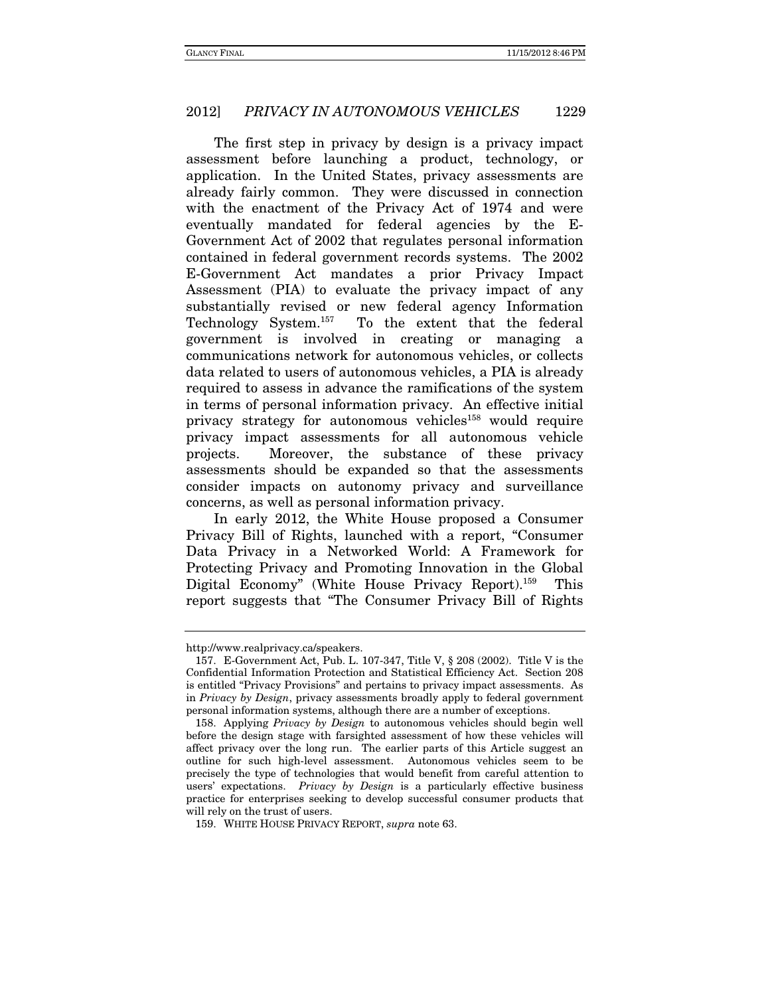The first step in privacy by design is a privacy impact assessment before launching a product, technology, or application. In the United States, privacy assessments are already fairly common. They were discussed in connection with the enactment of the Privacy Act of 1974 and were eventually mandated for federal agencies by the E-Government Act of 2002 that regulates personal information contained in federal government records systems. The 2002 E-Government Act mandates a prior Privacy Impact Assessment (PIA) to evaluate the privacy impact of any substantially revised or new federal agency Information Technology System.157 To the extent that the federal government is involved in creating or managing a communications network for autonomous vehicles, or collects data related to users of autonomous vehicles, a PIA is already required to assess in advance the ramifications of the system in terms of personal information privacy. An effective initial privacy strategy for autonomous vehicles<sup>158</sup> would require privacy impact assessments for all autonomous vehicle projects. Moreover, the substance of these privacy assessments should be expanded so that the assessments consider impacts on autonomy privacy and surveillance concerns, as well as personal information privacy.

In early 2012, the White House proposed a Consumer Privacy Bill of Rights, launched with a report, "Consumer Data Privacy in a Networked World: A Framework for Protecting Privacy and Promoting Innovation in the Global Digital Economy" (White House Privacy Report).159 This report suggests that "The Consumer Privacy Bill of Rights

http://www.realprivacy.ca/speakers.

 <sup>157.</sup> E-Government Act, Pub. L. 107-347, Title V, § 208 (2002). Title V is the Confidential Information Protection and Statistical Efficiency Act. Section 208 is entitled "Privacy Provisions" and pertains to privacy impact assessments. As in Privacy by Design, privacy assessments broadly apply to federal government personal information systems, although there are a number of exceptions.

 <sup>158.</sup> Applying Privacy by Design to autonomous vehicles should begin well before the design stage with farsighted assessment of how these vehicles will affect privacy over the long run. The earlier parts of this Article suggest an outline for such high-level assessment. Autonomous vehicles seem to be precisely the type of technologies that would benefit from careful attention to users' expectations. Privacy by Design is a particularly effective business practice for enterprises seeking to develop successful consumer products that will rely on the trust of users.

 <sup>159.</sup> WHITE HOUSE PRIVACY REPORT, supra note 63.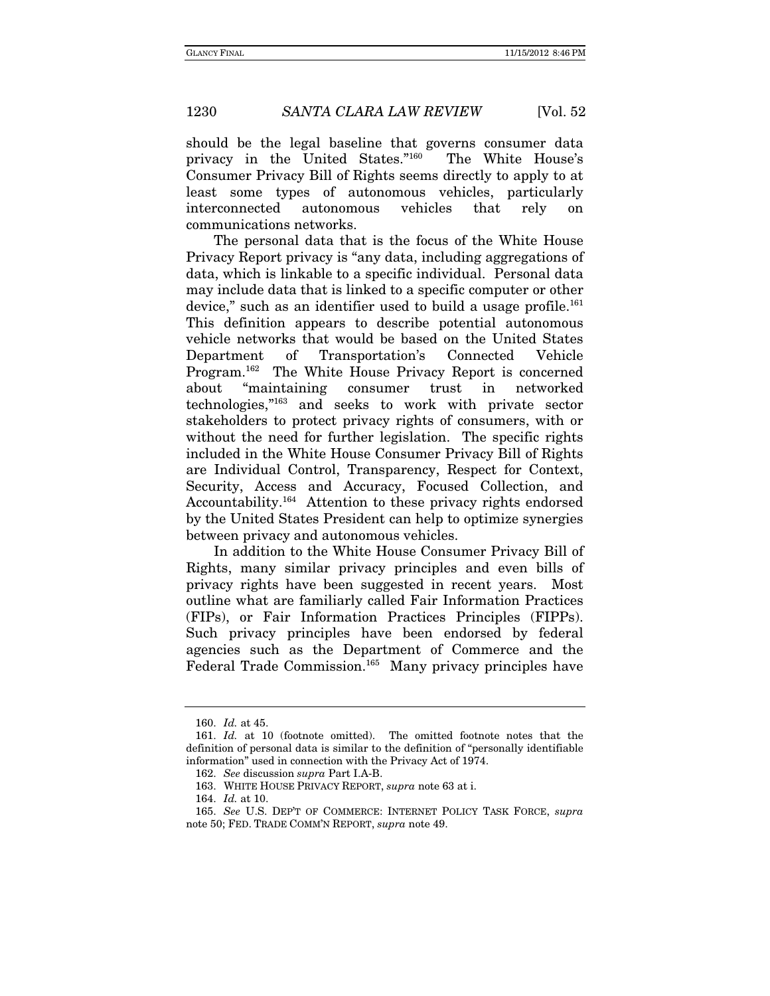should be the legal baseline that governs consumer data privacy in the United States."160 The White House's Consumer Privacy Bill of Rights seems directly to apply to at least some types of autonomous vehicles, particularly interconnected autonomous vehicles that rely on communications networks.

The personal data that is the focus of the White House Privacy Report privacy is "any data, including aggregations of data, which is linkable to a specific individual. Personal data may include data that is linked to a specific computer or other device," such as an identifier used to build a usage profile.<sup>161</sup> This definition appears to describe potential autonomous vehicle networks that would be based on the United States Department of Transportation's Connected Vehicle Program.162 The White House Privacy Report is concerned about "maintaining consumer trust in networked technologies,"163 and seeks to work with private sector stakeholders to protect privacy rights of consumers, with or without the need for further legislation. The specific rights included in the White House Consumer Privacy Bill of Rights are Individual Control, Transparency, Respect for Context, Security, Access and Accuracy, Focused Collection, and Accountability.164 Attention to these privacy rights endorsed by the United States President can help to optimize synergies between privacy and autonomous vehicles.

In addition to the White House Consumer Privacy Bill of Rights, many similar privacy principles and even bills of privacy rights have been suggested in recent years. Most outline what are familiarly called Fair Information Practices (FIPs), or Fair Information Practices Principles (FIPPs). Such privacy principles have been endorsed by federal agencies such as the Department of Commerce and the Federal Trade Commission.<sup>165</sup> Many privacy principles have

 <sup>160.</sup> Id. at 45.

 <sup>161.</sup> Id. at 10 (footnote omitted). The omitted footnote notes that the definition of personal data is similar to the definition of "personally identifiable information" used in connection with the Privacy Act of 1974.

<sup>162.</sup> See discussion supra Part I.A-B.

 <sup>163.</sup> WHITE HOUSE PRIVACY REPORT, supra note 63 at i.

<sup>164.</sup> Id. at 10.

<sup>165.</sup> See U.S. DEP'T OF COMMERCE: INTERNET POLICY TASK FORCE, supra note 50; FED. TRADE COMM'N REPORT, supra note 49.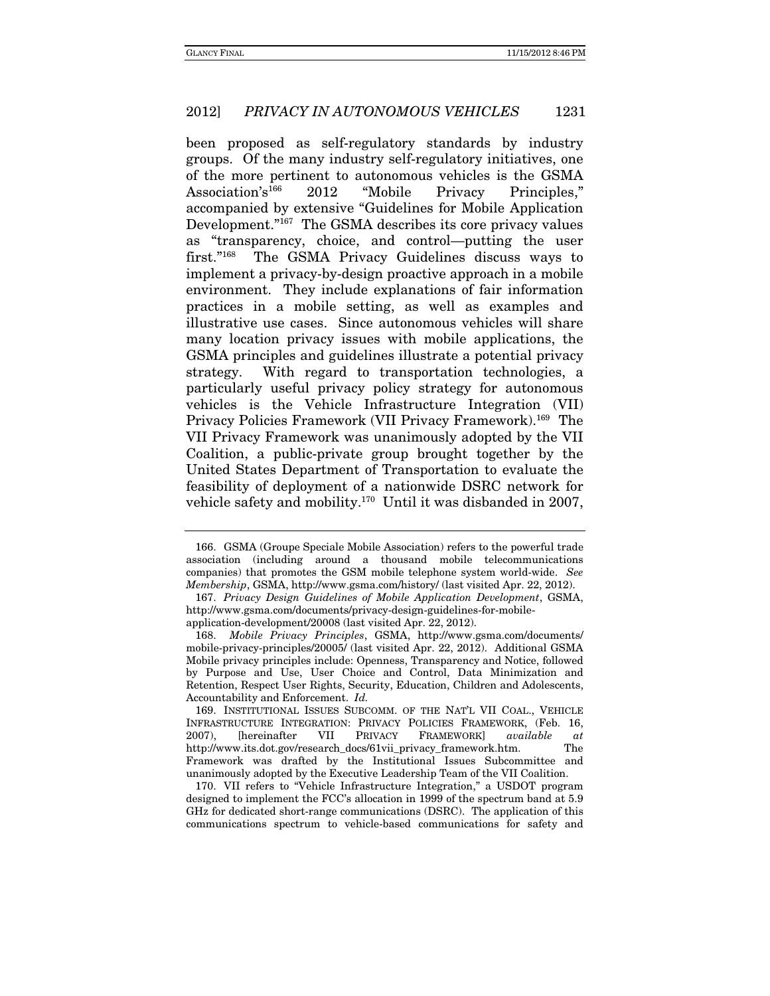been proposed as self-regulatory standards by industry groups. Of the many industry self-regulatory initiatives, one of the more pertinent to autonomous vehicles is the GSMA Association's<sup>166</sup> 2012 "Mobile Privacy Principles," accompanied by extensive "Guidelines for Mobile Application Development."167 The GSMA describes its core privacy values as "transparency, choice, and control—putting the user first."168 The GSMA Privacy Guidelines discuss ways to implement a privacy-by-design proactive approach in a mobile environment. They include explanations of fair information practices in a mobile setting, as well as examples and illustrative use cases. Since autonomous vehicles will share many location privacy issues with mobile applications, the GSMA principles and guidelines illustrate a potential privacy strategy. With regard to transportation technologies, a particularly useful privacy policy strategy for autonomous vehicles is the Vehicle Infrastructure Integration (VII) Privacy Policies Framework (VII Privacy Framework).169 The VII Privacy Framework was unanimously adopted by the VII Coalition, a public-private group brought together by the United States Department of Transportation to evaluate the feasibility of deployment of a nationwide DSRC network for vehicle safety and mobility.170 Until it was disbanded in 2007,

 <sup>166.</sup> GSMA (Groupe Speciale Mobile Association) refers to the powerful trade association (including around a thousand mobile telecommunications companies) that promotes the GSM mobile telephone system world-wide. See Membership, GSMA, http://www.gsma.com/history/ (last visited Apr. 22, 2012).

<sup>167.</sup> Privacy Design Guidelines of Mobile Application Development, GSMA, http://www.gsma.com/documents/privacy-design-guidelines-for-mobileapplication-development/20008 (last visited Apr. 22, 2012).

 <sup>168.</sup> Mobile Privacy Principles, GSMA, http://www.gsma.com/documents/ mobile-privacy-principles/20005/ (last visited Apr. 22, 2012). Additional GSMA Mobile privacy principles include: Openness, Transparency and Notice, followed by Purpose and Use, User Choice and Control, Data Minimization and Retention, Respect User Rights, Security, Education, Children and Adolescents, Accountability and Enforcement. Id.

 <sup>169.</sup> INSTITUTIONAL ISSUES SUBCOMM. OF THE NAT'L VII COAL., VEHICLE INFRASTRUCTURE INTEGRATION: PRIVACY POLICIES FRAMEWORK, (Feb. 16, 2007), [hereinafter VII PRIVACY FRAMEWORK] *available at*<br>http://www.its.dot.gov/research\_docs/61vii\_privacy\_framework.htm. The http://www.its.dot.gov/research\_docs/61vii\_privacy\_framework.htm. The Framework was drafted by the Institutional Issues Subcommittee and unanimously adopted by the Executive Leadership Team of the VII Coalition.

 <sup>170.</sup> VII refers to "Vehicle Infrastructure Integration," a USDOT program designed to implement the FCC's allocation in 1999 of the spectrum band at 5.9 GHz for dedicated short-range communications (DSRC). The application of this communications spectrum to vehicle-based communications for safety and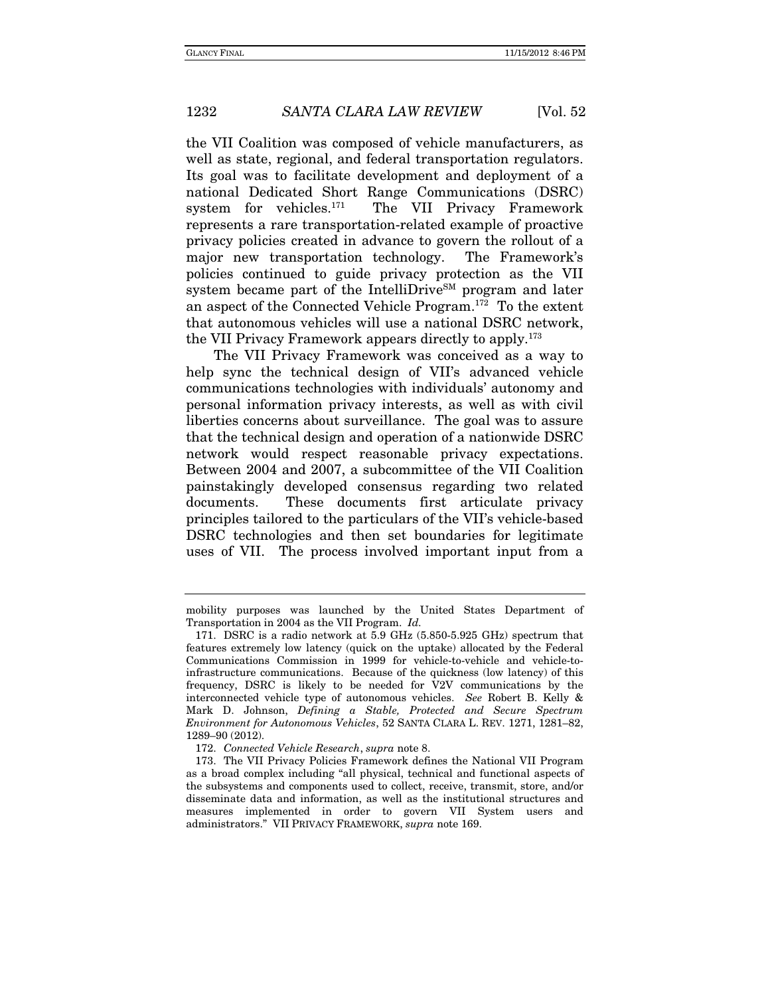the VII Coalition was composed of vehicle manufacturers, as well as state, regional, and federal transportation regulators. Its goal was to facilitate development and deployment of a national Dedicated Short Range Communications (DSRC) system for vehicles.171 The VII Privacy Framework represents a rare transportation-related example of proactive privacy policies created in advance to govern the rollout of a major new transportation technology. The Framework's policies continued to guide privacy protection as the VII system became part of the IntelliDrive<sup>SM</sup> program and later an aspect of the Connected Vehicle Program.172 To the extent that autonomous vehicles will use a national DSRC network, the VII Privacy Framework appears directly to apply.173

The VII Privacy Framework was conceived as a way to help sync the technical design of VII's advanced vehicle communications technologies with individuals' autonomy and personal information privacy interests, as well as with civil liberties concerns about surveillance. The goal was to assure that the technical design and operation of a nationwide DSRC network would respect reasonable privacy expectations. Between 2004 and 2007, a subcommittee of the VII Coalition painstakingly developed consensus regarding two related documents. These documents first articulate privacy principles tailored to the particulars of the VII's vehicle-based DSRC technologies and then set boundaries for legitimate uses of VII. The process involved important input from a

mobility purposes was launched by the United States Department of Transportation in 2004 as the VII Program. Id.

<sup>171.</sup> DSRC is a radio network at 5.9 GHz (5.850-5.925 GHz) spectrum that features extremely low latency (quick on the uptake) allocated by the Federal Communications Commission in 1999 for vehicle-to-vehicle and vehicle-toinfrastructure communications. Because of the quickness (low latency) of this frequency, DSRC is likely to be needed for V2V communications by the interconnected vehicle type of autonomous vehicles. See Robert B. Kelly & Mark D. Johnson, Defining a Stable, Protected and Secure Spectrum Environment for Autonomous Vehicles, 52 SANTA CLARA L. REV. 1271, 1281–82, 1289–90 (2012).

<sup>172.</sup> Connected Vehicle Research, supra note 8.

 <sup>173.</sup> The VII Privacy Policies Framework defines the National VII Program as a broad complex including "all physical, technical and functional aspects of the subsystems and components used to collect, receive, transmit, store, and/or disseminate data and information, as well as the institutional structures and measures implemented in order to govern VII System users and administrators." VII PRIVACY FRAMEWORK, supra note 169.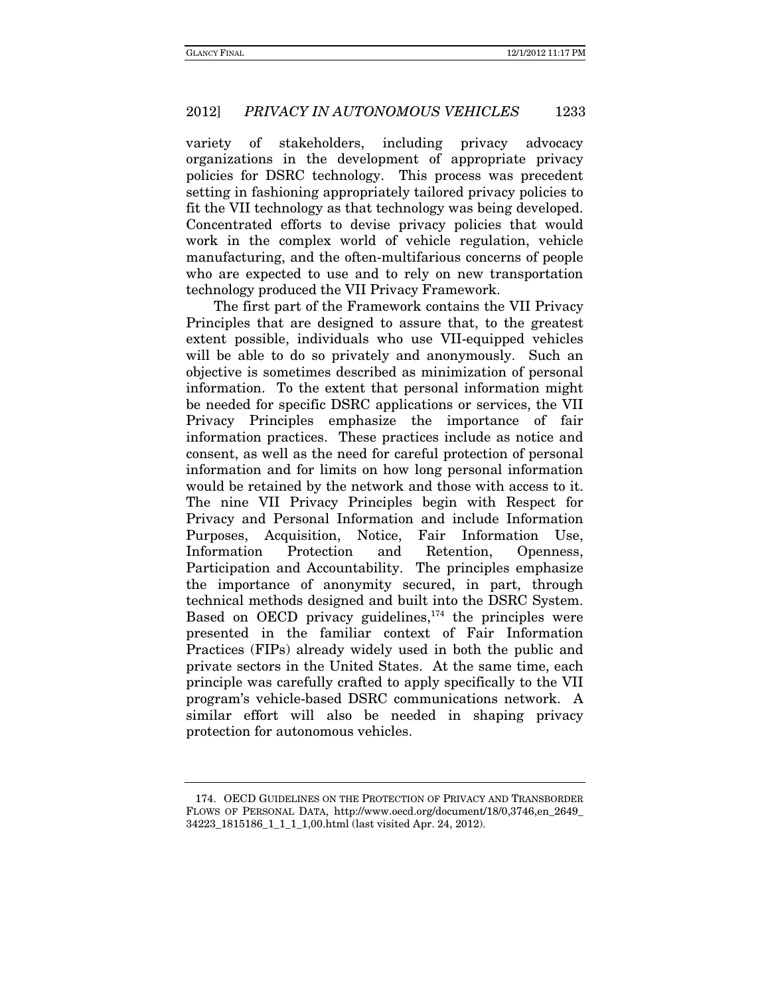variety of stakeholders, including privacy advocacy organizations in the development of appropriate privacy policies for DSRC technology. This process was precedent setting in fashioning appropriately tailored privacy policies to fit the VII technology as that technology was being developed. Concentrated efforts to devise privacy policies that would work in the complex world of vehicle regulation, vehicle manufacturing, and the often-multifarious concerns of people who are expected to use and to rely on new transportation technology produced the VII Privacy Framework.

The first part of the Framework contains the VII Privacy Principles that are designed to assure that, to the greatest extent possible, individuals who use VII-equipped vehicles will be able to do so privately and anonymously. Such an objective is sometimes described as minimization of personal information. To the extent that personal information might be needed for specific DSRC applications or services, the VII Privacy Principles emphasize the importance of fair information practices. These practices include as notice and consent, as well as the need for careful protection of personal information and for limits on how long personal information would be retained by the network and those with access to it. The nine VII Privacy Principles begin with Respect for Privacy and Personal Information and include Information Purposes, Acquisition, Notice, Fair Information Use, Information Protection and Retention, Openness, Participation and Accountability. The principles emphasize the importance of anonymity secured, in part, through technical methods designed and built into the DSRC System. Based on OECD privacy guidelines, $174$  the principles were presented in the familiar context of Fair Information Practices (FIPs) already widely used in both the public and private sectors in the United States. At the same time, each principle was carefully crafted to apply specifically to the VII program's vehicle-based DSRC communications network. A similar effort will also be needed in shaping privacy protection for autonomous vehicles.

 <sup>174.</sup> OECD GUIDELINES ON THE PROTECTION OF PRIVACY AND TRANSBORDER FLOWS OF PERSONAL DATA, http://www.oecd.org/document/18/0,3746,en\_2649\_ 34223\_1815186\_1\_1\_1\_1,00.html (last visited Apr. 24, 2012).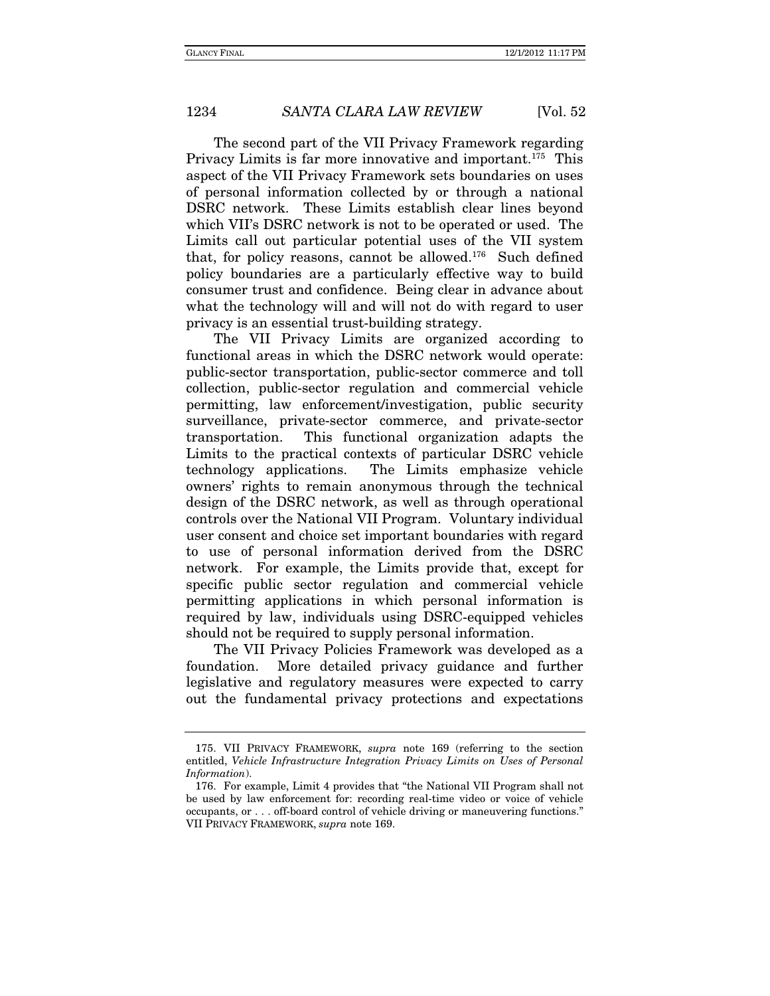The second part of the VII Privacy Framework regarding Privacy Limits is far more innovative and important.<sup>175</sup> This aspect of the VII Privacy Framework sets boundaries on uses of personal information collected by or through a national DSRC network. These Limits establish clear lines beyond which VII's DSRC network is not to be operated or used. The Limits call out particular potential uses of the VII system that, for policy reasons, cannot be allowed.<sup>176</sup> Such defined policy boundaries are a particularly effective way to build consumer trust and confidence. Being clear in advance about what the technology will and will not do with regard to user privacy is an essential trust-building strategy.

The VII Privacy Limits are organized according to functional areas in which the DSRC network would operate: public-sector transportation, public-sector commerce and toll collection, public-sector regulation and commercial vehicle permitting, law enforcement/investigation, public security surveillance, private-sector commerce, and private-sector transportation. This functional organization adapts the Limits to the practical contexts of particular DSRC vehicle technology applications. The Limits emphasize vehicle owners' rights to remain anonymous through the technical design of the DSRC network, as well as through operational controls over the National VII Program. Voluntary individual user consent and choice set important boundaries with regard to use of personal information derived from the DSRC network. For example, the Limits provide that, except for specific public sector regulation and commercial vehicle permitting applications in which personal information is required by law, individuals using DSRC-equipped vehicles should not be required to supply personal information.

The VII Privacy Policies Framework was developed as a foundation. More detailed privacy guidance and further legislative and regulatory measures were expected to carry out the fundamental privacy protections and expectations

 <sup>175.</sup> VII PRIVACY FRAMEWORK, supra note 169 (referring to the section entitled, Vehicle Infrastructure Integration Privacy Limits on Uses of Personal Information).

 <sup>176.</sup> For example, Limit 4 provides that "the National VII Program shall not be used by law enforcement for: recording real-time video or voice of vehicle occupants, or . . . off-board control of vehicle driving or maneuvering functions." VII PRIVACY FRAMEWORK, supra note 169.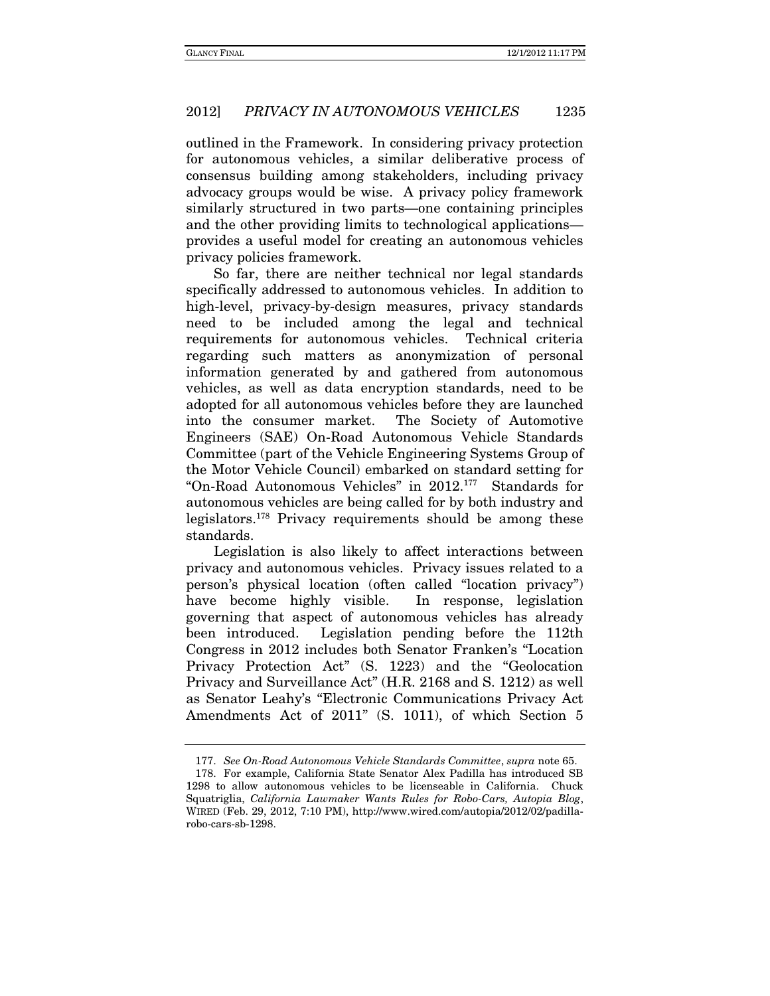outlined in the Framework. In considering privacy protection for autonomous vehicles, a similar deliberative process of consensus building among stakeholders, including privacy advocacy groups would be wise. A privacy policy framework similarly structured in two parts—one containing principles and the other providing limits to technological applications provides a useful model for creating an autonomous vehicles privacy policies framework.

So far, there are neither technical nor legal standards specifically addressed to autonomous vehicles. In addition to high-level, privacy-by-design measures, privacy standards need to be included among the legal and technical requirements for autonomous vehicles. Technical criteria regarding such matters as anonymization of personal information generated by and gathered from autonomous vehicles, as well as data encryption standards, need to be adopted for all autonomous vehicles before they are launched into the consumer market. The Society of Automotive Engineers (SAE) On-Road Autonomous Vehicle Standards Committee (part of the Vehicle Engineering Systems Group of the Motor Vehicle Council) embarked on standard setting for "On-Road Autonomous Vehicles" in 2012.177 Standards for autonomous vehicles are being called for by both industry and legislators.178 Privacy requirements should be among these standards.

Legislation is also likely to affect interactions between privacy and autonomous vehicles. Privacy issues related to a person's physical location (often called "location privacy") have become highly visible. In response, legislation governing that aspect of autonomous vehicles has already been introduced. Legislation pending before the 112th Congress in 2012 includes both Senator Franken's "Location Privacy Protection Act" (S. 1223) and the "Geolocation Privacy and Surveillance Act" (H.R. 2168 and S. 1212) as well as Senator Leahy's "Electronic Communications Privacy Act Amendments Act of 2011" (S. 1011), of which Section 5

 <sup>177.</sup> See On-Road Autonomous Vehicle Standards Committee, supra note 65.

 <sup>178.</sup> For example, California State Senator Alex Padilla has introduced SB 1298 to allow autonomous vehicles to be licenseable in California. Chuck Squatriglia, California Lawmaker Wants Rules for Robo-Cars, Autopia Blog, WIRED (Feb. 29, 2012, 7:10 PM), http://www.wired.com/autopia/2012/02/padillarobo-cars-sb-1298.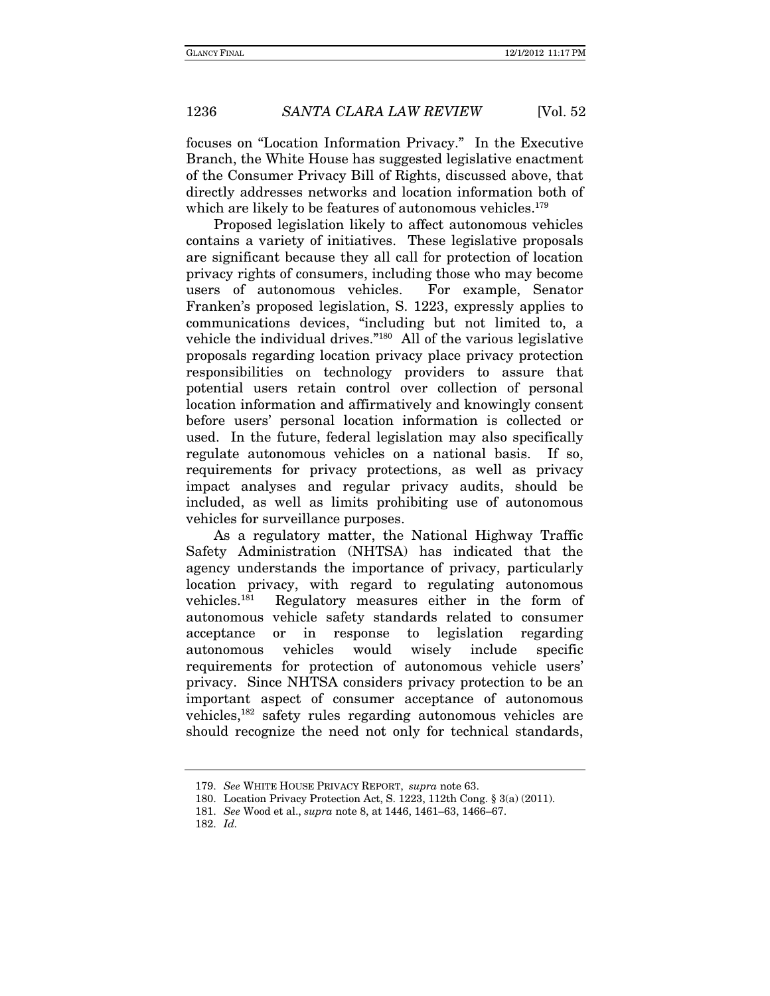focuses on "Location Information Privacy." In the Executive Branch, the White House has suggested legislative enactment of the Consumer Privacy Bill of Rights, discussed above, that directly addresses networks and location information both of which are likely to be features of autonomous vehicles.<sup>179</sup>

Proposed legislation likely to affect autonomous vehicles contains a variety of initiatives. These legislative proposals are significant because they all call for protection of location privacy rights of consumers, including those who may become users of autonomous vehicles. For example, Senator Franken's proposed legislation, S. 1223, expressly applies to communications devices, "including but not limited to, a vehicle the individual drives."180 All of the various legislative proposals regarding location privacy place privacy protection responsibilities on technology providers to assure that potential users retain control over collection of personal location information and affirmatively and knowingly consent before users' personal location information is collected or used. In the future, federal legislation may also specifically regulate autonomous vehicles on a national basis. If so, requirements for privacy protections, as well as privacy impact analyses and regular privacy audits, should be included, as well as limits prohibiting use of autonomous vehicles for surveillance purposes.

As a regulatory matter, the National Highway Traffic Safety Administration (NHTSA) has indicated that the agency understands the importance of privacy, particularly location privacy, with regard to regulating autonomous vehicles.181 Regulatory measures either in the form of autonomous vehicle safety standards related to consumer acceptance or in response to legislation regarding autonomous vehicles would wisely include specific requirements for protection of autonomous vehicle users' privacy. Since NHTSA considers privacy protection to be an important aspect of consumer acceptance of autonomous vehicles,182 safety rules regarding autonomous vehicles are should recognize the need not only for technical standards,

 <sup>179.</sup> See WHITE HOUSE PRIVACY REPORT, supra note 63.

 <sup>180.</sup> Location Privacy Protection Act, S. 1223, 112th Cong. § 3(a) (2011).

 <sup>181.</sup> See Wood et al., supra note 8, at 1446, 1461–63, 1466–67.

 <sup>182.</sup> Id.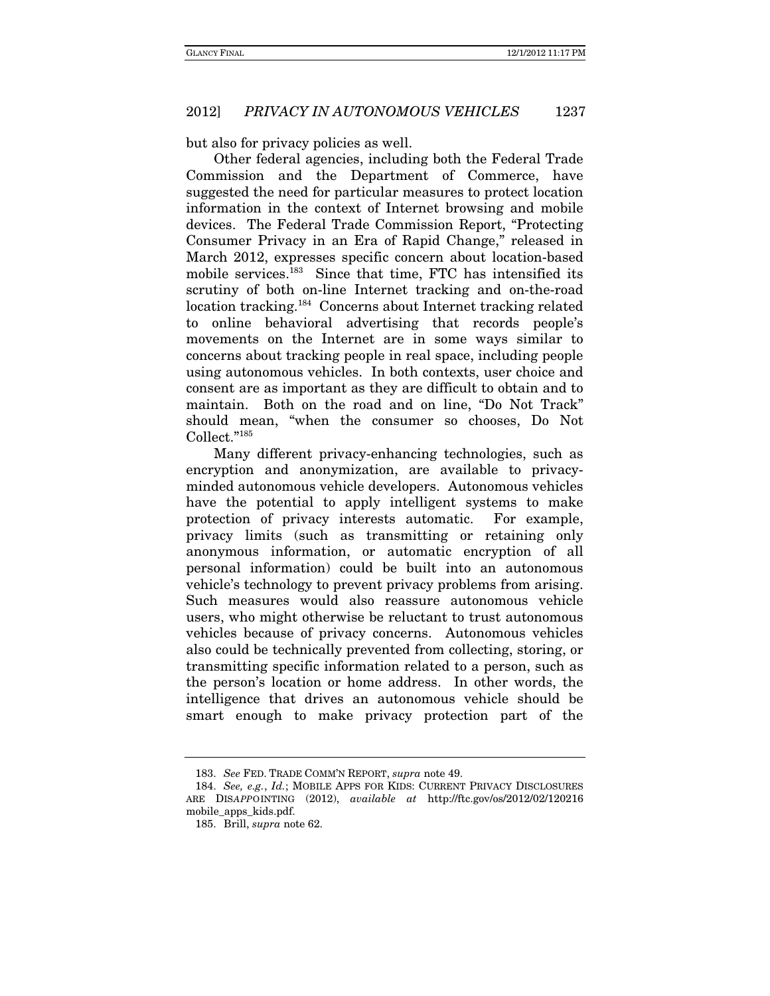but also for privacy policies as well.

Other federal agencies, including both the Federal Trade Commission and the Department of Commerce, have suggested the need for particular measures to protect location information in the context of Internet browsing and mobile devices. The Federal Trade Commission Report, "Protecting Consumer Privacy in an Era of Rapid Change," released in March 2012, expresses specific concern about location-based mobile services.<sup>183</sup> Since that time, FTC has intensified its scrutiny of both on-line Internet tracking and on-the-road location tracking.184 Concerns about Internet tracking related to online behavioral advertising that records people's movements on the Internet are in some ways similar to concerns about tracking people in real space, including people using autonomous vehicles. In both contexts, user choice and consent are as important as they are difficult to obtain and to maintain. Both on the road and on line, "Do Not Track" should mean, "when the consumer so chooses, Do Not Collect."185

Many different privacy-enhancing technologies, such as encryption and anonymization, are available to privacyminded autonomous vehicle developers. Autonomous vehicles have the potential to apply intelligent systems to make protection of privacy interests automatic. For example, privacy limits (such as transmitting or retaining only anonymous information, or automatic encryption of all personal information) could be built into an autonomous vehicle's technology to prevent privacy problems from arising. Such measures would also reassure autonomous vehicle users, who might otherwise be reluctant to trust autonomous vehicles because of privacy concerns. Autonomous vehicles also could be technically prevented from collecting, storing, or transmitting specific information related to a person, such as the person's location or home address. In other words, the intelligence that drives an autonomous vehicle should be smart enough to make privacy protection part of the

 <sup>183.</sup> See FED. TRADE COMM'N REPORT, supra note 49.

<sup>184.</sup> See, e.g., Id.; MOBILE APPS FOR KIDS: CURRENT PRIVACY DISCLOSURES ARE DISAPPOINTING (2012), available at http://ftc.gov/os/2012/02/120216 mobile\_apps\_kids.pdf.

 <sup>185.</sup> Brill, supra note 62.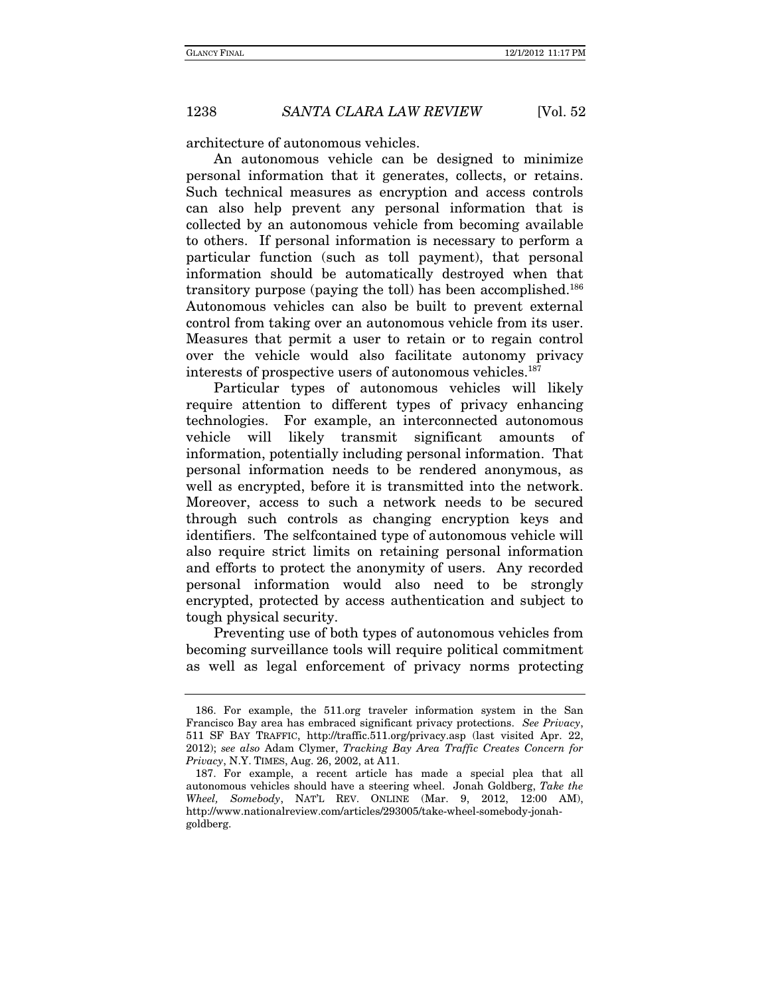architecture of autonomous vehicles.

An autonomous vehicle can be designed to minimize personal information that it generates, collects, or retains. Such technical measures as encryption and access controls can also help prevent any personal information that is collected by an autonomous vehicle from becoming available to others. If personal information is necessary to perform a particular function (such as toll payment), that personal information should be automatically destroyed when that transitory purpose (paying the toll) has been accomplished.186 Autonomous vehicles can also be built to prevent external control from taking over an autonomous vehicle from its user. Measures that permit a user to retain or to regain control over the vehicle would also facilitate autonomy privacy interests of prospective users of autonomous vehicles.<sup>187</sup>

Particular types of autonomous vehicles will likely require attention to different types of privacy enhancing technologies. For example, an interconnected autonomous vehicle will likely transmit significant amounts of information, potentially including personal information. That personal information needs to be rendered anonymous, as well as encrypted, before it is transmitted into the network. Moreover, access to such a network needs to be secured through such controls as changing encryption keys and identifiers. The selfcontained type of autonomous vehicle will also require strict limits on retaining personal information and efforts to protect the anonymity of users. Any recorded personal information would also need to be strongly encrypted, protected by access authentication and subject to tough physical security.

Preventing use of both types of autonomous vehicles from becoming surveillance tools will require political commitment as well as legal enforcement of privacy norms protecting

 <sup>186.</sup> For example, the 511.org traveler information system in the San Francisco Bay area has embraced significant privacy protections. See Privacy, 511 SF BAY TRAFFIC, http://traffic.511.org/privacy.asp (last visited Apr. 22, 2012); see also Adam Clymer, Tracking Bay Area Traffic Creates Concern for Privacy, N.Y. TIMES, Aug. 26, 2002, at A11.

 <sup>187.</sup> For example, a recent article has made a special plea that all autonomous vehicles should have a steering wheel. Jonah Goldberg, Take the Wheel, Somebody, NAT'L REV. ONLINE (Mar. 9, 2012, 12:00 AM), http://www.nationalreview.com/articles/293005/take-wheel-somebody-jonahgoldberg.